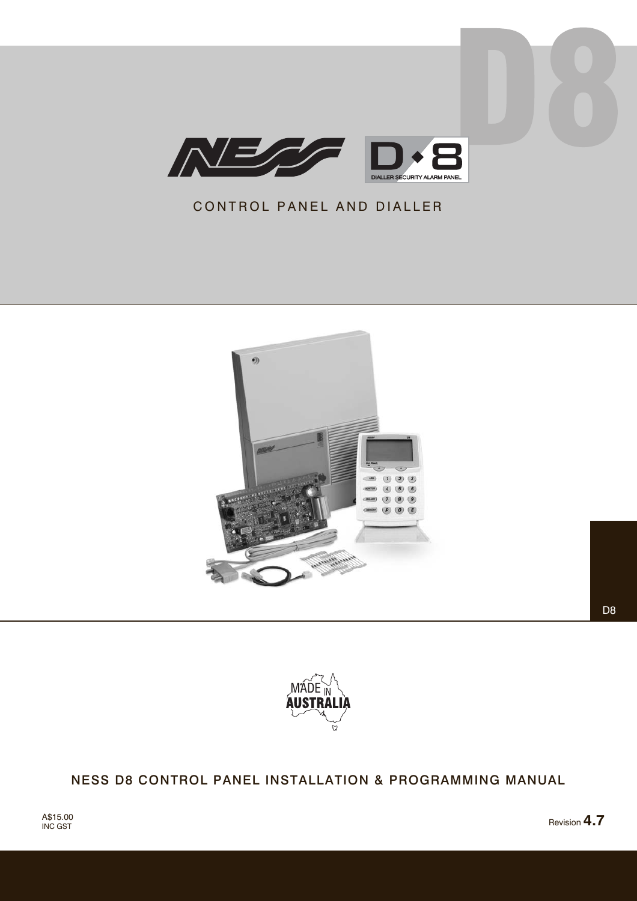

# CONTROL PANEL AND DIALLER



D<sub>8</sub>



# NESS D8 CONTROL PANEL INSTALLATION & PROGRAMMING MANUAL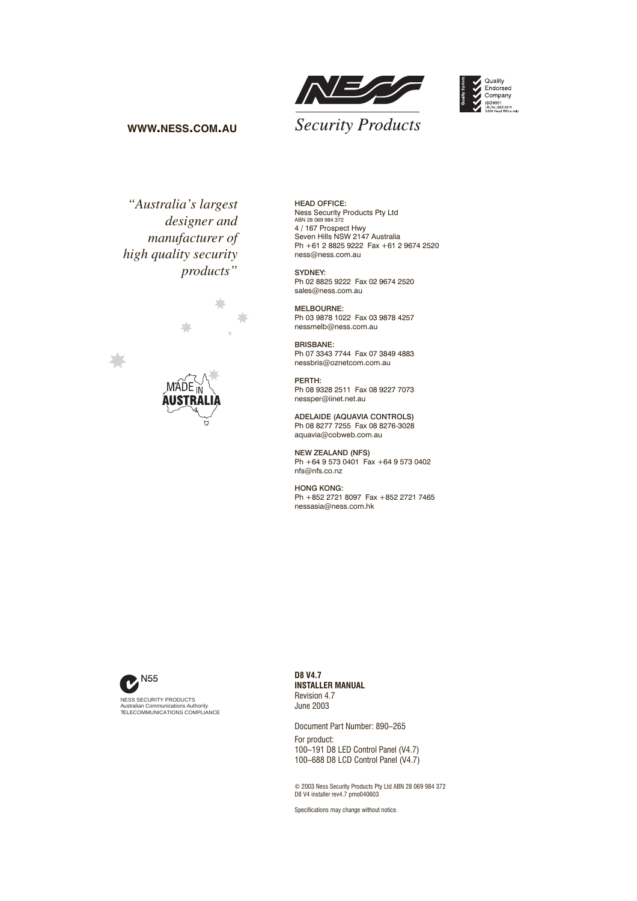



### **WWW.NESS.COM.AU**

*"Australia's largest designer and manufacturer of high quality security products"*



HEAD OFFICE: Ness Security Products Pty Ltd ABN 28 069 984 372 4 / 167 Prospect Hwy Seven Hills NSW 2147 Australia Ph +61 2 8825 9222 Fax +61 2 9674 2520 ness@ness.com.au

SYDNEY: Ph 02 8825 9222 Fax 02 9674 2520 sales@ness.com.au

MELBOURNE: Ph 03 9878 1022 Fax 03 9878 4257 nessmelb@ness.com.au

BRISBANE: Ph 07 3343 7744 Fax 07 3849 4883 nessbris@oznetcom.com.au

PERTH: Ph 08 9328 2511 Fax 08 9227 7073 nessper@iinet.net.au

ADELAIDE (AQUAVIA CONTROLS) Ph 08 8277 7255 Fax 08 8276-3028 aquavia@cobweb.com.au

NEW ZEALAND (NFS) Ph +64 9 573 0401 Fax +64 9 573 0402 nfs@nfs.co.nz

HONG KONG: Ph +852 2721 8097 Fax +852 2721 7465 nessasia@ness.com.hk



**D8 V4.7 INSTALLER MANUAL** Revision 4.7 June 2003

Document Part Number: 890–265 For product: 100–191 D8 LED Control Panel (V4.7) 100–688 D8 LCD Control Panel (V4.7)

© 2003 Ness Security Products Pty Ltd ABN 28 069 984 372 D8 V4 installer rev4.7 pmo040603

Specifications may change without notice.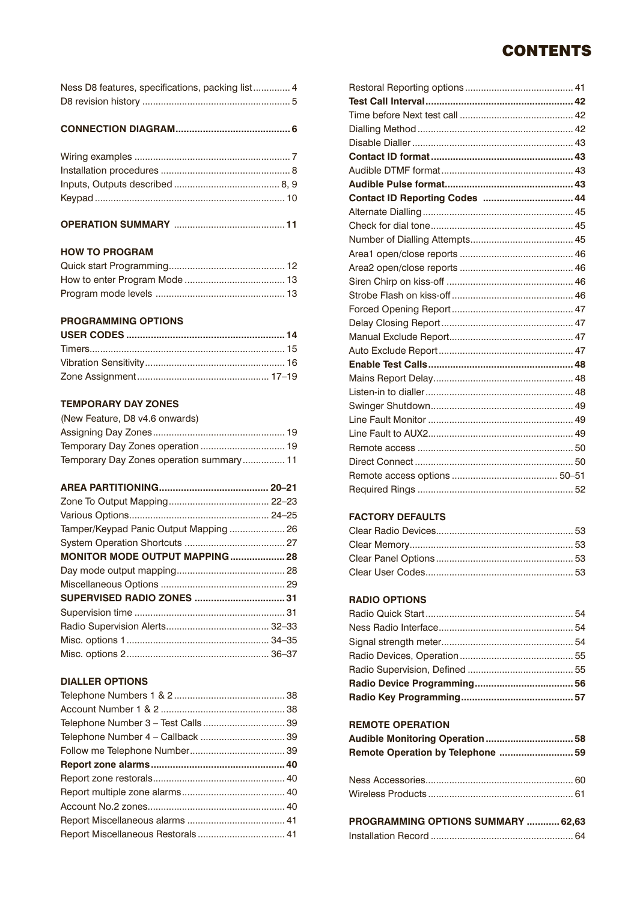# **CONTENTS**

| Ness D8 features, specifications, packing list 4 |  |
|--------------------------------------------------|--|
|                                                  |  |

**CONNECTION DIAGRAM.......................................... 6**

### **OPERATION SUMMARY** .......................................... **11**

### **HOW TO PROGRAM**

### **PROGRAMMING OPTIONS**

### **TEMPORARY DAY ZONES**

| (New Feature, D8 v4.6 onwards)           |  |
|------------------------------------------|--|
|                                          |  |
|                                          |  |
| Temporary Day Zones operation summary 11 |  |

| MONITOR MODE OUTPUT MAPPING 28 |  |
|--------------------------------|--|
|                                |  |
|                                |  |
|                                |  |
|                                |  |
|                                |  |
|                                |  |
|                                |  |

### **DIALLER OPTIONS**

| Contact ID Reporting Codes  44 |  |
|--------------------------------|--|
|                                |  |
|                                |  |
|                                |  |
|                                |  |
|                                |  |
|                                |  |
|                                |  |
|                                |  |
|                                |  |
|                                |  |
|                                |  |
|                                |  |
|                                |  |
|                                |  |
|                                |  |
|                                |  |
|                                |  |
|                                |  |
|                                |  |
|                                |  |
|                                |  |
|                                |  |

### **FACTORY DEFAULTS**

### **RADIO OPTIONS**

### **REMOTE OPERATION**

| <b>PROGRAMMING OPTIONS SUMMARY 62 63</b> |  |  |
|------------------------------------------|--|--|

| PROGRAMMING OPTIONS SUMMARY  62.63 |  |
|------------------------------------|--|
|                                    |  |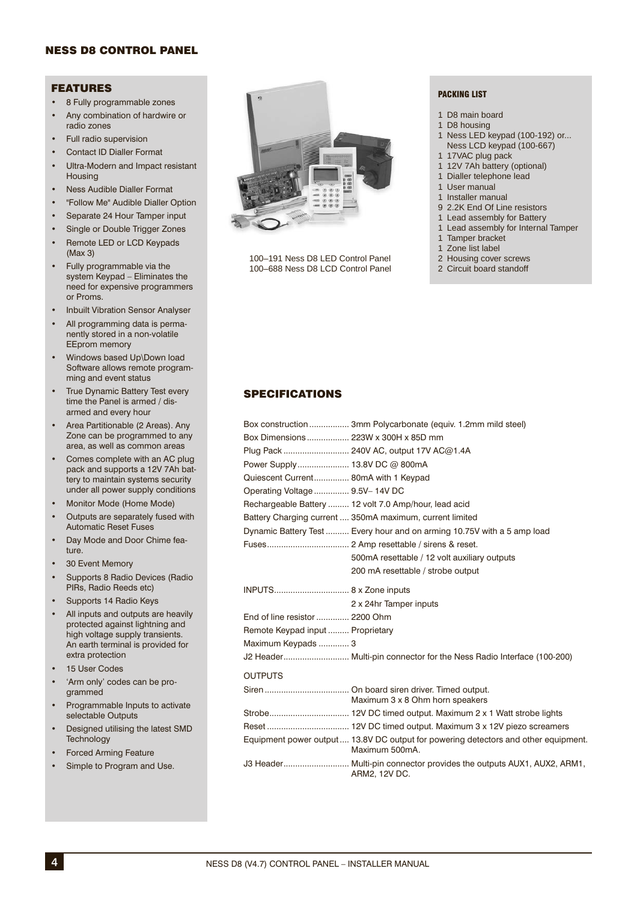### NESS D8 CONTROL PANEL

### FEATURES

- 8 Fully programmable zones
- Any combination of hardwire or radio zones
- Full radio supervision
- Contact ID Dialler Format
- Ultra-Modern and Impact resistant Housing
- Ness Audible Dialler Format
- "Follow Me" Audible Dialler Option
- Separate 24 Hour Tamper input
- Single or Double Trigger Zones
- Remote LED or LCD Keypads (Max 3)
- Fully programmable via the system Keypad – Eliminates the need for expensive programmers or Proms.
- Inbuilt Vibration Sensor Analyser
- All programming data is permanently stored in a non-volatile EEprom memory
- Windows based Up\Down load Software allows remote programming and event status
- True Dynamic Battery Test every time the Panel is armed / disarmed and every hour
- Area Partitionable (2 Areas). Any Zone can be programmed to any area, as well as common areas
- Comes complete with an AC plug pack and supports a 12V 7Ah battery to maintain systems security under all power supply conditions
- Monitor Mode (Home Mode)
- Outputs are separately fused with Automatic Reset Fuses
- Day Mode and Door Chime feature.
- 30 Event Memory
- Supports 8 Radio Devices (Radio PIRs, Radio Reeds etc)
- Supports 14 Radio Keys
- All inputs and outputs are heavily protected against lightning and high voltage supply transients. An earth terminal is provided for extra protection
- 15 User Codes
- 'Arm only' codes can be programmed
- Programmable Inputs to activate selectable Outputs
- Designed utilising the latest SMD **Technology**
- Forced Arming Feature
- Simple to Program and Use.



100–191 Ness D8 LED Control Panel 100–688 Ness D8 LCD Control Panel

#### PACKING LIST

- 1 D8 main board
- 1 D8 housing
- 1 Ness LED keypad (100-192) or... Ness LCD keypad (100-667)
- 1 17VAC plug pack
- 1 12V 7Ah battery (optional)
- 1 Dialler telephone lead
- 1 User manual
- 1 Installer manual
- 9 2.2K End Of Line resistors
- 1 Lead assembly for Battery<br>1 Lead assembly for Internal
- Lead assembly for Internal Tamper
- 1 Tamper bracket
- 1 Zone list label
- 2 Housing cover screws 2 Circuit board standoff
- 

### SPECIFICATIONS

|                                      | Box construction  3mm Polycarbonate (equiv. 1.2mm mild steel)                                         |
|--------------------------------------|-------------------------------------------------------------------------------------------------------|
|                                      |                                                                                                       |
|                                      | Plug Pack  240V AC, output 17V AC@1.4A                                                                |
| Power Supply 13.8V DC @ 800mA        |                                                                                                       |
| Quiescent Current 80mA with 1 Keypad |                                                                                                       |
| Operating Voltage  9.5V-14V DC       |                                                                                                       |
|                                      | Rechargeable Battery  12 volt 7.0 Amp/hour, lead acid                                                 |
|                                      | Battery Charging current  350mA maximum, current limited                                              |
|                                      | Dynamic Battery Test  Every hour and on arming 10.75V with a 5 amp load                               |
|                                      |                                                                                                       |
|                                      | 500mA resettable / 12 volt auxiliary outputs                                                          |
|                                      | 200 mA resettable / strobe output                                                                     |
|                                      |                                                                                                       |
|                                      | 2 x 24hr Tamper inputs                                                                                |
| End of line resistor  2200 Ohm       |                                                                                                       |
| Remote Keypad input  Proprietary     |                                                                                                       |
| Maximum Keypads  3                   |                                                                                                       |
|                                      | J2 Header Multi-pin connector for the Ness Radio Interface (100-200)                                  |
| <b>OUTPUTS</b>                       |                                                                                                       |
|                                      | Maximum 3 x 8 Ohm horn speakers                                                                       |
|                                      |                                                                                                       |
|                                      |                                                                                                       |
|                                      | Equipment power output  13.8V DC output for powering detectors and other equipment.<br>Maximum 500mA. |
|                                      | J3 Header Multi-pin connector provides the outputs AUX1, AUX2, ARM1,<br>ARM2, 12V DC.                 |
|                                      |                                                                                                       |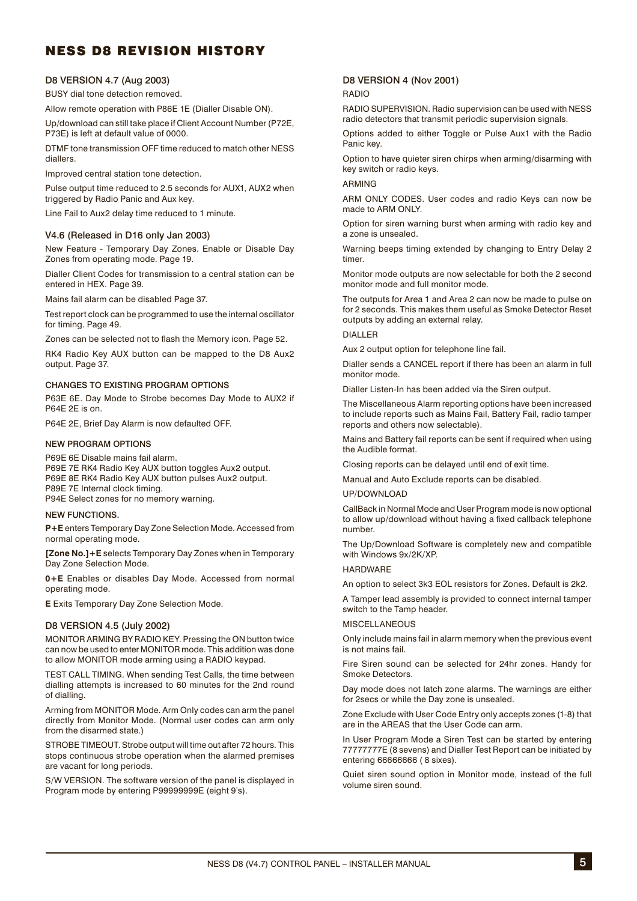# NESS D8 REVISION HISTORY

### D8 VERSION 4.7 (Aug 2003)

BUSY dial tone detection removed.

Allow remote operation with P86E 1E (Dialler Disable ON).

Up/download can still take place if Client Account Number (P72E, P73E) is left at default value of 0000.

DTMF tone transmission OFF time reduced to match other NESS diallers.

Improved central station tone detection.

Pulse output time reduced to 2.5 seconds for AUX1, AUX2 when triggered by Radio Panic and Aux key.

Line Fail to Aux2 delay time reduced to 1 minute.

#### V4.6 (Released in D16 only Jan 2003)

New Feature - Temporary Day Zones. Enable or Disable Day Zones from operating mode. Page 19.

Dialler Client Codes for transmission to a central station can be entered in HEX. Page 39.

Mains fail alarm can be disabled Page 37.

Test report clock can be programmed to use the internal oscillator for timing. Page 49.

Zones can be selected not to flash the Memory icon. Page 52.

RK4 Radio Key AUX button can be mapped to the D8 Aux2 output. Page 37.

#### CHANGES TO EXISTING PROGRAM OPTIONS

P63E 6E. Day Mode to Strobe becomes Day Mode to AUX2 if P64E 2E is on.

P64E 2E, Brief Day Alarm is now defaulted OFF.

#### NEW PROGRAM OPTIONS

P69E 6E Disable mains fail alarm. P69E 7E RK4 Radio Key AUX button toggles Aux2 output. P69E 8E RK4 Radio Key AUX button pulses Aux2 output. P89E 7E Internal clock timing. P94E Select zones for no memory warning.

NEW FUNCTIONS.

**P+E** enters Temporary Day Zone Selection Mode. Accessed from normal operating mode.

**[Zone No.]+E** selects Temporary Day Zones when in Temporary Day Zone Selection Mode.

**0+E** Enables or disables Day Mode. Accessed from normal operating mode.

**E** Exits Temporary Day Zone Selection Mode.

#### D8 VERSION 4.5 (July 2002)

MONITOR ARMING BY RADIO KEY. Pressing the ON button twice can now be used to enter MONITOR mode. This addition was done to allow MONITOR mode arming using a RADIO keypad.

TEST CALL TIMING. When sending Test Calls, the time between dialling attempts is increased to 60 minutes for the 2nd round of dialling.

Arming from MONITOR Mode. Arm Only codes can arm the panel directly from Monitor Mode. (Normal user codes can arm only from the disarmed state.)

STROBE TIMEOUT. Strobe output will time out after 72 hours. This stops continuous strobe operation when the alarmed premises are vacant for long periods.

S/W VERSION. The software version of the panel is displayed in Program mode by entering P99999999E (eight 9's).

### D8 VERSION 4 (Nov 2001)

#### RADIO

RADIO SUPERVISION. Radio supervision can be used with NESS radio detectors that transmit periodic supervision signals.

Options added to either Toggle or Pulse Aux1 with the Radio Panic key.

Option to have quieter siren chirps when arming/disarming with key switch or radio keys.

#### ARMING

ARM ONLY CODES. User codes and radio Keys can now be made to ARM ONLY.

Option for siren warning burst when arming with radio key and a zone is unsealed.

Warning beeps timing extended by changing to Entry Delay 2 timer.

Monitor mode outputs are now selectable for both the 2 second monitor mode and full monitor mode.

The outputs for Area 1 and Area 2 can now be made to pulse on for 2 seconds. This makes them useful as Smoke Detector Reset outputs by adding an external relay.

#### DIALLER

Aux 2 output option for telephone line fail.

Dialler sends a CANCEL report if there has been an alarm in full monitor mode.

Dialler Listen-In has been added via the Siren output.

The Miscellaneous Alarm reporting options have been increased to include reports such as Mains Fail, Battery Fail, radio tamper reports and others now selectable).

Mains and Battery fail reports can be sent if required when using the Audible format.

Closing reports can be delayed until end of exit time.

Manual and Auto Exclude reports can be disabled.

#### UP/DOWNLOAD

CallBack in Normal Mode and User Program mode is now optional to allow up/download without having a fixed callback telephone number.

The Up/Download Software is completely new and compatible with Windows 9x/2K/XP.

#### HARDWARE

An option to select 3k3 EOL resistors for Zones. Default is 2k2.

A Tamper lead assembly is provided to connect internal tamper switch to the Tamp header.

#### **MISCELLANEOUS**

Only include mains fail in alarm memory when the previous event is not mains fail.

Fire Siren sound can be selected for 24hr zones. Handy for Smoke Detectors.

Day mode does not latch zone alarms. The warnings are either for 2secs or while the Day zone is unsealed.

Zone Exclude with User Code Entry only accepts zones (1-8) that are in the AREAS that the User Code can arm.

In User Program Mode a Siren Test can be started by entering 77777777E (8 sevens) and Dialler Test Report can be initiated by entering 66666666 ( 8 sixes).

Quiet siren sound option in Monitor mode, instead of the full volume siren sound.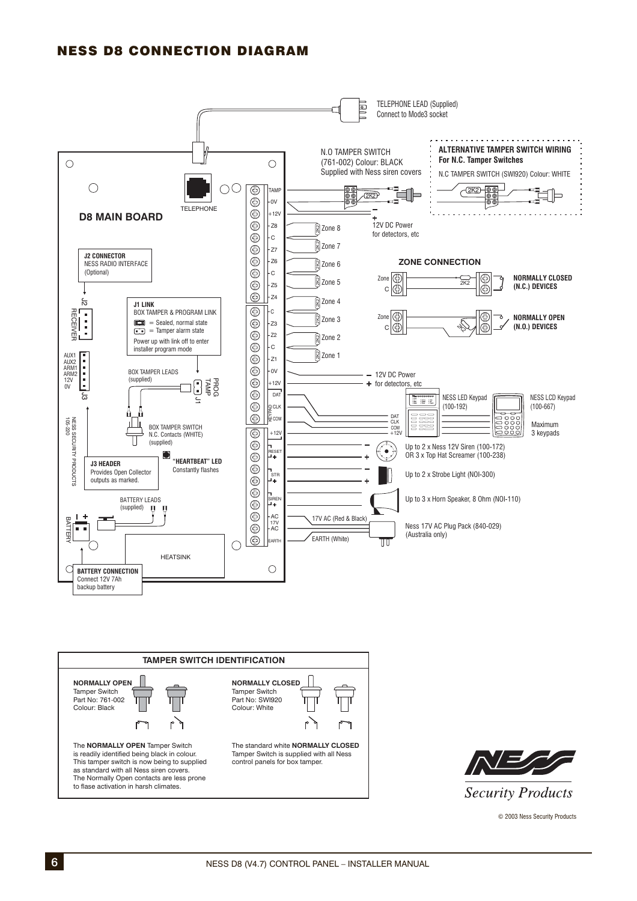# NESS D8 CONNECTION DIAGRAM







© 2003 Ness Security Products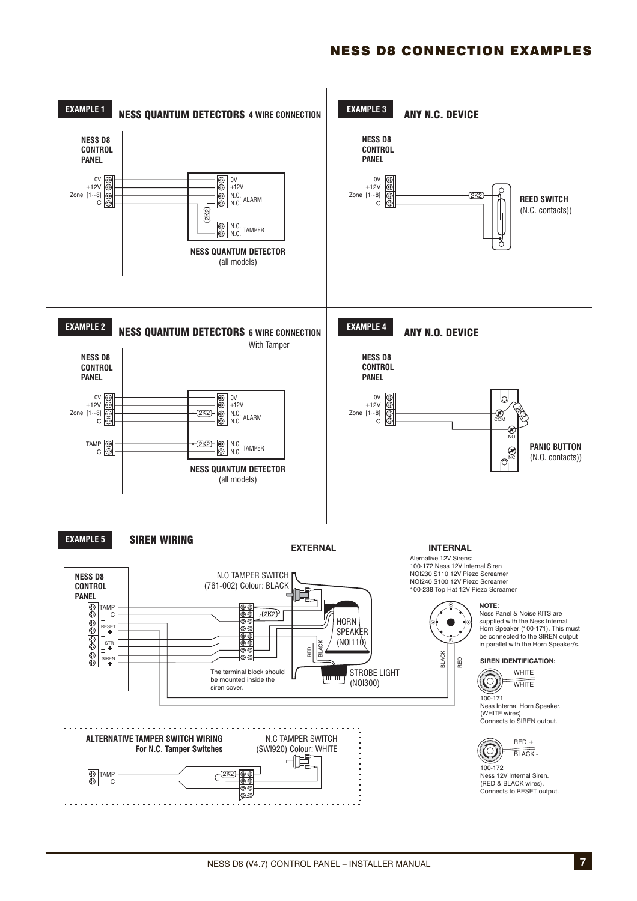## NESS D8 CONNECTION EXAMPLES

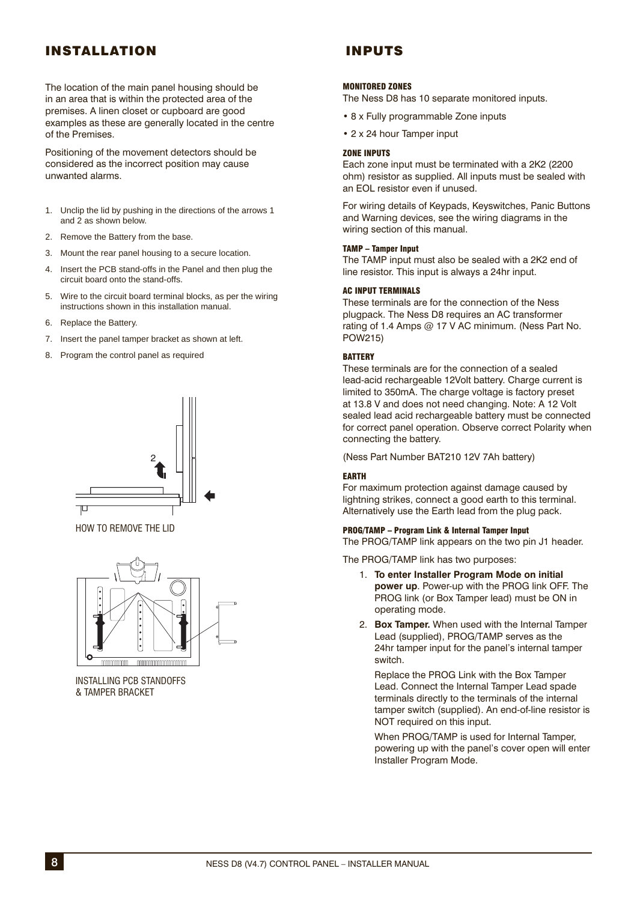# INSTALLATION

The location of the main panel housing should be in an area that is within the protected area of the premises. A linen closet or cupboard are good examples as these are generally located in the centre of the Premises.

Positioning of the movement detectors should be considered as the incorrect position may cause unwanted alarms.

- 1. Unclip the lid by pushing in the directions of the arrows 1 and 2 as shown below.
- 2. Remove the Battery from the base.
- 3. Mount the rear panel housing to a secure location.
- 4. Insert the PCB stand-offs in the Panel and then plug the circuit board onto the stand-offs.
- 5. Wire to the circuit board terminal blocks, as per the wiring instructions shown in this installation manual.
- 6. Replace the Battery.
- 7. Insert the panel tamper bracket as shown at left.
- 8. Program the control panel as required



HOW TO REMOVE THE LID



INSTALLING PCB STANDOFFS & TAMPER BRACKET

# INPUTS

#### MONITORED ZONES

The Ness D8 has 10 separate monitored inputs.

- 8 x Fully programmable Zone inputs
- 2 x 24 hour Tamper input

#### ZONE INPUTS

Each zone input must be terminated with a 2K2 (2200 ohm) resistor as supplied. All inputs must be sealed with an EOL resistor even if unused.

For wiring details of Keypads, Keyswitches, Panic Buttons and Warning devices, see the wiring diagrams in the wiring section of this manual.

#### TAMP – Tamper Input

The TAMP input must also be sealed with a 2K2 end of line resistor. This input is always a 24hr input.

#### AC INPUT TERMINALS

These terminals are for the connection of the Ness plugpack. The Ness D8 requires an AC transformer rating of 1.4 Amps @ 17 V AC minimum. (Ness Part No. POW215)

#### **BATTERY**

These terminals are for the connection of a sealed lead-acid rechargeable 12Volt battery. Charge current is limited to 350mA. The charge voltage is factory preset at 13.8 V and does not need changing. Note: A 12 Volt sealed lead acid rechargeable battery must be connected for correct panel operation. Observe correct Polarity when connecting the battery.

(Ness Part Number BAT210 12V 7Ah battery)

### EARTH

For maximum protection against damage caused by lightning strikes, connect a good earth to this terminal. Alternatively use the Earth lead from the plug pack.

#### PROG/TAMP – Program Link & Internal Tamper Input

The PROG/TAMP link appears on the two pin J1 header.

The PROG/TAMP link has two purposes:

- 1. **To enter Installer Program Mode on initial power up**. Power-up with the PROG link OFF. The PROG link (or Box Tamper lead) must be ON in operating mode.
- 2. **Box Tamper.** When used with the Internal Tamper Lead (supplied), PROG/TAMP serves as the 24hr tamper input for the panel's internal tamper switch.

 Replace the PROG Link with the Box Tamper Lead. Connect the Internal Tamper Lead spade terminals directly to the terminals of the internal tamper switch (supplied). An end-of-line resistor is NOT required on this input.

 When PROG/TAMP is used for Internal Tamper, powering up with the panel's cover open will enter Installer Program Mode.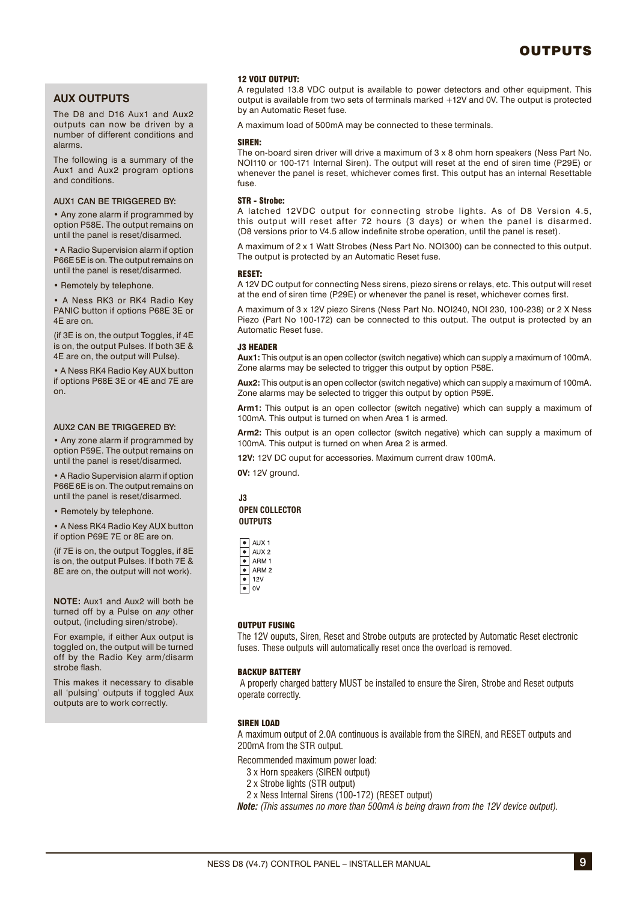### **AUX OUTPUTS**

The D8 and D16 Aux1 and Aux2 outputs can now be driven by a number of different conditions and alarms.

The following is a summary of the Aux1 and Aux2 program options and conditions.

#### AUX1 CAN BE TRIGGERED BY:

• Any zone alarm if programmed by option P58E. The output remains on until the panel is reset/disarmed.

• A Radio Supervision alarm if option P66E 5E is on. The output remains on until the panel is reset/disarmed.

• Remotely by telephone.

• A Ness RK3 or RK4 Radio Key PANIC button if options P68E 3E or 4E are on.

(if 3E is on, the output Toggles, if 4E is on, the output Pulses. If both 3E & 4E are on, the output will Pulse).

• A Ness RK4 Radio Key AUX button if options P68E 3E or 4E and 7E are on.

#### AUX2 CAN BE TRIGGERED BY:

• Any zone alarm if programmed by option P59E. The output remains on until the panel is reset/disarmed.

• A Radio Supervision alarm if option P66E 6E is on. The output remains on until the panel is reset/disarmed.

• Remotely by telephone.

• A Ness RK4 Radio Key AUX button if option P69E 7E or 8E are on.

(if 7E is on, the output Toggles, if 8E is on, the output Pulses. If both 7E & 8E are on, the output will not work).

**NOTE:** Aux1 and Aux2 will both be turned off by a Pulse on *any* other output, (including siren/strobe).

For example, if either Aux output is toggled on, the output will be turned off by the Radio Key arm/disarm strobe flash.

This makes it necessary to disable all 'pulsing' outputs if toggled Aux outputs are to work correctly.

#### 12 VOLT OUTPUT:

A regulated 13.8 VDC output is available to power detectors and other equipment. This output is available from two sets of terminals marked +12V and 0V. The output is protected by an Automatic Reset fuse.

A maximum load of 500mA may be connected to these terminals.

#### SIREN:

The on-board siren driver will drive a maximum of  $3 \times 8$  ohm horn speakers (Ness Part No. NOI110 or 100-171 Internal Siren). The output will reset at the end of siren time (P29E) or whenever the panel is reset, whichever comes first. This output has an internal Resettable fuse.

#### STR - Strobe:

A latched 12VDC output for connecting strobe lights. As of D8 Version 4.5, this output will reset after 72 hours (3 days) or when the panel is disarmed. (D8 versions prior to V4.5 allow indefinite strobe operation, until the panel is reset).

A maximum of 2 x 1 Watt Strobes (Ness Part No. NOI300) can be connected to this output. The output is protected by an Automatic Reset fuse.

#### RESET:

A 12V DC output for connecting Ness sirens, piezo sirens or relays, etc. This output will reset at the end of siren time (P29E) or whenever the panel is reset, which ever comes first.

A maximum of 3 x 12V piezo Sirens (Ness Part No. NOI240, NOI 230, 100-238) or 2 X Ness Piezo (Part No 100-172) can be connected to this output. The output is protected by an Automatic Reset fuse.

#### J3 HEADER

**Aux1:** This output is an open collector (switch negative) which can supply a maximum of 100mA. Zone alarms may be selected to trigger this output by option P58E.

**Aux2:** This output is an open collector (switch negative) which can supply a maximum of 100mA. Zone alarms may be selected to trigger this output by option P59E.

**Arm1:** This output is an open collector (switch negative) which can supply a maximum of 100mA. This output is turned on when Area 1 is armed.

**Arm2:** This output is an open collector (switch negative) which can supply a maximum of 100mA. This output is turned on when Area 2 is armed.

**12V:** 12V DC ouput for accessories. Maximum current draw 100mA.

**0V:** 12V ground.

#### **J3 OPEN COLLECTOR OUTPUTS**

| AUX <sub>1</sub> |
|------------------|
| AUX <sub>2</sub> |
| ARM 1            |
| ARM <sub>2</sub> |
| 12V              |
| ٥V               |

#### OUTPUT FUSING

The 12V ouputs, Siren, Reset and Strobe outputs are protected by Automatic Reset electronic fuses. These outputs will automatically reset once the overload is removed.

#### BACKUP BATTERY

 A properly charged battery MUST be installed to ensure the Siren, Strobe and Reset outputs operate correctly.

#### SIREN LOAD

A maximum output of 2.0A continuous is available from the SIREN, and RESET outputs and 200mA from the STR output.

Recommended maximum power load:

- 3 x Horn speakers (SIREN output)
- 2 x Strobe lights (STR output)
- 2 x Ness Internal Sirens (100-172) (RESET output)

*Note: (This assumes no more than 500mA is being drawn from the 12V device output).*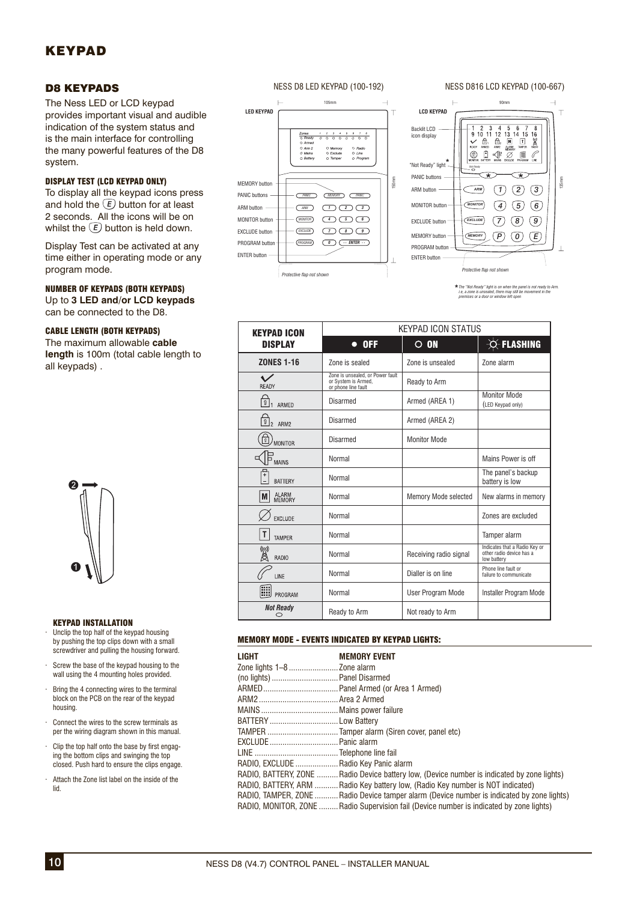# KEYPAD

### D8 KEYPADS

The Ness LED or LCD keypad provides important visual and audible indication of the system status and is the main interface for controlling the many powerful features of the D8 system.

### DISPLAY TEST (LCD KEYPAD ONLY)

To display all the keypad icons press and hold the  $\overline{E}$  button for at least 2 seconds. All the icons will be on whilst the  $\overline{E}$  button is held down.

Display Test can be activated at any time either in operating mode or any program mode.

### NUMBER OF KEYPADS (BOTH KEYPADS)

Up to **3 LED and/or LCD keypads**  can be connected to the D8.

### CABLE LENGTH (BOTH KEYPADS)

The maximum allowable **cable length** is 100m (total cable length to all keypads) .



#### KEYPAD INSTALLATION

- · Unclip the top half of the keypad housing by pushing the top clips down with a small screwdriver and pulling the housing forward.
- · Screw the base of the keypad housing to the wall using the 4 mounting holes provided.
- · Bring the 4 connecting wires to the terminal block on the PCB on the rear of the keypad housing.
- · Connect the wires to the screw terminals as per the wiring diagram shown in this manual.
- $\cdot$  Clip the top half onto the base by first engaging the bottom clips and swinging the top closed. Push hard to ensure the clips engage.
- · Attach the Zone list label on the inside of the lid.

#### NESS D8 LED KEYPAD (100-192)





*The "Not Ready" light is on when the panel is not ready to Arm. i.e, a zone is unsealed, there may still be movement in the premises or a door or window left open*

| <b>KEYPAD ICON</b>                | <b>KEYPAD ICON STATUS</b>                                                                                                                                                                                                                                                                                                                                                                                                                              |                  |                                                                          |  |  |  |
|-----------------------------------|--------------------------------------------------------------------------------------------------------------------------------------------------------------------------------------------------------------------------------------------------------------------------------------------------------------------------------------------------------------------------------------------------------------------------------------------------------|------------------|--------------------------------------------------------------------------|--|--|--|
| <b>DISPLAY</b>                    | $\bullet$ OFF<br>$\circ$ on<br>Zone is sealed<br>Zone is unsealed<br>Zone is unsealed, or Power fault<br>or System is Armed,<br>Ready to Arm<br>or phone line fault<br><b>Disarmed</b><br>Armed (AREA 1)<br>Disarmed<br>Armed (AREA 2)<br><b>Monitor Mode</b><br>Disarmed<br>Normal<br>Normal<br>Memory Mode selected<br>Normal<br>Normal<br>Normal<br>Normal<br>Receiving radio signal<br>Dialler is on line<br>Normal<br>Normal<br>User Program Mode | -O-FLASHING      |                                                                          |  |  |  |
| <b>ZONES 1-16</b>                 |                                                                                                                                                                                                                                                                                                                                                                                                                                                        |                  | Zone alarm                                                               |  |  |  |
| READY                             |                                                                                                                                                                                                                                                                                                                                                                                                                                                        |                  |                                                                          |  |  |  |
| $\boxed{0}$ <sub>1</sub><br>ARMED |                                                                                                                                                                                                                                                                                                                                                                                                                                                        |                  | <b>Monitor Mode</b><br>(LED Keypad only)                                 |  |  |  |
| $\sqrt{0}$ <sub>2</sub><br>ARM2   |                                                                                                                                                                                                                                                                                                                                                                                                                                                        |                  |                                                                          |  |  |  |
| $\overline{v}$<br><b>MONITOR</b>  |                                                                                                                                                                                                                                                                                                                                                                                                                                                        |                  |                                                                          |  |  |  |
| <b>MAINS</b>                      |                                                                                                                                                                                                                                                                                                                                                                                                                                                        |                  | Mains Power is off                                                       |  |  |  |
| Ŧ<br><b>BATTERY</b>               |                                                                                                                                                                                                                                                                                                                                                                                                                                                        |                  | The panel's backup<br>battery is low                                     |  |  |  |
| ALARM<br>MEMORY<br>M.             |                                                                                                                                                                                                                                                                                                                                                                                                                                                        |                  | New alarms in memory                                                     |  |  |  |
| <b>EXCLUDE</b>                    |                                                                                                                                                                                                                                                                                                                                                                                                                                                        |                  | Zones are excluded                                                       |  |  |  |
| Т<br><b>TAMPFR</b>                |                                                                                                                                                                                                                                                                                                                                                                                                                                                        |                  | Tamper alarm                                                             |  |  |  |
| g<br><b>RADIO</b>                 |                                                                                                                                                                                                                                                                                                                                                                                                                                                        |                  | Indicates that a Radio Key or<br>other radio device has a<br>low battery |  |  |  |
| LINE                              |                                                                                                                                                                                                                                                                                                                                                                                                                                                        |                  | Phone line fault or<br>failure to communicate                            |  |  |  |
| 靊<br>PROGRAM                      |                                                                                                                                                                                                                                                                                                                                                                                                                                                        |                  | Installer Program Mode                                                   |  |  |  |
| <b>Not Ready</b><br>⌒             | Ready to Arm                                                                                                                                                                                                                                                                                                                                                                                                                                           | Not ready to Arm |                                                                          |  |  |  |

#### MEMORY MODE - EVENTS INDICATED BY KEYPAD LIGHTS:

| LIGHT                                 | <b>MEMORY EVENT</b>                                                                         |
|---------------------------------------|---------------------------------------------------------------------------------------------|
|                                       |                                                                                             |
|                                       |                                                                                             |
|                                       |                                                                                             |
|                                       |                                                                                             |
|                                       |                                                                                             |
| BATTERY Low Battery                   |                                                                                             |
|                                       |                                                                                             |
|                                       |                                                                                             |
|                                       |                                                                                             |
| RADIO, EXCLUDE  Radio Key Panic alarm |                                                                                             |
|                                       | RADIO, BATTERY, ZONE  Radio Device battery low, (Device number is indicated by zone lights) |
|                                       | RADIO, BATTERY, ARM  Radio Key battery low, (Radio Key number is NOT indicated)             |
|                                       | RADIO, TAMPER, ZONE  Radio Device tamper alarm (Device number is indicated by zone lights)  |
|                                       | RADIO, MONITOR, ZONE  Radio Supervision fail (Device number is indicated by zone lights)    |

### NESS D816 LCD KEYPAD (100-667)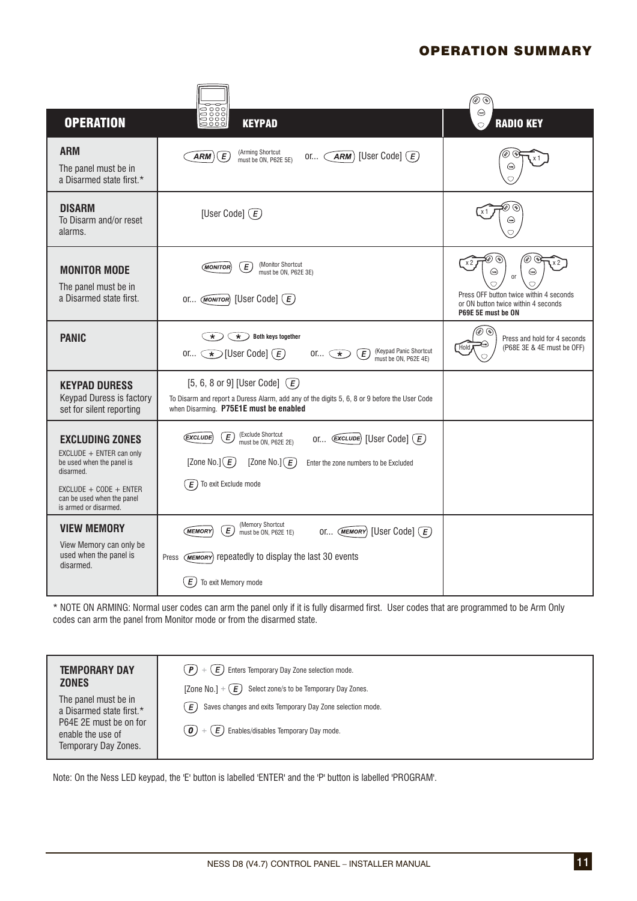# OPERATION SUMMARY

|                                                                                                                                                                                 |                                                                                                                                                                                                                                                                                                              | ە) (ئە                                                                                                                                        |
|---------------------------------------------------------------------------------------------------------------------------------------------------------------------------------|--------------------------------------------------------------------------------------------------------------------------------------------------------------------------------------------------------------------------------------------------------------------------------------------------------------|-----------------------------------------------------------------------------------------------------------------------------------------------|
| <b>OPERATION</b>                                                                                                                                                                | 음향이<br><u>음양이</u><br><b>KEYPAD</b>                                                                                                                                                                                                                                                                           | $\odot$<br><b>RADIO KEY</b><br>$\bigcirc$                                                                                                     |
| <b>ARM</b><br>The panel must be in<br>a Disarmed state first.*                                                                                                                  | (Arming Shortcut<br>[User Code] $\left(\overline{E}\right)$<br>ARM<br>E<br>ARM)<br>or $\subset$<br>must be ON, P62E 5E)                                                                                                                                                                                      |                                                                                                                                               |
| <b>DISARM</b><br>To Disarm and/or reset<br>alarms.                                                                                                                              | [User Code] $\left(\overline{E}\right)$                                                                                                                                                                                                                                                                      |                                                                                                                                               |
| <b>MONITOR MODE</b><br>The panel must be in<br>a Disarmed state first.                                                                                                          | (Monitor Shortcut<br>Ε<br>(MONITOR)<br>must be ON, P62E 3E)<br>[User Code] $\left(\overline{E}\right)$<br>OI (MONITOR)                                                                                                                                                                                       | ⊛<br>(دەھ)<br>⊕<br><sub>or</sub><br>◯<br>Press OFF button twice within 4 seconds<br>or ON button twice within 4 seconds<br>P69E 5E must be ON |
| <b>PANIC</b>                                                                                                                                                                    | <b>Both keys together</b><br>$\star$<br>$\star$ )<br>(Keypad Panic Shortcut<br>must be ON, P62E 4E)<br>or $\bigcirc$ [User Code] $\bigcirc$<br>$\widehat{E}$<br>$or \subset \star$                                                                                                                           | ی کی<br>Press and hold for 4 seconds<br>(P68E 3E & 4E must be OFF)<br>Hold                                                                    |
| <b>KEYPAD DURESS</b><br>Keypad Duress is factory<br>set for silent reporting                                                                                                    | [5, 6, 8 or 9] [User Code] $\left(\overline{E}\right)$<br>To Disarm and report a Duress Alarm, add any of the digits 5, 6, 8 or 9 before the User Code<br>when Disarming. P75E1E must be enabled                                                                                                             |                                                                                                                                               |
| <b>EXCLUDING ZONES</b><br>EXCLUDE + ENTER can only<br>be used when the panel is<br>disarmed.<br>$EXCLUDE + CODE + ENTER$<br>can be used when the panel<br>is armed or disarmed. | (Exclude Shortcut<br>$\boxed{E}$<br>(EXCLUDE)<br>or $\left(\overline{\text{EXECUTE}}\right)$ [User Code] $\left(\overline{E}\right)$<br>must be ON, P62E 2E)<br>[Zone No.] $(E)$<br>[Zone No.] $\big(\widehat{E}\big)$<br>Enter the zone numbers to be Excluded<br>To exit Exclude mode<br>$\left( E\right)$ |                                                                                                                                               |
| <b>VIEW MEMORY</b><br>View Memory can only be<br>used when the panel is<br>disarmed.                                                                                            | (Memory Shortcut<br>$\boxed{E}$<br><b>MEMORY</b><br>[User Code] $\left(\overline{E}\right)$<br>OI (MEMORY)<br>must be ON, P62E 1E)<br>(MEMORY) repeatedly to display the last 30 events<br>Press<br>E)<br>To exit Memory mode                                                                                |                                                                                                                                               |

\* NOTE ON ARMING: Nor mal user codes can arm the panel only if it is fully disarmed first. User codes that are programmed to be Arm Only codes can arm the panel from Monitor mode or from the disarmed state.

| <b>TEMPORARY DAY</b><br><b>ZONES</b><br>The panel must be in<br>a Disarmed state first.*<br>P64E 2E must be on for<br>enable the use of<br>Temporary Day Zones. | $(\, \bm{P}) \, + \, (\, \bm{E}) \,$ Enters Temporary Day Zone selection mode.<br>[Zone No.] + $(E)$<br>Select zone/s to be Temporary Day Zones.<br>Saves changes and exits Temporary Day Zone selection mode.<br>E.<br>( $\boldsymbol{0}$ ) $+$ ( $\boldsymbol{E}$ ) Enables/disables Temporary Day mode. |
|-----------------------------------------------------------------------------------------------------------------------------------------------------------------|------------------------------------------------------------------------------------------------------------------------------------------------------------------------------------------------------------------------------------------------------------------------------------------------------------|
|                                                                                                                                                                 |                                                                                                                                                                                                                                                                                                            |

Note: On the Ness LED keypad, the 'E' button is labelled 'ENTER' and the 'P' button is labelled 'PROGRAM'.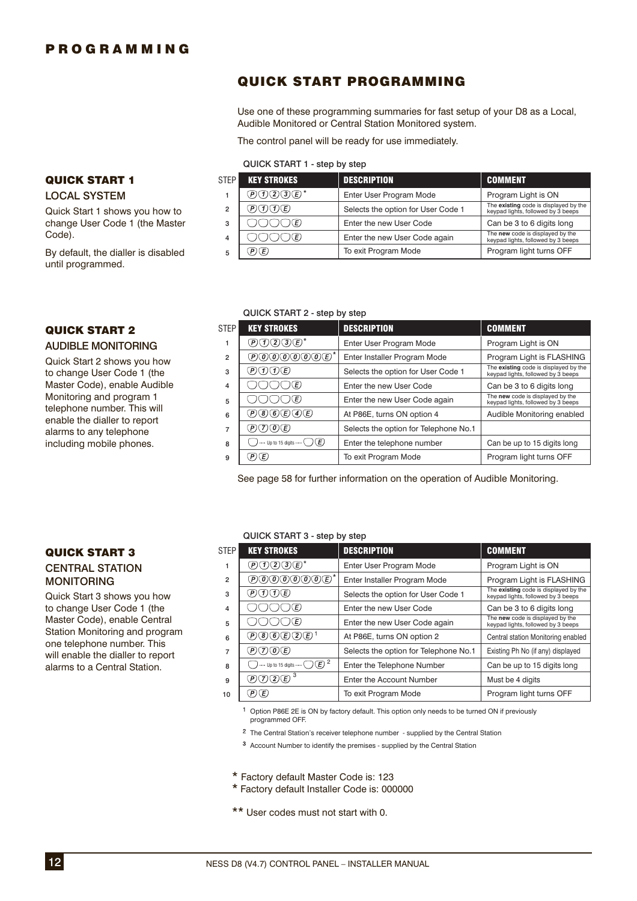QUICK START 1 LOCAL SYSTEM

until programmed.

QUICK START 2 **AUDIBLE MONITORING** Quick Start 2 shows you how to change User Code 1 (the Master Code), enable Audible Monitoring and program 1 telephone number. This will enable the dialler to report alarms to any telephone including mobile phones.

Code).

Quick Start 1 shows you how to change User Code 1 (the Master

By default, the dialler is disabled

# QUICK START PROGRAMMING

Use one of these programming summaries for fast setup of your D8 as a Local, Audible Monitored or Central Station Monitored system.

The control panel will be ready for use immediately.

#### QUICK START 1 - step by step

| <b>STEP</b> | <b>KEY STROKES</b> | <b>DESCRIPTION</b>                 | <b>COMMENT</b>                                                              |
|-------------|--------------------|------------------------------------|-----------------------------------------------------------------------------|
|             | DOQIE*             | Enter User Program Mode            | Program Light is ON                                                         |
| 2           | P(D(T)(E)          | Selects the option for User Code 1 | The existing code is displayed by the<br>keypad lights, followed by 3 beeps |
| 3           | )(E)               | Enter the new User Code            | Can be 3 to 6 digits long                                                   |
| 4           | (E)                | Enter the new User Code again      | The new code is displayed by the<br>keypad lights, followed by 3 beeps      |
| 5           | P(E)               | To exit Program Mode               | Program light turns OFF                                                     |

#### QUICK START 2 - step by step

| <b>STEP</b>    | <b>KEY STROKES</b>                              | <b>DESCRIPTION</b>                    | <b>COMMENT</b>                                                              |
|----------------|-------------------------------------------------|---------------------------------------|-----------------------------------------------------------------------------|
|                | DOQOD*                                          | Enter User Program Mode               | Program Light is ON                                                         |
| $\overline{2}$ | ®®®®®®®™                                        | Enter Installer Program Mode          | Program Light is FLASHING                                                   |
| 3              | P)(I)(I)(E)                                     | Selects the option for User Code 1    | The existing code is displayed by the<br>keypad lights, followed by 3 beeps |
| 4              | )(E)                                            | Enter the new User Code               | Can be 3 to 6 digits long                                                   |
| 5              | )(E)                                            | Enter the new User Code again         | The new code is displayed by the<br>keypad lights, followed by 3 beeps      |
| 6              | D®®©@©                                          | At P86E, turns ON option 4            | Audible Monitoring enabled                                                  |
| 7              | DOOE)                                           | Selects the option for Telephone No.1 |                                                                             |
| 8              | $\cdots$ Up to 15 digits $\cdots$ $\bigcap (E)$ | Enter the telephone number            | Can be up to 15 digits long                                                 |
| 9              | (P)(E)                                          | To exit Program Mode                  | Program light turns OFF                                                     |

See page 58 for further information on the operation of Audible Monitoring.

### QUICK START 3 CENTRAL STATION MONITORING

Quick Start 3 shows you how to change User Code 1 (the Master Code), enable Central Station Monitoring and program one telephone number. This will enable the dialler to report alarms to a Central Station.

### QUICK START 3 - step by step

|                | $\alpha$ order of the contract of $\alpha$ order |                                       |                                                                             |
|----------------|--------------------------------------------------|---------------------------------------|-----------------------------------------------------------------------------|
| <b>STEP</b>    | <b>KEY STROKES</b>                               | <b>DESCRIPTION</b>                    | <b>COMMENT</b>                                                              |
|                | DOQIE*                                           | Enter User Program Mode               | Program Light is ON                                                         |
| $\overline{2}$ | ®®®®®®®™                                         | Enter Installer Program Mode          | Program Light is FLASHING                                                   |
| 3              | PODE                                             | Selects the option for User Code 1    | The existing code is displayed by the<br>keypad lights, followed by 3 beeps |
| 4              | )(E)                                             | Enter the new User Code               | Can be 3 to 6 digits long                                                   |
| 5              | (E)                                              | Enter the new User Code again         | The new code is displayed by the<br>keypad lights, followed by 3 beeps      |
| 6              | @®®©Q©'                                          | At P86E, turns ON option 2            | Central station Monitoring enabled                                          |
| 7              | P(7)(0)E)                                        | Selects the option for Telephone No.1 | Existing Ph No (if any) displayed                                           |
| 8              | ----- Up to 15 digits ----- $\bigcirc$ $(E)$ 2   | Enter the Telephone Number            | Can be up to 15 digits long                                                 |
| 9              | POQE)                                            | Enter the Account Number              | Must be 4 digits                                                            |
| 10             | (P)(E)                                           | To exit Program Mode                  | Program light turns OFF                                                     |

<sup>1</sup> Option P86E 2E is ON by factory default. This option only needs to be turned ON if previously programmed OFF.

 $2$  The Central Station's receiver telephone number - supplied by the Central Station

<sup>3</sup> Account Number to identify the premises - supplied by the Central Station

\* Factory default Master Code is: 123

\* Factory default Installer Code is: 000000

\*\* User codes must not start with 0.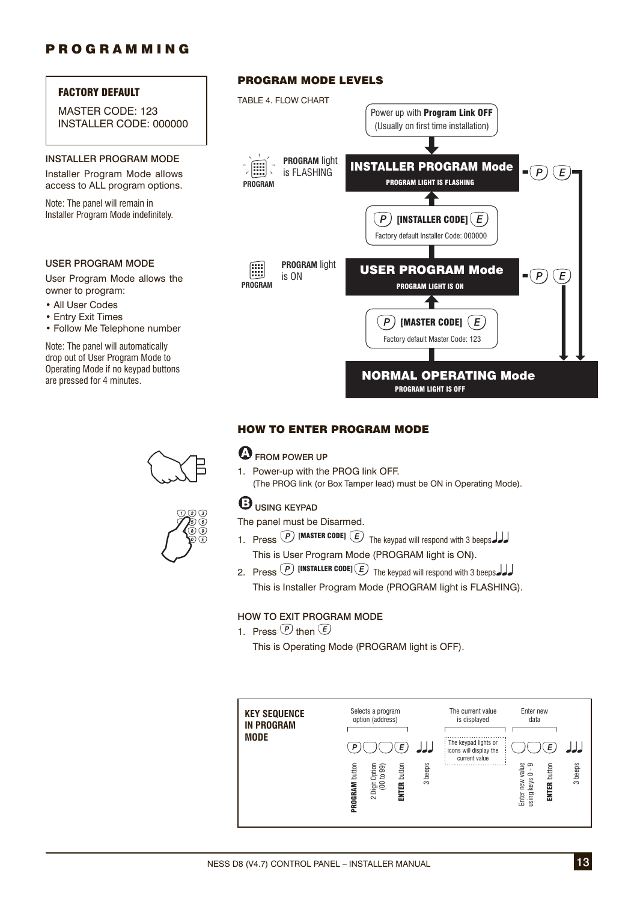### FACTORY DEFAULT

MASTER CODE: 123 INSTALLER CODE: 000000

### INSTALLER PROGRAM MODE

Installer Program Mode allows access to ALL program options.

Note: The panel will remain in Installer Program Mode indefinitely.

### USER PROGRAM MODE

User Program Mode allows the owner to program:

- All User Codes
- Entry Exit Times
- Follow Me Telephone number

Note: The panel will automatically drop out of User Program Mode to Operating Mode if no keypad buttons are pressed for 4 minutes.





### PROGRAM MODE LEVELS



### HOW TO ENTER PROGRAM MODE

### **EXP** FROM POWER UP

1. Power-up with the PROG link OFF. (The PROG link (or Box Tamper lead) must be ON in Operating Mode).

# **B**USING KEYPAD

The panel must be Disarmed.

- 1. Press  $\overline{P}$  [MASTER CODE]  $\overline{E}$  The keypad will respond with 3 beeps This is User Program Mode (PROGRAM light is ON).
- 2. Press  $\overline{P}$  [INSTALLER CODE]  $\overline{E}$  The keypad will respond with 3 beeps This is Installer Program Mode (PROGRAM light is FLASHING).

### HOW TO EXIT PROGRAM MODE

1 Press  $\overline{P}$  then  $\overline{E}$ 

This is Operating Mode (PROGRAM light is OFF).

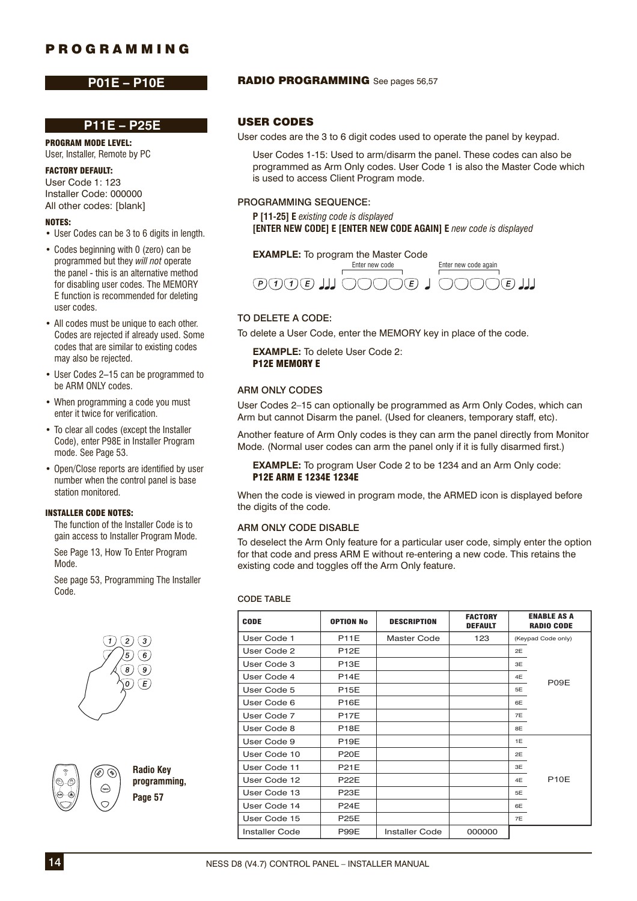### **P11E – P25E**

PROGRAM MODE LEVEL: User, Installer, Remote by PC

### FACTORY DEFAULT:

User Code 1: 123 Installer Code: 000000 All other codes: [blank]

#### NOTES:

- User Codes can be 3 to 6 digits in length.
- Codes beginning with 0 (zero) can be programmed but they *will not* operate the panel - this is an alternative method for disabling user codes. The MEMORY E function is recommended for deleting user codes.
- All codes must be unique to each other. Codes are rejected if already used. Some codes that are similar to existing codes may also be rejected.
- User Codes 2–15 can be programmed to be ARM ONLY codes.
- When programming a code you must enter it twice for verification.
- To clear all codes (except the Installer Code), enter P98E in Installer Program mode. See Page 53.
- Open/Close reports are identified by user number when the control panel is base station monitored.

#### INSTALLER CODE NOTES:

 The function of the Installer Code is to gain access to Installer Program Mode.

 See Page 13, How To Enter Program Mode.

 See page 53, Programming The Installer Code.





**Radio Key programming, Page 57**

### P01E – P10E RADIO PROGRAMMING See pages 56,57

### USER CODES

User codes are the 3 to 6 digit codes used to operate the panel by keypad.

User Codes 1-15: Used to arm/disarm the panel. These codes can also be programmed as Arm Only codes. User Code 1 is also the Master Code which is used to access Client Program mode.

### PROGRAMMING SEQUENCE:

**P [11-25] E** *existing code is displayed* **[ENTER NEW CODE] E [ENTER NEW CODE AGAIN] E** new code is displayed

**EXAMPLE:** To program the Master Code



### TO DELETE A CODE:

To delete a User Code, enter the MEMORY key in place of the code.

**EXAMPLE:** To delete User Code 2: P12E MEMORY E

### ARM ONLY CODES

User Codes 2–15 can optionally be programmed as Arm Only Codes, which can Arm but cannot Disarm the panel. (Used for cleaners, temporary staff, etc).

Another feature of Arm Only codes is they can arm the panel directly from Monitor Mode. (Normal user codes can arm the panel only if it is fully disarmed first.)

**EXAMPLE:** To program User Code 2 to be 1234 and an Arm Only code: P12E ARM E 1234E 1234E

When the code is viewed in program mode, the ARMED icon is displayed before the digits of the code.

### ARM ONLY CODE DISABLE

To deselect the Arm Only feature for a particular user code, simply enter the option for that code and press ARM E without re-entering a new code. This retains the existing code and toggles off the Arm Only feature.

#### CODE TABLE

| <b>CODE</b>           | <b>OPTION No</b>  | <b>DESCRIPTION</b>    | <b>FACTORY</b><br><b>DEFAULT</b> | <b>ENABLE AS A</b><br><b>RADIO CODE</b> |
|-----------------------|-------------------|-----------------------|----------------------------------|-----------------------------------------|
| User Code 1           | <b>P11E</b>       | Master Code           | 123                              | (Keypad Code only)                      |
| User Code 2           | <b>P12E</b>       |                       |                                  | 2E                                      |
| User Code 3           | <b>P13E</b>       |                       |                                  | 3E                                      |
| User Code 4           | <b>P14E</b>       |                       |                                  | 4E<br>P09E                              |
| User Code 5           | <b>P15E</b>       |                       |                                  | 5E                                      |
| User Code 6           | <b>P16E</b>       |                       |                                  | 6E                                      |
| User Code 7           | <b>P17E</b>       |                       |                                  | 7E                                      |
| User Code 8           | P <sub>18</sub> E |                       |                                  | 8E                                      |
| User Code 9           | P <sub>19E</sub>  |                       |                                  | 1E                                      |
| User Code 10          | <b>P20E</b>       |                       |                                  | 2E                                      |
| User Code 11          | <b>P21E</b>       |                       |                                  | 3E                                      |
| User Code 12          | <b>P22E</b>       |                       |                                  | P10F<br>4E                              |
| User Code 13          | <b>P23E</b>       |                       |                                  | 5E                                      |
| User Code 14          | <b>P24E</b>       |                       |                                  | 6E                                      |
| User Code 15          | <b>P25E</b>       |                       |                                  | 7E                                      |
| <b>Installer Code</b> | P99E              | <b>Installer Code</b> | 000000                           |                                         |

14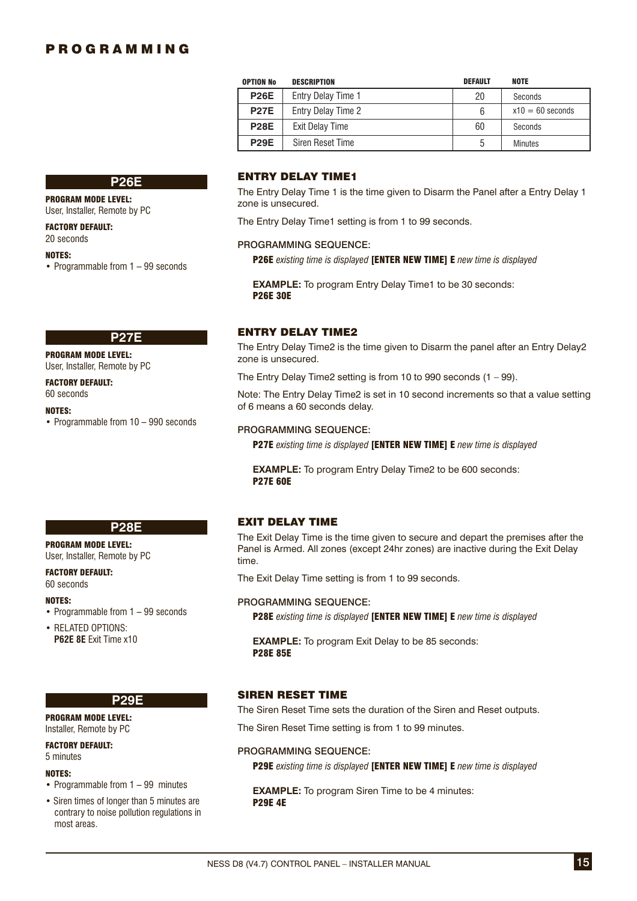| <b>OPTION No</b> | <b>DESCRIPTION</b> | <b>DEFAULT</b> | <b>NOTE</b>        |
|------------------|--------------------|----------------|--------------------|
| <b>P26E</b>      | Entry Delay Time 1 | 20             | Seconds            |
| <b>P27E</b>      | Entry Delay Time 2 | 6              | $x10 = 60$ seconds |
| <b>P28E</b>      | Exit Delay Time    | 60             | Seconds            |
| <b>P29E</b>      | Siren Reset Time   | 5              | Minutes            |

### **P26E**

### PROGRAM MODE LEVEL:

User, Installer, Remote by PC

FACTORY DEFAULT:

# 20 seconds

#### NOTES:

• Programmable from 1 – 99 seconds

#### **P27E**

PROGRAM MODE LEVEL:

User, Installer, Remote by PC

#### FACTORY DEFAULT: 60 seconds

NOTES:

• Programmable from 10 – 990 seconds

### ENTRY DELAY TIME1

The Entry Delay Time 1 is the time given to Disarm the Panel after a Entry Delay 1 zone is unsecured.

The Entry Delay Time1 setting is from 1 to 99 seconds.

#### PROGRAMMING SEQUENCE:

P26E *existing time is displayed* [ENTER NEW TIME] E *new time is displayed*

**EXAMPLE:** To program Entry Delay Time1 to be 30 seconds: P26E 30E

### ENTRY DELAY TIME2

The Entry Delay Time2 is the time given to Disarm the panel after an Entry Delay2 zone is unsecured.

The Entry Delay Time2 setting is from 10 to 990 seconds (1 – 99).

Note: The Entry Delay Time2 is set in 10 second increments so that a value setting of 6 means a 60 seconds delay.

#### PROGRAMMING SEQUENCE:

P27E *existing time is displayed* [ENTER NEW TIME] E *new time is displayed*

**EXAMPLE:** To program Entry Delay Time2 to be 600 seconds: P27E 60E

### EXIT DELAY TIME

The Exit Delay Time is the time given to secure and depart the premises after the Panel is Armed. All zones (except 24hr zones) are inactive during the Exit Delay time.

The Exit Delay Time setting is from 1 to 99 seconds.

### PROGRAMMING SEQUENCE:

P28E *existing time is displayed* [ENTER NEW TIME] E *new time is displayed*

**EXAMPLE:** To program Exit Delay to be 85 seconds: P28E 85E

### SIREN RESET TIME

The Siren Reset Time sets the duration of the Siren and Reset outputs.

The Siren Reset Time setting is from 1 to 99 minutes.

### PROGRAMMING SEQUENCE:

P29E *existing time is displayed* [ENTER NEW TIME] E *new time is displayed*

**EXAMPLE:** To program Siren Time to be 4 minutes: P29E 4E

### **P28E**

#### PROGRAM MODE LEVEL: User, Installer, Remote by PC

FACTORY DEFAULT: 60 seconds

#### NOTES:

- Programmable from 1 99 seconds
- RELATED OPTIONS: **P62E 8E** Exit Time x10

#### **P29E**

#### PROGRAM MODE LEVEL: Installer, Remote by PC

#### FACTORY DEFAULT:

5 minutes

### NOTES:

- Programmable from 1 99 minutes
- Siren times of longer than 5 minutes are contrary to noise pollution regulations in most areas.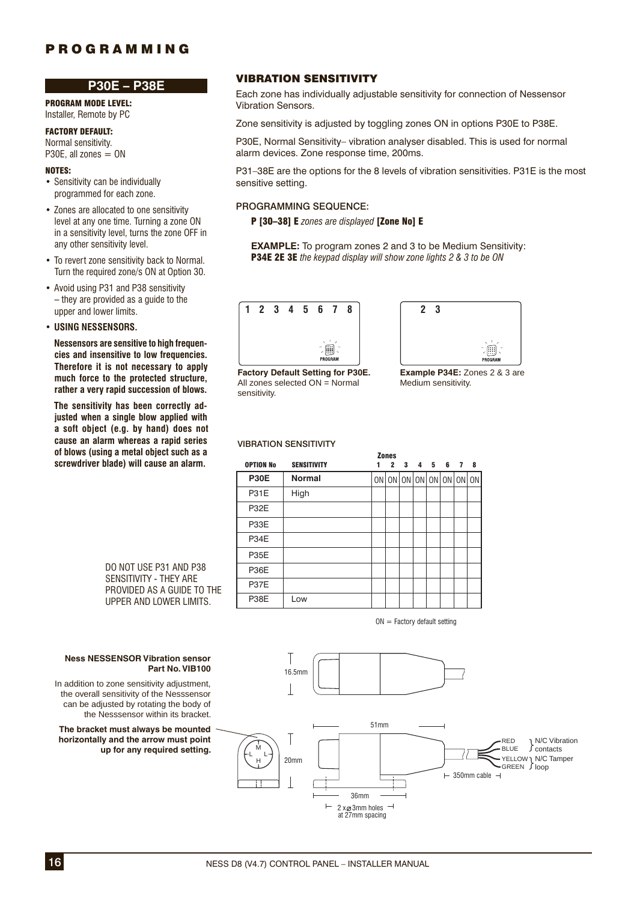# **P30E – P38E**

PROGRAM MODE LEVEL: Installer, Remote by PC

FACTORY DEFAULT: Normal sensitivity.

P30E, all zones  $=$  ON

### NOTES:

- Sensitivity can be individually programmed for each zone.
- Zones are allocated to one sensitivity level at any one time. Turning a zone ON in a sensitivity level, turns the zone OFF in any other sensitivity level.
- To revert zone sensitivity back to Normal. Turn the required zone/s ON at Option 30.
- Avoid using P31 and P38 sensitivity – they are provided as a guide to the upper and lower limits.

### • **USING NESSENSORS.**

**Nessensors are sensitive to high frequen**cies and insensitive to low frequencies. **Therefore it is not necessary to apply** much force to the protected structure, rather a very rapid succession of blows.

The sensitivity has been correctly ad*iusted when a single blow applied with* **a soft ob ject (e.g. by hand) does not**  cause an alarm whereas a rapid series of blows (using a metal object such as a **screw driv er blade) will cause an alarm.**

VIBRATION SENSITIVITY

Each zone has individually adjustable sensitivity for connection of Nessensor Vibration Sensors.

Zone sensitivity is adjusted by toggling zones ON in options P30E to P38E.

P30E, Normal Sensitivity– vibration analyser disabled. This is used for normal alarm devices. Zone response time, 200ms.

P31–38E are the options for the 8 levels of vibration sensitivities. P31E is the most sensitive setting.

### PROGRAMMING SEQUENCE:

P [30–38] E *zones are displayed* [Zone No] E

**EXAMPLE:** To program zones 2 and 3 to be Medium Sensitivity: P34E 2E 3E *the keypad display will show zone lights 2 & 3 to be ON*





**Factory Default Setting for P30E.** All zones selected ON = Normal sensitivity.

**Example P34E:** Zones 2 & 3 are Medium sensitivity.

#### VIBRATION SENSITIVITY

|                  |                    | <b>Zones</b>                          |   |   |   |   |   |   |
|------------------|--------------------|---------------------------------------|---|---|---|---|---|---|
| <b>OPTION No</b> | <b>SENSITIVITY</b> | 2                                     | 3 | 4 | 5 | 6 | 7 | 8 |
| <b>P30E</b>      | <b>Normal</b>      | ON   ON   ON   ON   ON   ON   ON   ON |   |   |   |   |   |   |
| <b>P31E</b>      | High               |                                       |   |   |   |   |   |   |
| P32E             |                    |                                       |   |   |   |   |   |   |
| P33E             |                    |                                       |   |   |   |   |   |   |
| P34E             |                    |                                       |   |   |   |   |   |   |
| <b>P35E</b>      |                    |                                       |   |   |   |   |   |   |
| <b>P36E</b>      |                    |                                       |   |   |   |   |   |   |
| <b>P37E</b>      |                    |                                       |   |   |   |   |   |   |
| <b>P38E</b>      | Low                |                                       |   |   |   |   |   |   |

 $ON =$  Factory default setting



DO NOT USE P31 AND P38 SENSITIVITY - THEY ARE PROVIDED AS A GUIDE TO THE UPPER AND LOWER LIMITS.

#### **Ness NESSENSOR Vibration sensor Part No. VIB100**

In addition to zone sensitivity adjustment, the overall sensitivity of the Nesssensor can be adjusted by rotating the body of the Nesssensor within its bracket.

**The bracket must always be mounted horizontally and the arrow must point up for any required setting.**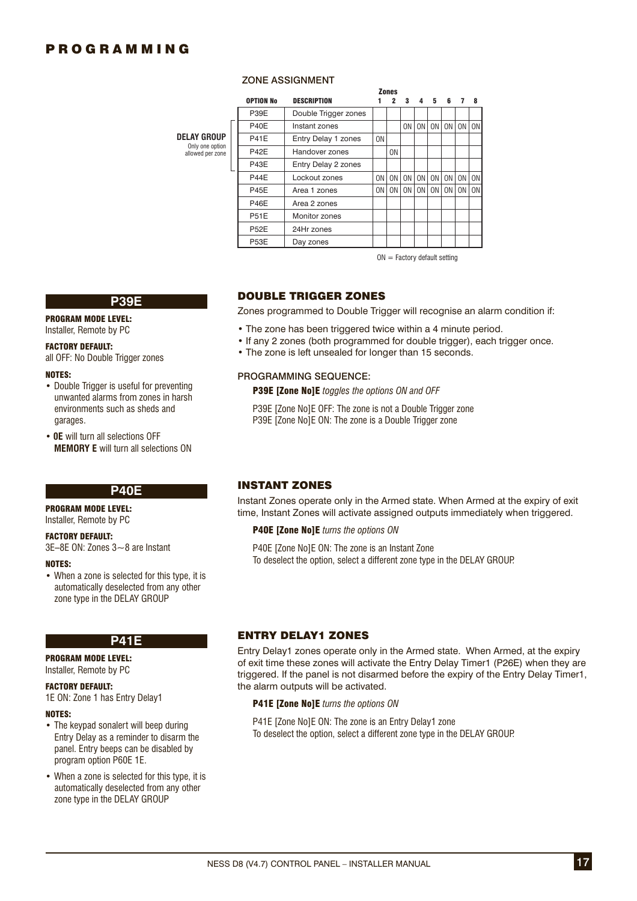**DEL** 

 $a$ ll

#### ZONE ASSIGNMENT

|                                    |                  |                      |                | <b>Zones</b>   |                |                |                |                |    |           |
|------------------------------------|------------------|----------------------|----------------|----------------|----------------|----------------|----------------|----------------|----|-----------|
|                                    | <b>OPTION No</b> | <b>DESCRIPTION</b>   |                | 2              | 3              | 4              | 5              | 6              | 7  | 8         |
|                                    | P39E             | Double Trigger zones |                |                |                |                |                |                |    |           |
|                                    | <b>P40E</b>      | Instant zones        |                |                | 0N             | 0 <sub>N</sub> | 0 <sub>N</sub> | ON I           | 0N | <b>ON</b> |
| AY GROUP.                          | <b>P41E</b>      | Entry Delay 1 zones  | 0 <sub>N</sub> |                |                |                |                |                |    |           |
| Only one option<br>llowed per zone | <b>P42E</b>      | Handover zones       |                | 0 <sub>N</sub> |                |                |                |                |    |           |
|                                    | P43E             | Entry Delay 2 zones  |                |                |                |                |                |                |    |           |
|                                    | <b>P44E</b>      | Lockout zones        | 0N             | 0 <sub>N</sub> | 0 <sub>N</sub> | 0 <sub>N</sub> | 0 <sub>N</sub> | 0 <sub>N</sub> | 0N | <b>ON</b> |
|                                    | <b>P45E</b>      | Area 1 zones         | 0N             | 0N             | 0N             | 0 <sub>N</sub> | 0 <sub>N</sub> | 0 <sub>N</sub> | 0N | <b>ON</b> |
|                                    | <b>P46E</b>      | Area 2 zones         |                |                |                |                |                |                |    |           |
|                                    | <b>P51E</b>      | Monitor zones        |                |                |                |                |                |                |    |           |
|                                    | <b>P52E</b>      | 24Hr zones           |                |                |                |                |                |                |    |           |
|                                    | <b>P53E</b>      | Day zones            |                |                |                |                |                |                |    |           |
|                                    |                  |                      |                |                |                |                |                |                |    |           |

 $ON =$  Factory default setting

#### **P39E**

PROGRAM MODE LEVEL:

Installer, Remote by PC

### FACTORY DEFAULT:

all OFF: No Double Trigger zones

#### NOTES:

- Double Trigger is useful for preventing unwanted alarms from zones in harsh environments such as sheds and garages.
- **0E** will turn all selections OFF **MEMORY E** will turn all selections ON

### **P40E**

#### PROGRAM MODE LEVEL:

Installer, Remote by PC

#### FACTORY DEFAULT:

3E–8E ON: Zones 3~8 are Instant

#### NOTES:

• When a zone is selected for this type, it is automatically deselected from any other zone type in the DELAY GROUP

### **P41E**

### PROGRAM MODE LEVEL:

#### Installer, Remote by PC

#### FACTORY DEFAULT:

1E ON: Zone 1 has Entry Delay1

#### NOTES:

- The keypad sonalert will beep during Entry Delay as a reminder to disarm the panel. Entry beeps can be disabled by program option P60E 1E.
- When a zone is selected for this type, it is automatically deselected from any other zone type in the DELAY GROUP

### DOUBLE TRIGGER ZONES

Zones programmed to Double Trigger will recognise an alarm condition if:

- The zone has been triggered twice within a 4 minute period.
- If any 2 zones (both programmed for double trigger), each trigger once.
- The zone is left unsealed for longer than 15 seconds.

### PROGRAMMING SEQUENCE:

P39E [Zone No]E *toggles the options ON and OFF*

P39E [Zone No]E OFF: The zone is not a Double Trigger zone P39E [Zone No]E ON: The zone is a Double Trigger zone

### INSTANT ZONES

Instant Zones operate only in the Armed state. When Armed at the expiry of exit time, Instant Zones will activate assigned outputs immediately when triggered.

#### P40E [Zone No]E *turns the options ON*

P40E [Zone No]E ON: The zone is an Instant Zone To deselect the option, select a different zone type in the DELAY GROUP.

### ENTRY DELAY1 ZONES

Entry Delay1 zones operate only in the Armed state. When Armed, at the expiry of exit time these zones will activate the Entry Delay Timer1 (P26E) when they are triggered. If the panel is not disarmed before the expiry of the Entry Delay Timer1, the alarm outputs will be activated.

#### P41E [Zone No]E *turns the options ON*

P41E [Zone No]E ON: The zone is an Entry Delay1 zone To deselect the option, select a different zone type in the DELAY GROUP.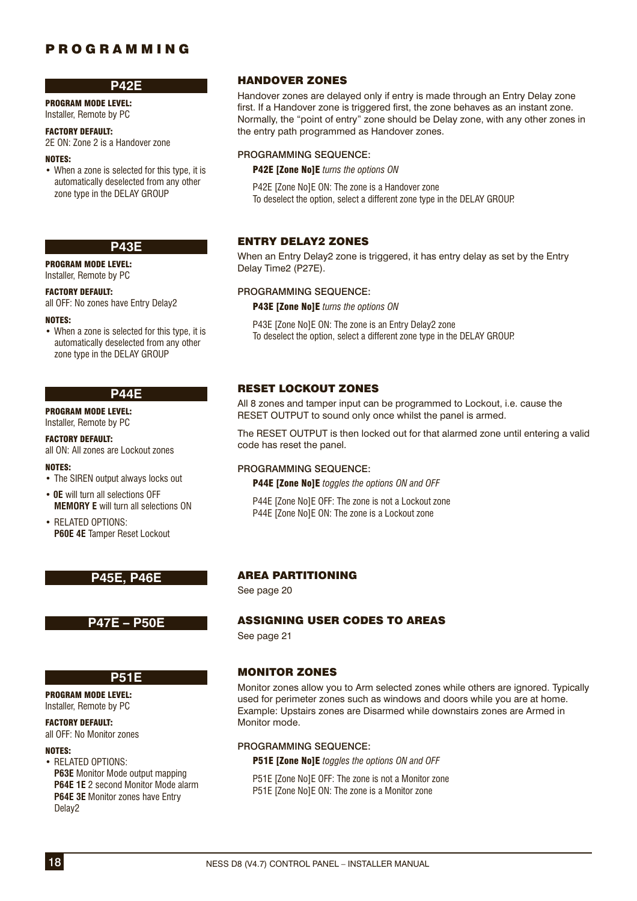### **P42E**

PROGRAM MODE LEVEL: Installer, Remote by PC

#### FACTORY DEFAULT:

2E ON: Zone 2 is a Handover zone

### NOTES:

• When a zone is selected for this type, it is automatically deselected from any other zone type in the DELAY GROUP

### **P43E**

PROGRAM MODE LEVEL:

#### Installer, Remote by PC

FACTORY DEFAULT:

all OFF: No zones have Entry Delay2

#### NOTES:

• When a zone is selected for this type, it is automatically deselected from any other zone type in the DELAY GROUP

#### **P44E**

PROGRAM MODE LEVEL: Installer, Remote by PC

FACTORY DEFAULT:

all ON: All zones are Lockout zones

#### NOTES:

- The SIREN output always locks out
- **0E** will turn all selections OFF **MEMORY E** will turn all selections ON
- RELATED OPTIONS: **P60E 4E** Tamper Reset Lockout

### **P45E, P46E**

### **P47E – P50E**

## **P51E**

PROGRAM MODE LEVEL: Installer, Remote by PC

#### FACTORY DEFAULT:

all OFF: No Monitor zones

### NOTES:

• RELATED OPTIONS: **P63E** Monitor Mode output mapping **P64E 1E** 2 second Monitor Mode alarm **P64E 3E** Monitor zones have Entry Delay2

### HANDOVER ZONES

Handover zones are delayed only if entry is made through an Entry Delay zone first. If a Handover zone is triggered first, the zone behaves as an instant zone. Normally, the "point of entry" zone should be Delay zone, with any other zones in the entry path programmed as Handover zones.

### PROGRAMMING SEQUENCE:

P42E [Zone No]E *turns the options ON*

P42E [Zone No]E ON: The zone is a Handover zone To deselect the option, select a different zone type in the DELAY GROUP.

### ENTRY DELAY2 ZONES

When an Entry Delay2 zone is triggered, it has entry delay as set by the Entry Delay Time2 (P27E).

#### PROGRAMMING SEQUENCE:

**P43E [Zone NolE** turns the options ON

P43E [Zone No]E ON: The zone is an Entry Delay2 zone To deselect the option, select a different zone type in the DELAY GROUP.

### RESET LOCKOUT ZONES

All 8 zones and tamper input can be programmed to Lockout, i.e. cause the RESET OUTPUT to sound only once whilst the panel is armed.

The RESET OUTPUT is then locked out for that alarmed zone until entering a valid code has reset the panel.

#### PROGRAMMING SEQUENCE:

P44E [Zone No]E *toggles the options ON and OFF*

P44E [Zone No]E OFF: The zone is not a Lockout zone P44E [Zone No]E ON: The zone is a Lockout zone

### AREA PARTITIONING

See page 20

### ASSIGNING USER CODES TO AREAS

See page 21

### MONITOR ZONES

Monitor zones allow you to Arm selected zones while others are ignored. Typically used for perimeter zones such as windows and doors while you are at home. Example: Upstairs zones are Disarmed while downstairs zones are Armed in Monitor mode

#### PROGRAMMING SEQUENCE:

P51E [Zone No]E *toggles the options ON and OFF*

P51E [Zone No]E OFF: The zone is not a Monitor zone P51E [Zone No]E ON: The zone is a Monitor zone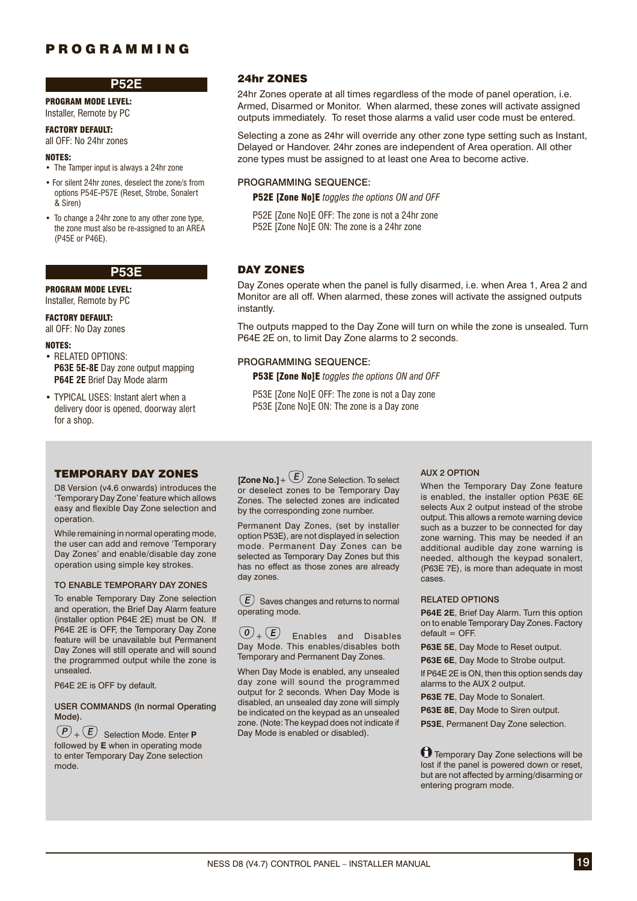#### **P52E**

PROGRAM MODE LEVEL: Installer, Remote by PC

#### FACTORY DEFAULT:

all OFF: No 24hr zones

#### NOTES:

- The Tamper input is always a 24hr zone
- For silent 24hr zones, deselect the zone/s from options P54E-P57E (Reset, Strobe, Sonalert & Siren)
- To change a 24hr zone to any other zone type, the zone must also be re-assigned to an AREA (P45E or P46E).

**P53E**

PROGRAM MODE LEVEL: Installer, Remote by PC

### FACTORY DEFAULT:

all OFF: No Day zones

#### NOTES:

- RELATED OPTIONS: **P63E 5E-8E** Day zone output mapping **P64E 2E** Brief Day Mode alarm
- TYPICAL USES: Instant alert when a delivery door is opened, doorway alert for a shop.

### TEMPORARY DAY ZONES

D8 Version (v4.6 onwards) introduces the 'Temporary Day Zone' feature which allows easy and flexible Day Zone selection and operation.

While remaining in normal operating mode, the user can add and remove 'Temporary Day Zones' and enable/disable day zone operation using simple key strokes.

#### TO ENABLE TEMPORARY DAY ZONES

To enable Temporary Day Zone selection and operation, the Brief Day Alarm feature (installer option P64E 2E) must be ON. If P64E 2E is OFF, the Temporary Day Zone feature will be unavailable but Permanent Day Zones will still operate and will sound the programmed output while the zone is unsealed.

P64E 2E is OFF by default.

**USER COMMANDS (In normal Operating** Mode).

+ Selection Mode. Enter **P** followed by **E** when in operating mode to enter Temporary Day Zone selection mode.

### 24hr ZONES

24hr Zones operate at all times regardless of the mode of panel operation, i.e. Armed, Disarmed or Monitor. When alarmed, these zones will activate assigned outputs immediately. To reset those alarms a valid user code must be entered.

Selecting a zone as 24hr will override any other zone type setting such as Instant, Delayed or Handover. 24hr zones are independent of Area operation. All other zone types must be assigned to at least one Area to become active.

#### PROGRAMMING SEQUENCE:

P52E [Zone No]E *toggles the options ON and OFF*

P52E [Zone No]E OFF: The zone is not a 24hr zone P52E [Zone No]E ON: The zone is a 24hr zone

### DAY ZONES

Day Zones operate when the panel is fully disarmed, i.e. when Area 1, Area 2 and Monitor are all off. When alarmed, these zones will activate the assigned outputs instantly.

The outputs mapped to the Day Zone will turn on while the zone is unsealed. Turn P64E 2E on, to limit Day Zone alarms to 2 seconds.

#### PROGRAMMING SEQUENCE:

P53E [Zone No]E *toggles the options ON and OFF*

P53E [Zone No]E OFF: The zone is not a Day zone P53E [Zone No]E ON: The zone is a Day zone

**[Zone No.]** +  $(E)$  Zone Selection. To select or deselect zones to be Temporary Day Zones. The selected zones are indicated by the corresponding zone number.

Permanent Day Zones, (set by installer option P53E), are not displayed in selection mode. Permanent Day Zones can be selected as Temporary Day Zones but this has no effect as those zones are already day zones.

 $(E)$  Saves changes and returns to normal operating mode.

 $\left(0\right)$  Enables and Disables Day Mode. This enables/disables both Temporary and Permanent Day Zones.

When Day Mode is enabled, any unsealed day zone will sound the programmed output for 2 seconds. When Day Mode is disabled, an unsealed day zone will simply be indicated on the keypad as an unsealed zone. (Note: The keypad does not indicate if Day Mode is enabled or disabled).

#### AUX 2 OPTION

When the Temporary Day Zone feature is enabled, the installer option P63E 6E selects Aux 2 output instead of the strobe output. This allows a remote warning device such as a buzzer to be connected for day zone warning. This may be needed if an additional audible day zone warning is needed, although the keypad sonalert, (P63E 7E), is more than adequate in most cases.

#### RELATED OPTIONS

**P64E 2E**, Brief Day Alarm. Turn this option on to enable Temporary Day Zones. Factory  $default = OFF.$ 

**P63E 5E**, Day Mode to Reset output.

**P63E 6E**, Day Mode to Strobe output.

If P64E 2E is ON, then this option sends day alarms to the AUX 2 output.

**P63E 7E**, Day Mode to Sonalert.

**P63E 8E.** Day Mode to Siren output.

**P53E**, Permanent Day Zone selection.

**T**emporary Day Zone selections will be lost if the panel is powered down or reset, but are not affected by arming/disarming or entering program mode.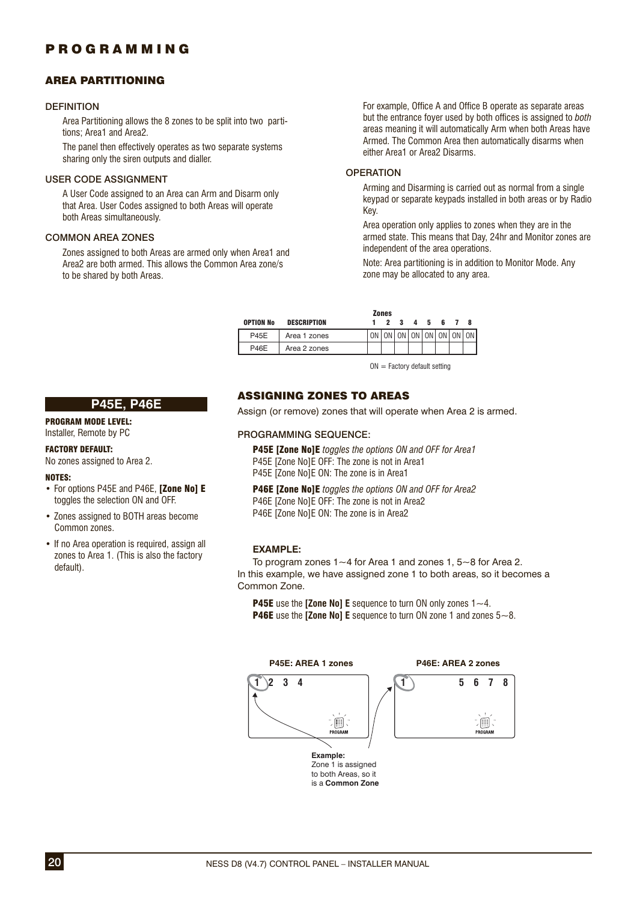### AREA PARTITIONING

### **DEFINITION**

Area Partitioning allows the 8 zones to be split into two partitions; Area1 and Area2.

The panel then effectively operates as two separate systems sharing only the siren outputs and dialler.

#### USER CODE ASSIGNMENT

A User Code assigned to an Area can Arm and Disarm only that Area. User Codes assigned to both Areas will operate both Areas simultaneously.

### COMMON AREA ZONES

Zones assigned to both Areas are armed only when Area1 and Area2 are both armed. This allows the Common Area zone/s to be shared by both Areas.

For example, Office A and Office B operate as separate areas but the entrance foyer used by both offices is assigned to *both* areas meaning it will automatically Arm when both Areas have Armed. The Common Area then automatically disarms when either Area1 or Area2 Disarms.

### **OPERATION**

Arming and Disarming is carried out as normal from a single keypad or separate keypads installed in both areas or by Radio Key.

Area operation only applies to zones when they are in the armed state. This means that Day, 24hr and Monitor zones are independent of the area operations.

Note: Area partitioning is in addition to Monitor Mode. Any zone may be allocated to any area.

|                  |              | <b>Zones</b> |         |  |     |                            |
|------------------|--------------|--------------|---------|--|-----|----------------------------|
| <b>OPTION No</b> | DESCRIPTION  |              | 2 3 4 5 |  | 678 |                            |
| <b>P45E</b>      | Area 1 zones |              |         |  |     | ON ON ON ON ON ON ON ON ON |
| <b>P46E</b>      | Area 2 zones |              |         |  |     |                            |

 $ON =$  Factory default setting

### **P45E, P46E**

### PROGRAM MODE LEVEL:

Installer, Remote by PC

### FACTORY DEFAULT:

No zones assigned to Area 2.

#### NOTES:

- For options P45E and P46E, [Zone No] E toggles the selection ON and OFF.
- Zones assigned to BOTH areas become Common zones.
- If no Area operation is required, assign all zones to Area 1. (This is also the factory default).

### ASSIGNING ZONES TO AREAS

Assign (or remove) zones that will operate when Area 2 is armed.

#### PROGRAMMING SEQUENCE:

P45E [Zone No]E *toggles the options ON and OFF for Area1* P45E [Zone No]E OFF: The zone is not in Area1 P45E [Zone No]E ON: The zone is in Area1

P46E [Zone No]E *toggles the options ON and OFF for Area2* P46E [Zone No]E OFF: The zone is not in Area2 P46E [Zone No]E ON: The zone is in Area2

#### **EXAMPLE:**

To program zones  $1 \sim 4$  for Area 1 and zones 1,  $5 \sim 8$  for Area 2. In this example, we have assigned zone 1 to both areas, so it becomes a Common Zone.

P45E use the **[Zone No] E** sequence to turn ON only zones 1~4. P46E use the **[Zone No] E** sequence to turn ON zone 1 and zones 5~8.

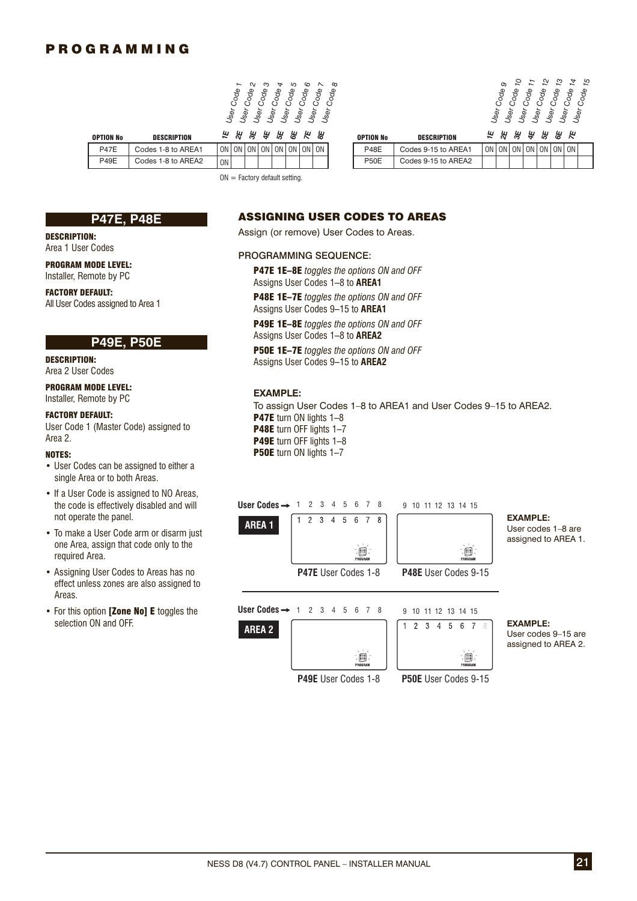



|             | DESCRIPTION        |    | ఊ  | ᄲ  | ₩,   | ង្ហ | ង     |      | 씖  | <b>OPTION No</b> | <b>DESCRIPTION</b>  |
|-------------|--------------------|----|----|----|------|-----|-------|------|----|------------------|---------------------|
| <b>P47E</b> | Codes 1-8 to AREA1 | ON | 0N | 0N | ON I |     | ON ON | ON I | 0N | <b>P48E</b>      | Codes 9-15 to AREA1 |
| <b>P49E</b> | Codes 1-8 to AREA2 | 0N |    |    |      |     |       |      |    | <b>P50E</b>      | Codes 9-15 to AREA2 |

| <b>TION No</b> | <b>DESCRIPTION</b> |           |  | E & # # # # # #         |  |    | <b>OPTION No</b> | <b>DESCRIPTION</b>  |       | E & # # # # # |  |       |  |
|----------------|--------------------|-----------|--|-------------------------|--|----|------------------|---------------------|-------|---------------|--|-------|--|
| <b>P47E</b>    | Codes 1-8 to AREA1 | ON I      |  | ON ON ON ON ON ON ON ON |  | ON | <b>P48E</b>      | Codes 9-15 to AREA1 | ON ON | ON ON ON I    |  | ON ON |  |
| P49E           | Codes 1-8 to AREA2 | <b>ON</b> |  |                         |  |    | <b>P50E</b>      | Codes 9-15 to AREA2 |       |               |  |       |  |

 $ON = Factorv$  default setting.

### **P47E, P48E**

### DESCRIPTION:

Area 1 User Codes

PROGRAM MODE LEVEL: Installer, Remote by PC

FACTORY DEFAULT: All User Codes assigned to Area 1

### **P49E, P50E**

DESCRIPTION: Area 2 User Codes

### PROGRAM MODE LEVEL:

Installer, Remote by PC

### FACTORY DEFAULT:

User Code 1 (Master Code) assigned to Area 2.

#### NOTES:

- User Codes can be assigned to either a single Area or to both Areas.
- If a User Code is assigned to NO Areas, the code is effectively disabled and will not operate the panel.
- To make a User Code arm or disarm just one Area, assign that code only to the required Area.
- Assigning User Codes to Areas has no effect unless zones are also assigned to Areas.
- For this option [Zone No] E toggles the selection ON and OFF.

### ASSIGNING USER CODES TO AREAS

Assign (or remove) User Codes to Areas.

#### PROGRAMMING SEQUENCE:

P47E 1E–8E *toggles the options ON and OFF* Assigns User Codes 1–8 to **AREA1**

P48E 1E–7E *toggles the options ON and OFF* Assigns User Codes 9–15 to **AREA1**

P49E 1E–8E *toggles the options ON and OFF* Assigns User Codes 1–8 to **AREA2**

P50E 1E–7E *toggles the options ON and OFF* Assigns User Codes 9–15 to **AREA2**

### **EXAMPLE:**

To assign User Codes 1–8 to AREA1 and User Codes 9–15 to AREA2. P47E turn ON lights 1-8 P48E turn OFF lights 1-7 P49E turn OFF lights 1-8 **P50E** turn ON lights 1-7



User codes 9–15 are assigned to AREA 2.

**P49E** User Codes 1-8

 $\overline{\mathbb{D}}$ 



**P50E** User Codes 9-15

 $\overline{\mathbb{D}}$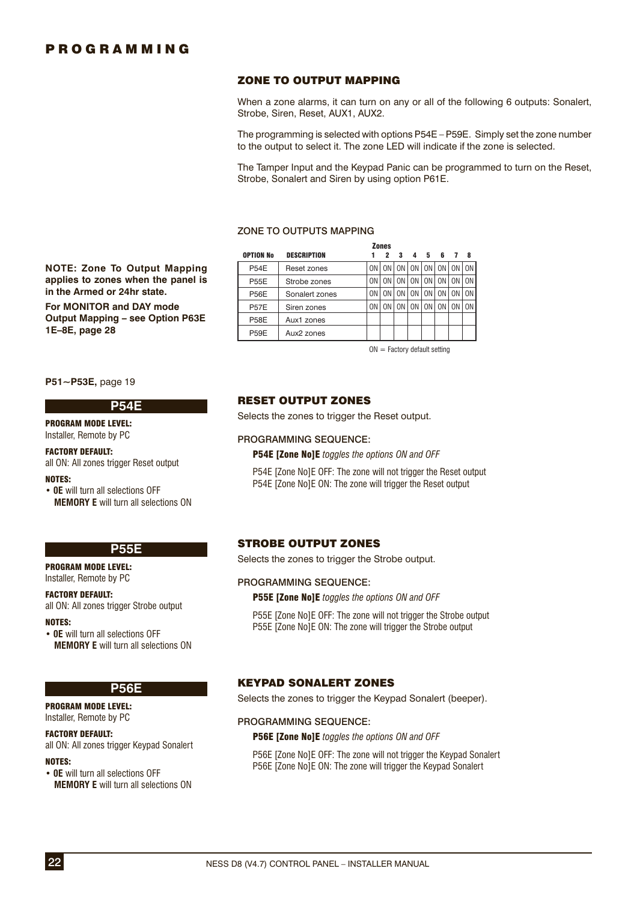### ZONE TO OUTPUT MAPPING

When a zone alarms, it can turn on any or all of the following 6 outputs: Sonalert, Strobe, Siren, Reset, AUX1, AUX2.

The programming is selected with options P54E – P59E. Simply set the zone number to the output to select it. The zone LED will indicate if the zone is selected.

The Tamper Input and the Keypad Panic can be programmed to turn on the Reset, Strobe, Sonalert and Siren by using option P61E.

#### ZONE TO OUTPUTS MAPPING

|                  |                        |    | <b>Zones</b> |    |    |    |                |    |                |
|------------------|------------------------|----|--------------|----|----|----|----------------|----|----------------|
| <b>OPTION No</b> | <b>DESCRIPTION</b>     |    | 2            | 3  | 4  | 5  | 6              |    | 8              |
| <b>P54E</b>      | Reset zones            | 0N | 0N           | 0N | 0N | 0N | 0 <sub>N</sub> |    | 0 <sub>N</sub> |
| <b>P55E</b>      | Strobe zones           | 0N | 0N           | 0N | 0N | 0N | 0N             |    | 0 <sub>N</sub> |
| <b>P56E</b>      | Sonalert zones         | 0N | 0N           | 0N | 0N | 0N | 0N             |    | 0 <sub>N</sub> |
| <b>P57E</b>      | Siren zones            | 0N | 0N           | 0N | 0N | 0N | 0N             | 0N | 0 <sub>N</sub> |
| <b>P58E</b>      | Aux1 zones             |    |              |    |    |    |                |    |                |
| <b>P59E</b>      | Aux <sub>2</sub> zones |    |              |    |    |    |                |    |                |

 $ON =$  Factory default setting

### RESET OUTPUT ZONES

Selects the zones to trigger the Reset output.

#### PROGRAMMING SEQUENCE:

P54E [Zone No]E *toggles the options ON and OFF*

P54E [Zone No]E OFF: The zone will not trigger the Reset output P54E [Zone No]E ON: The zone will trigger the Reset output

### STROBE OUTPUT ZONES

Selects the zones to trigger the Strobe output.

### PROGRAMMING SEQUENCE:

P55E [Zone No]E *toggles the options ON and OFF*

P55E [Zone No]E OFF: The zone will not trigger the Strobe output P55E [Zone No]E ON: The zone will trigger the Strobe output

#### KEYPAD SONALERT ZONES

Selects the zones to trigger the Keypad Sonalert (beeper).

#### PROGRAMMING SEQUENCE:

P56E [Zone No]E *toggles the options ON and OFF*

P56E [Zone No]E OFF: The zone will not trigger the Keypad Sonalert P56E [Zone No]E ON: The zone will trigger the Keypad Sonalert

**NOTE: Zone To Output Mapping ap plies to zones when the panel is in the Armed or 24hr state. For MONITOR and DAY mode Output Mapping – see Option P63E 1E–8E, page 28**

**P51~P53E,** page 19

#### **P54E**

#### PROGRAM MODE LEVEL:

Installer, Remote by PC

FACTORY DEFAULT: all ON: All zones trigger Reset output

#### NOTES:

• **0E** will turn all selections OFF **MEMORY E** will turn all selections ON

#### **P55E**

PROGRAM MODE LEVEL: Installer, Remote by PC

#### FACTORY DEFAULT:

all ON: All zones trigger Strobe output

NOTES:

• **0E** will turn all selections OFF **MEMORY E** will turn all selections ON

### **P56E**

#### PROGRAM MODE LEVEL: Installer, Remote by PC

### FACTORY DEFAULT:

all ON: All zones trigger Keypad Sonalert

### NOTES:

• **0E** will turn all selections OFF **MEMORY E** will turn all selections ON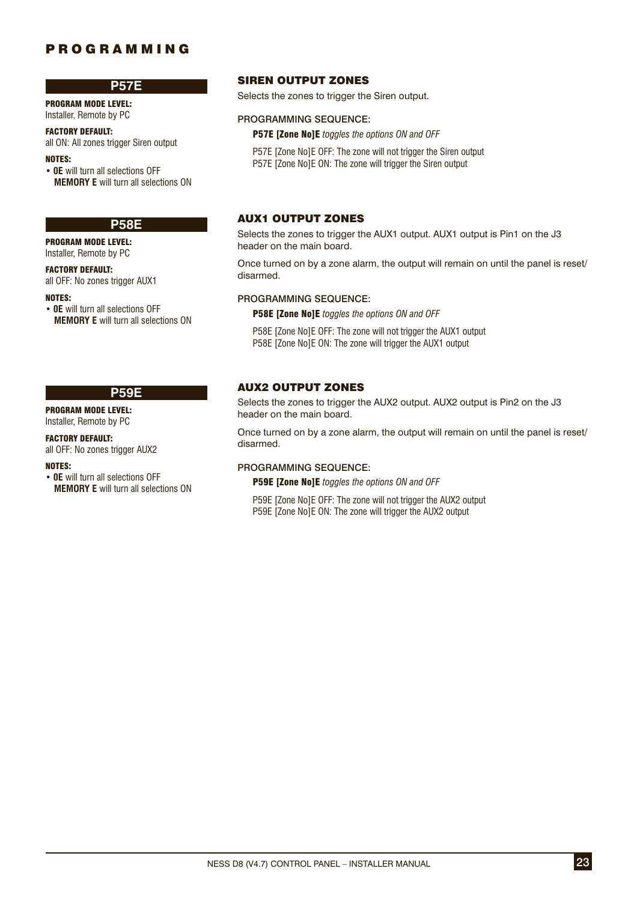### **P57E**

PROGRAM MODE LEVEL: Installer, Remote by PC

# FACTORY DEFAULT:

all ON: All zones trigger Siren output NOTES:

• **0E** will turn all selections OFF **MEMORY E** will turn all selections ON

### **P58E**

PROGRAM MODE LEVEL: Installer, Remote by PC

#### FACTORY DEFAULT:

all OFF: No zones trigger AUX1

### NOTES:

• **0E** will turn all selections OFF **MEMORY E** will turn all selections ON

### **P59E**

PROGRAM MODE LEVEL: Installer, Remote by PC

#### FACTORY DEFAULT:

all OFF: No zones trigger AUX2

#### NOTES:

• **0E** will turn all selections OFF **MEMORY E** will turn all selections ON

### SIREN OUTPUT ZONES

Selects the zones to trigger the Siren output.

#### PROGRAMMING SEQUENCE:

P57E [Zone No]E *toggles the options ON and OFF*

P57E [Zone No]E OFF: The zone will not trigger the Siren output P57E [Zone No]E ON: The zone will trigger the Siren output

### AUX1 OUTPUT ZONES

Selects the zones to trigger the AUX1 output. AUX1 output is Pin1 on the J3 header on the main board.

Once turned on by a zone alarm, the output will remain on until the panel is reset/ disarmed.

### PROGRAMMING SEQUENCE:

P58E [Zone No]E *toggles the options ON and OFF*

P58E [Zone No]E OFF: The zone will not trigger the AUX1 output P58E [Zone No]E ON: The zone will trigger the AUX1 output

### AUX2 OUTPUT ZONES

Selects the zones to trigger the AUX2 output. AUX2 output is Pin2 on the J3 header on the main board.

Once turned on by a zone alarm, the output will remain on until the panel is reset/ disarmed.

### PROGRAMMING SEQUENCE:

P59E [Zone No]E *toggles the options ON and OFF*

P59E [Zone No]E OFF: The zone will not trigger the AUX2 output P59E [Zone No]E ON: The zone will trigger the AUX2 output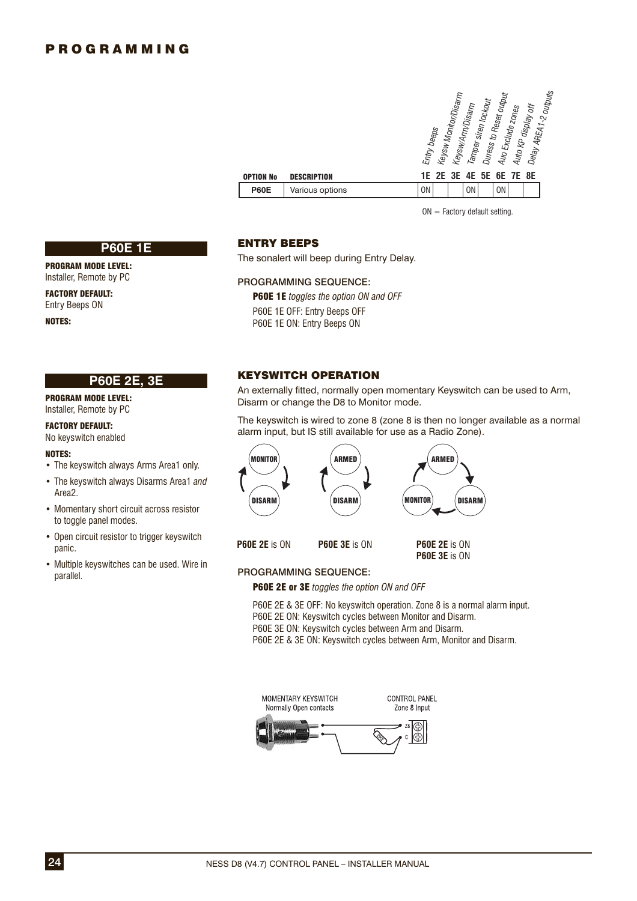| OPTION No   | <b>DESCRIPTION</b> | Entry beeps | Keysw Monitor/Disarm | Keysw/Arm/Disarm | Tamper siren locko <sub>ut</sub> | Duress to Reset output<br>Auo Exclude zones<br><b>1E 2E 3E 4E 5E 6E 7E 8E</b> | Auto KP display off | Delay AREA1-2 outputs |  |
|-------------|--------------------|-------------|----------------------|------------------|----------------------------------|-------------------------------------------------------------------------------|---------------------|-----------------------|--|
| <b>P60E</b> | Various options    | <b>ON</b>   |                      | <b>ON</b>        |                                  | <b>ON</b>                                                                     |                     |                       |  |
|             |                    |             |                      |                  |                                  |                                                                               |                     |                       |  |

 $ON =$  Factory default setting.

#### **P60E 1E**

PROGRAM MODE LEVEL: Installer, Remote by PC

FACTORY DEFAULT: Entry Beeps ON

NOTES:

### **P60E 2E, 3E**

PROGRAM MODE LEVEL: Installer, Remote by PC

#### FACTORY DEFAULT:

No keyswitch enabled

### NOTES:

- The keyswitch always Arms Area1 only.
- The keyswitch always Disarms Area1 *and* Area2.
- Momentary short circuit across resistor to toggle panel modes.
- Open circuit resistor to trigger keyswitch panic.
- Multiple keyswitches can be used. Wire in parallel.

### ENTRY BEEPS

The sonalert will beep during Entry Delay.

#### PROGRAMMING SEQUENCE:

P60E 1E *toggles the option ON and OFF* P60E 1E OFF: Entry Beeps OFF P60E 1E ON: Entry Beeps ON

### KEYSWITCH OPERATION

An externally fitted, normally open momentary Keyswitch can be used to Arm, Disarm or change the D8 to Monitor mode.

The keyswitch is wired to zone 8 (zone 8 is then no longer available as a normal alarm input, but IS still available for use as a Radio Zone).



### PROGRAMMING SEQUENCE:

P60E 2E or 3E *toggles the option ON and OFF*

P60E 2E & 3E OFF: No keyswitch operation. Zone 8 is a normal alarm input.

- P60E 2E ON: Keyswitch cycles between Monitor and Disarm.
- P60E 3E ON: Keyswitch cycles between Arm and Disarm.
- P60E 2E & 3E ON: Keyswitch cycles between Arm, Monitor and Disarm.

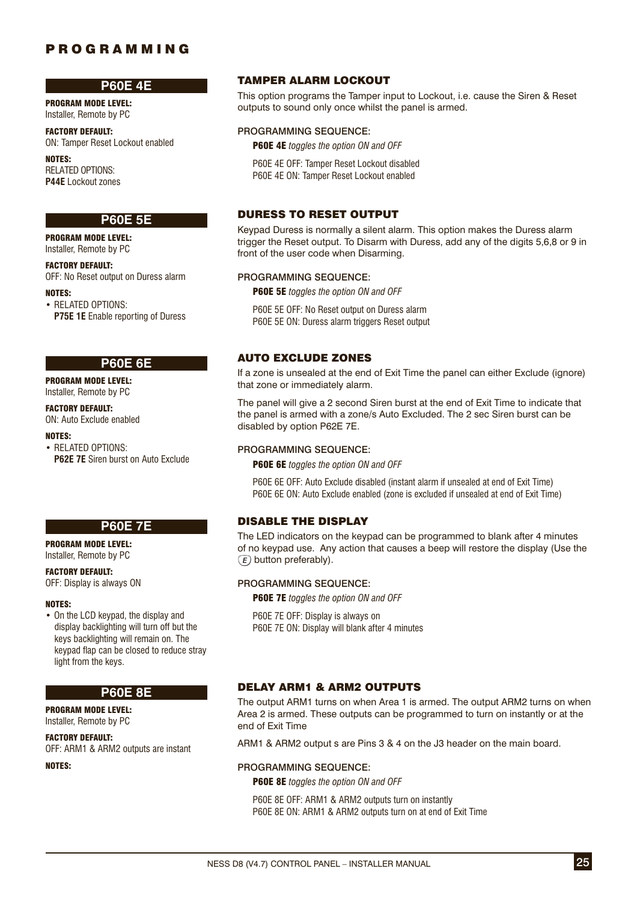### **P60E 4E**

PROGRAM MODE LEVEL: Installer, Remote by PC

FACTORY DEFAULT: ON: Tamper Reset Lockout enabled

NOTES: RELATED OPTIONS: **P44E** Lockout zones

### **P60E 5E**

PROGRAM MODE LEVEL: Installer, Remote by PC

FACTORY DEFAULT: OFF: No Reset output on Duress alarm

NOTES:

• RELATED OPTIONS: **P75E 1E** Enable reporting of Duress

#### **P60E 6E**

PROGRAM MODE LEVEL: Installer, Remote by PC

### FACTORY DEFAULT:

ON: Auto Exclude enabled

### NOTES:

• RELATED OPTIONS: **P62E 7E** Siren burst on Auto Exclude



# PROGRAM MODE LEVEL:

Installer, Remote by PC

## FACTORY DEFAULT:

OFF: Display is always ON

#### NOTES:

• On the LCD keypad, the display and display backlighting will turn off but the keys backlighting will remain on. The keypad flap can be closed to reduce stray light from the keys.

### **P60E 8E**

PROGRAM MODE LEVEL: Installer, Remote by PC

FACTORY DEFAULT: OFF: ARM1 & ARM2 outputs are instant

NOTES:

### TAMPER ALARM LOCKOUT

This option programs the Tamper input to Lockout, i.e. cause the Siren & Reset outputs to sound only once whilst the panel is armed.

#### PROGRAMMING SEQUENCE:

P60E 4E *toggles the option ON and OFF*

P60E 4E OFF: Tamper Reset Lockout disabled P60E 4E ON: Tamper Reset Lockout enabled

### DURESS TO RESET OUTPUT

Keypad Duress is normally a silent alarm. This option makes the Duress alarm trigger the Reset output. To Disarm with Duress, add any of the digits 5,6,8 or 9 in front of the user code when Disarming.

### PROGRAMMING SEQUENCE:

P60E 5E *toggles the option ON and OFF*

P60E 5E OFF: No Reset output on Duress alarm P60E 5E ON: Duress alarm triggers Reset output

### AUTO EXCLUDE ZONES

If a zone is unsealed at the end of Exit Time the panel can either Exclude (ignore) that zone or immediately alarm.

The panel will give a 2 second Siren burst at the end of Exit Time to indicate that the panel is armed with a zone/s Auto Excluded. The 2 sec Siren burst can be disabled by option P62E 7E.

### PROGRAMMING SEQUENCE:

P60E 6E *toggles the option ON and OFF*

P60E 6E OFF: Auto Exclude disabled (instant alarm if unsealed at end of Exit Time) P60E 6E ON: Auto Exclude enabled (zone is excluded if unsealed at end of Exit Time)

### DISABLE THE DISPLAY

The LED indicators on the keypad can be programmed to blank after 4 minutes of no keypad use. Any action that causes a beep will restore the display (Use the  $\epsilon$ ) button preferably).

#### PROGRAMMING SEQUENCE:

P60E 7E *toggles the option ON and OFF*

P60E 7E OFF: Display is always on P60E 7E ON: Display will blank after 4 minutes

### DELAY ARM1 & ARM2 OUTPUTS

The output ARM1 turns on when Area 1 is armed. The output ARM2 turns on when Area 2 is armed. These outputs can be programmed to turn on instantly or at the end of Exit Time

ARM1 & ARM2 output s are Pins 3 & 4 on the J3 header on the main board.

#### PROGRAMMING SEQUENCE:

P60E 8E *toggles the option ON and OFF*

P60E 8E OFF: ARM1 & ARM2 outputs turn on instantly P60E 8E ON: ARM1 & ARM2 outputs turn on at end of Exit Time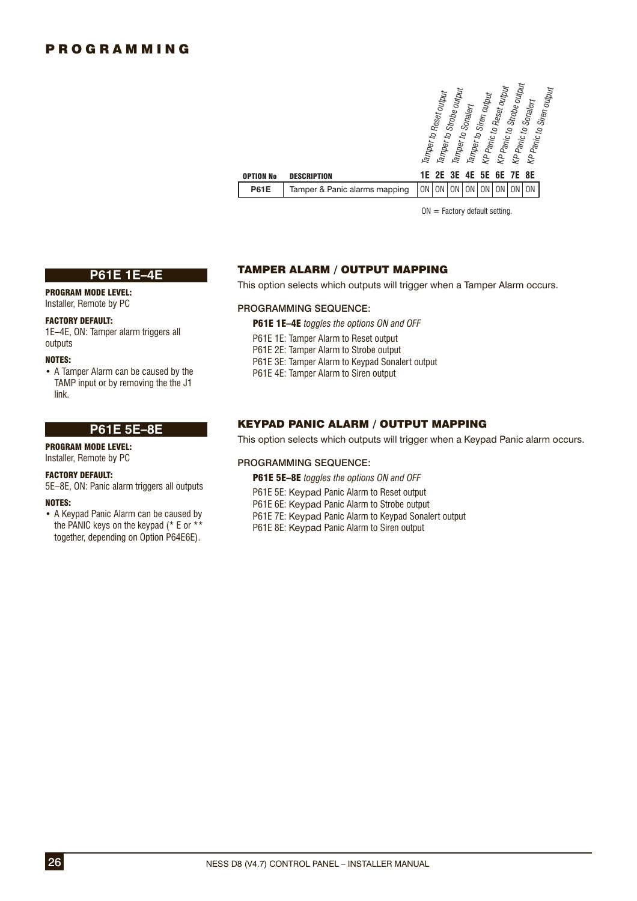| OPTION No   | <b>DESCRIPTION</b>            | Strobe output<br>Reset output<br>KP Panic to Siren output<br>Strobe output<br>Tamper to Reset output<br>Siren output<br>Sonalert<br>Tamper to Sonalert<br>KP Panic to<br>KP Panic to<br>KP Panic to .<br>Tamper <sub>to</sub><br>Tamper <sub>to</sub><br>6E 7E 8E<br>5E<br>3E<br>1F 2F<br>4E |
|-------------|-------------------------------|----------------------------------------------------------------------------------------------------------------------------------------------------------------------------------------------------------------------------------------------------------------------------------------------|
| <b>P61E</b> | Tamper & Panic alarms mapping | <b>ON</b><br>0 <sub>N</sub><br>ΟN<br>ΟN                                                                                                                                                                                                                                                      |
|             |                               |                                                                                                                                                                                                                                                                                              |

 $ON = Factory$  default setting.

### **P61E 1E–4E**

# PROGRAM MODE LEVEL:

Installer, Remote by PC

### FACTORY DEFAULT:

1E–4E, ON: Tamper alarm triggers all outputs

#### NOTES:

• A Tamper Alarm can be caused by the TAMP input or by removing the the J1 link.

# **P61E 5E–8E**

PROGRAM MODE LEVEL: Installer, Remote by PC

### FACTORY DEFAULT:

5E–8E, ON: Panic alarm triggers all outputs

### NOTES:

• A Keypad Panic Alarm can be caused by the PANIC keys on the keypad (\* E or \*\* together, depending on Option P64E6E).

### TAMPER ALARM / OUTPUT MAPPING

This option selects which outputs will trigger when a Tamper Alarm occurs.

### PROGRAMMING SEQUENCE:

- P61E 1E–4E *toggles the options ON and OFF*
- P61E 1E: Tamper Alarm to Reset output
- P61E 2E: Tamper Alarm to Strobe output
- P61E 3E: Tamper Alarm to Keypad Sonalert output
- P61E 4E: Tamper Alarm to Siren output

### KEYPAD PANIC ALARM / OUTPUT MAPPING

This option selects which outputs will trigger when a Keypad Panic alarm occurs.

### PROGRAMMING SEQUENCE:

- P61E 5E–8E *toggles the options ON and OFF*
- P61E 5E: Keypad Panic Alarm to Reset output
- P61E 6E: Keypad Panic Alarm to Strobe output
- P61E 7E: Keypad Panic Alarm to Keypad Sonalert output
- P61E 8E: Keypad Panic Alarm to Siren output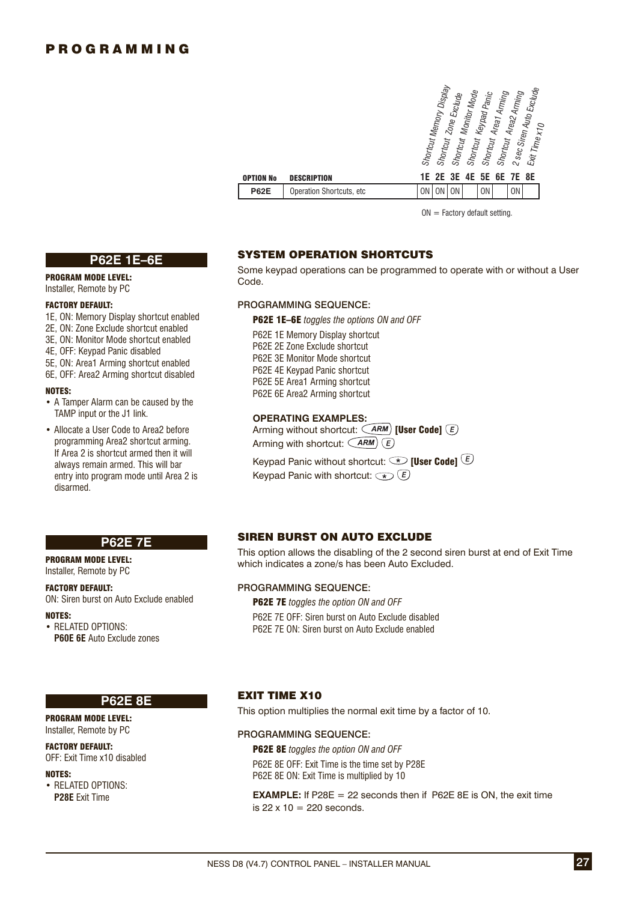| <b>OPTION No</b> | <b>DESCRIPTION</b>        |    | Shortcut Memory Display<br><b>Shortcut</b><br>1E 2E 3E | Zone Exclude<br>Shortcut | Monitor Mode<br><b>Shortcut</b><br>4E | Keypad Panic<br><b>Shortcut</b><br>5E | Areat Aming | Shortcut Area2 Arming<br>6E 7E 8E | 2 sec Siren Auto Exclude<br>Exit Time x10 |  |
|------------------|---------------------------|----|--------------------------------------------------------|--------------------------|---------------------------------------|---------------------------------------|-------------|-----------------------------------|-------------------------------------------|--|
| <b>P62E</b>      | Operation Shortcuts, etc. | 0N | 0 <sub>N</sub>                                         | <b>ON</b>                |                                       | <b>ON</b>                             |             | 0 <sub>N</sub>                    |                                           |  |

 $ON =$  Factory default setting.

### **P62E 1E–6E**

PROGRAM MODE LEVEL: Installer, Remote by PC

### FACTORY DEFAULT:

- 1E, ON: Memory Display shortcut enabled
- 2E, ON: Zone Exclude shortcut enabled
- 3E, ON: Monitor Mode shortcut enabled
- 4E, OFF: Keypad Panic disabled
- 5E, ON: Area1 Arming shortcut enabled
- 6E, OFF: Area2 Arming shortcut disabled

#### NOTES:

- A Tamper Alarm can be caused by the TAMP input or the J1 link.
- Allocate a User Code to Area2 before programming Area2 shortcut arming. If Area 2 is shortcut armed then it will always remain armed. This will bar entry into program mode until Area 2 is disarmed.

**P62E 7E**

ON: Siren burst on Auto Exclude enabled

**P60E 6E** Auto Exclude zones

### SYSTEM OPERATION SHORTCUTS

Some keypad operations can be programmed to operate with or without a User Code.

### PROGRAMMING SEQUENCE:

P62E 1E–6E *toggles the options ON and OFF*

P62E 1E Memory Display shortcut P62E 2E Zone Exclude shortcut P62E 3E Monitor Mode shortcut P62E 4E Keypad Panic shortcut P62E 5E Area1 Arming shortcut P62E 6E Area2 Arming shortcut

### **OPERATING EXAMPLES:**

Arming without shortcut:  $\widehat{(ARM)}$  [User Code]  $\widehat{(E)}$ Arming with shortcut:  $\left(\overline{ARM}\right)\left(\overline{E}\right)$ 

Keypad Panic without shortcut:  $\circledast$  [User Code]  $\circledast$ Keypad Panic with shortcut:  $\overline{\left( \ast \right)}$   $\overline{E}$ 

### SIREN BURST ON AUTO EXCLUDE

This option allows the disabling of the 2 second siren burst at end of Exit Time which indicates a zone/s has been Auto Excluded.

### PROGRAMMING SEQUENCE:

P62E 7E *toggles the option ON and OFF*

P62E 7E OFF: Siren burst on Auto Exclude disabled P62E 7E ON: Siren burst on Auto Exclude enabled

#### **P62E 8E**

PROGRAM MODE LEVEL: Installer, Remote by PC

PROGRAM MODE LEVEL: Installer, Remote by PC FACTORY DEFAULT:

• RELATED OPTIONS:

### FACTORY DEFAULT:

OFF: Exit Time x10 disabled

#### NOTES:

NOTES:

• RELATED OPTIONS: **P28E** Exit Time

### EXIT TIME X10

This option multiplies the normal exit time by a factor of 10.

#### PROGRAMMING SEQUENCE:

P62E 8E *toggles the option ON and OFF* P62E 8E OFF: Exit Time is the time set by P28E P62E 8E ON: Exit Time is multiplied by 10

**EXAMPLE:** If P28E  $= 22$  seconds then if P62E 8E is ON, the exit time is  $22 \times 10 = 220$  seconds.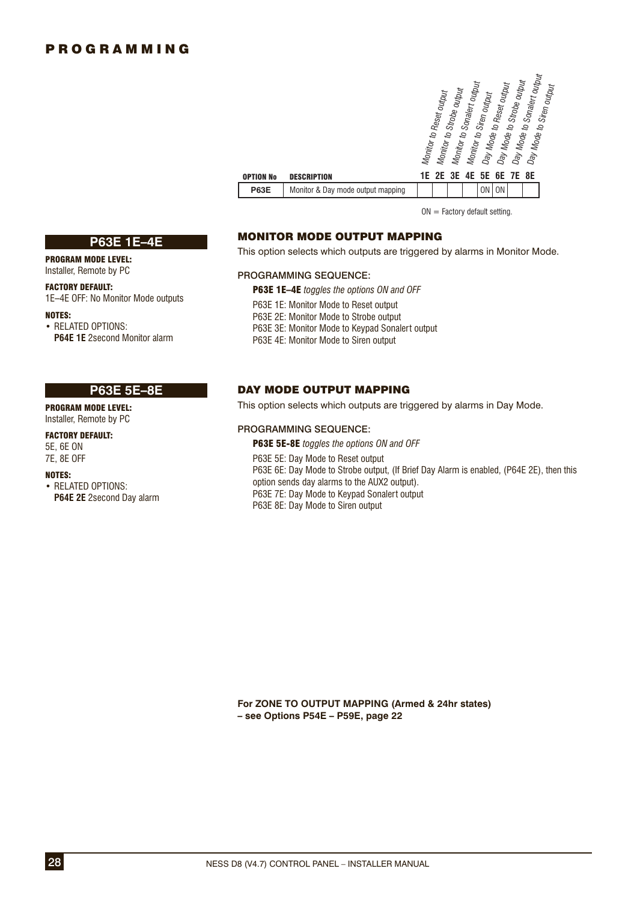| <b>OPTION No</b> | <b>DESCRIPTION</b>                | Day Mode to Sonalert output<br>Day Mode to Strobe output<br>Monitor to Sonalert output<br>Day Mode to Reset output<br>Day Mode to Siren outnut<br>Monitor to Strobe output<br>Monitor to Reset output<br>Monitor to Siren output<br>6E 7E 8E<br>1E 2E 3E 4E<br>5E |
|------------------|-----------------------------------|-------------------------------------------------------------------------------------------------------------------------------------------------------------------------------------------------------------------------------------------------------------------|
| <b>P63E</b>      | Monitor & Day mode output mapping | <b>ON</b><br><b>ON</b>                                                                                                                                                                                                                                            |
|                  |                                   |                                                                                                                                                                                                                                                                   |

 $ON =$  Factory default setting.

### MONITOR MODE OUTPUT MAPPING

This option selects which outputs are triggered by alarms in Monitor Mode.

### PROGRAMMING SEQUENCE:

P63E 1E–4E *toggles the options ON and OFF*

- P63E 1E: Monitor Mode to Reset output
- P63E 2E: Monitor Mode to Strobe output
- P63E 3E: Monitor Mode to Keypad Sonalert output
- P63E 4E: Monitor Mode to Siren output

### DAY MODE OUTPUT MAPPING

This option selects which outputs are triggered by alarms in Day Mode.

### PROGRAMMING SEQUENCE:

P63E 5E-8E *toggles the options ON and OFF* P63E 5E: Day Mode to Reset output P63E 6E: Day Mode to Strobe output, (If Brief Day Alarm is enabled, (P64E 2E), then this option sends day alarms to the AUX2 output). P63E 7E: Day Mode to Keypad Sonalert output P63E 8E: Day Mode to Siren output

**For ZONE TO OUTPUT MAPPING (Armed & 24hr states) – see Options P54E – P59E, page 22**

### **P63E 1E–4E**

PROGRAM MODE LEVEL: Installer, Remote by PC

FACTORY DEFAULT: 1E–4E OFF: No Monitor Mode outputs

#### NOTES:

• RELATED OPTIONS: **P64E 1E** 2second Monitor alarm

## **P63E 5E–8E**

PROGRAM MODE LEVEL: Installer, Remote by PC

FACTORY DEFAULT: 5E, 6E ON 7E, 8E OFF

### NOTES:

• RELATED OPTIONS: **P64E 2E** 2second Day alarm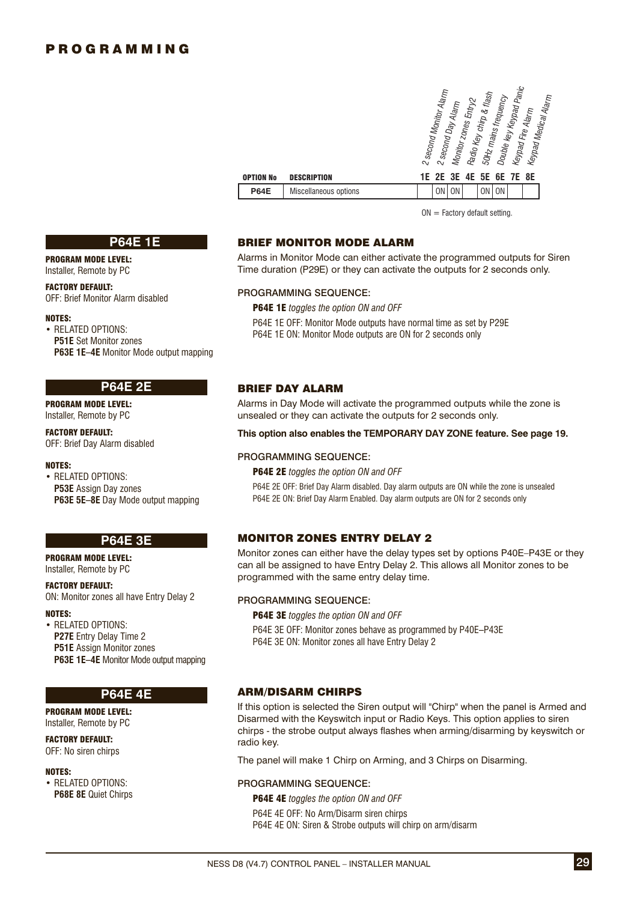| OPTION No   | <b>DESCRIPTION</b>    | 1E. | 2 second Monitor Alarm<br>2E | <sup>2</sup> second Day Alarm | Monitor zones Entry2<br>3E 4E | Radio Key chirp & flash<br>5E | 50Hz mains frequency<br>6E | Double key Keypad Panic<br>Keypad Fire Alarm<br>7E 8E | Keypad Medical Alarm |  |
|-------------|-----------------------|-----|------------------------------|-------------------------------|-------------------------------|-------------------------------|----------------------------|-------------------------------------------------------|----------------------|--|
| <b>P64E</b> | Miscellaneous options |     | <b>ON</b>                    | <b>ON</b>                     |                               | 0N                            | <b>ON</b>                  |                                                       |                      |  |

 $ON = Factory$  default setting.

#### **P64E 1E**

PROGRAM MODE LEVEL: Installer, Remote by PC

### FACTORY DEFAULT:

OFF: Brief Monitor Alarm disabled

#### NOTES:

• RELATED OPTIONS: **P51E** Set Monitor zones **P63E 1E–4E** Monitor Mode output mapping

### **P64E 2E**

PROGRAM MODE LEVEL: Installer, Remote by PC

### FACTORY DEFAULT: OFF: Brief Day Alarm disabled

#### NOTES:

• RELATED OPTIONS: **P53E** Assign Day zones **P63E 5E–8E** Day Mode output mapping

### **P64E 3E**

PROGRAM MODE LEVEL: Installer, Remote by PC

#### FACTORY DEFAULT:

ON: Monitor zones all have Entry Delay 2

#### NOTES:

• RELATED OPTIONS: **P27E** Entry Delay Time 2 **P51E** Assign Monitor zones **P63E 1E–4E** Monitor Mode output mapping

### **P64E 4E**

PROGRAM MODE LEVEL: Installer, Remote by PC

FACTORY DEFAULT: OFF: No siren chirps

#### NOTES:

• RELATED OPTIONS: **P68E 8E** Quiet Chirps

### BRIEF MONITOR MODE ALARM

Alarms in Monitor Mode can either activate the programmed outputs for Siren Time duration (P29E) or they can activate the outputs for 2 seconds only.

#### PROGRAMMING SEQUENCE:

P64E 1E *toggles the option ON and OFF*

P64E 1E OFF: Monitor Mode outputs have normal time as set by P29E P64E 1E ON: Monitor Mode outputs are ON for 2 seconds only

### BRIEF DAY ALARM

Alarms in Day Mode will activate the programmed outputs while the zone is unsealed or they can activate the outputs for 2 seconds only.

#### **This option also enables the TEMPORARY DAY ZONE feature. See page 19.**

### PROGRAMMING SEQUENCE:

P64E 2E *toggles the option ON and OFF*

P64E 2E OFF: Brief Day Alarm disabled. Day alarm outputs are ON while the zone is unsealed P64E 2E ON: Brief Day Alarm Enabled. Day alarm outputs are ON for 2 seconds only

### MONITOR ZONES ENTRY DELAY 2

Monitor zones can either have the delay types set by options P40E–P43E or they can all be assigned to have Entry Delay 2. This allows all Monitor zones to be programmed with the same entry delay time.

#### PROGRAMMING SEQUENCE:

P64E 3E *toggles the option ON and OFF*

P64E 3E OFF: Monitor zones behave as programmed by P40E–P43E P64E 3E ON: Monitor zones all have Entry Delay 2

### ARM/DISARM CHIRPS

If this option is selected the Siren output will "Chirp" when the panel is Armed and Disarmed with the Keyswitch input or Radio Keys. This option applies to siren chirps - the strobe output always flashes when arming/disarming by keyswitch or radio key.

The panel will make 1 Chirp on Arming, and 3 Chirps on Disarming.

#### PROGRAMMING SEQUENCE:

P64E 4E *toggles the option ON and OFF* P64E 4E OFF: No Arm/Disarm siren chirps P64E 4E ON: Siren & Strobe outputs will chirp on arm/disarm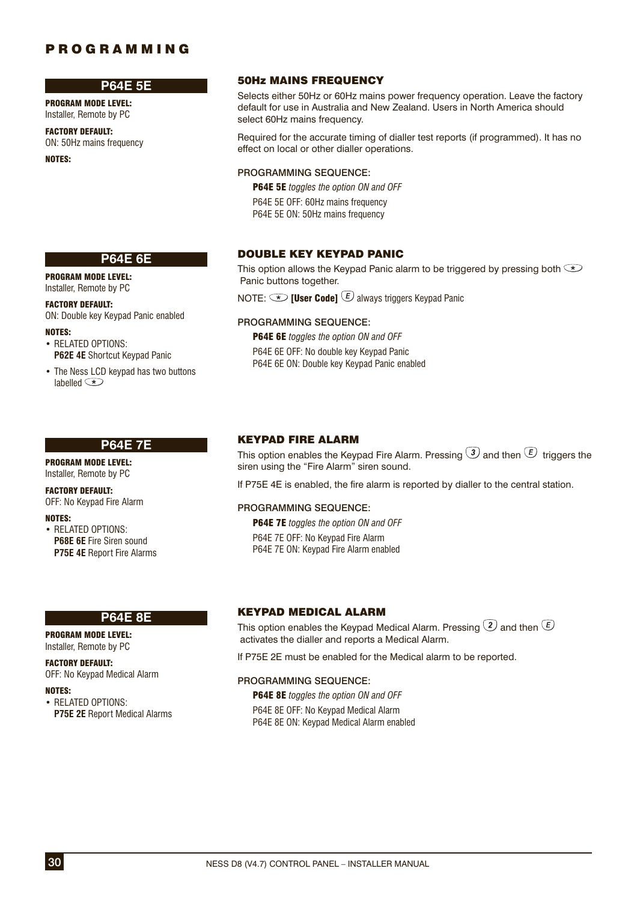### **P64E 5E**

**P64E 6E**

ON: Double key Keypad Panic enabled

**P62E 4E** Shortcut Keypad Panic • The Ness LCD keypad has two buttons

PROGRAM MODE LEVEL: Installer, Remote by PC

FACTORY DEFAULT: ON: 50Hz mains frequency

PROGRAM MODE LEVEL: Installer, Remote by PC FACTORY DEFAULT:

• RELATED OPTIONS:

lahelled **(\*)** 

NOTES:

NOTES:

### 50Hz MAINS FREQUENCY

Selects either 50Hz or 60Hz mains power frequency operation. Leave the factory default for use in Australia and New Zealand. Users in North America should select 60Hz mains frequency.

Required for the accurate timing of dialler test reports (if programmed). It has no effect on local or other dialler operations.

### PROGRAMMING SEQUENCE:

P64E 5E *toggles the option ON and OFF* P64E 5E OFF: 60Hz mains frequency P64E 5E ON: 50Hz mains frequency

### DOUBLE KEY KEYPAD PANIC

This option allows the Keypad Panic alarm to be triggered by pressing both  $\textcircled{\texttt{t}}$ Panic buttons together.

NOTE:  $\triangle$  [User Code]  $\Box$  always triggers Keypad Panic

### PROGRAMMING SEQUENCE:

P64E 6E *toggles the option ON and OFF* P64E 6E OFF: No double key Keypad Panic P64E 6E ON: Double key Keypad Panic enabled

### **P64E 7E**

PROGRAM MODE LEVEL: Installer, Remote by PC

#### FACTORY DEFAULT:

OFF: No Keypad Fire Alarm

#### NOTES:

• RELATED OPTIONS: **P68E 6E** Fire Siren sound **P75E 4E** Report Fire Alarms

#### **P64E 8E**

PROGRAM MODE LEVEL: Installer, Remote by PC

#### FACTORY DEFAULT:

OFF: No Keypad Medical Alarm

#### NOTES:

• RELATED OPTIONS:  **P75E 2E** Report Medical Alarms

### KEYPAD FIRE ALARM

This option enables the Keypad Fire Alarm. Pressing  $\Im$  and then  $\overline{\mathfrak{C}}$  triggers the siren using the "Fire Alarm" siren sound.

If P75E 4E is enabled, the fire alarm is reported by dialler to the central station.

#### PROGRAMMING SEQUENCE:

P64E 7E *toggles the option ON and OFF* P64E 7E OFF: No Keypad Fire Alarm P64E 7E ON: Keypad Fire Alarm enabled

#### KEYPAD MEDICAL ALARM

This option enables the Keypad Medical Alarm. Pressing  $\mathcal D$  and then  $\mathcal E$ activates the dialler and reports a Medical Alarm.

If P75E 2E must be enabled for the Medical alarm to be reported.

#### PROGRAMMING SEQUENCE:

P64E 8E *toggles the option ON and OFF*

P64E 8E OFF: No Keypad Medical Alarm P64E 8E ON: Keypad Medical Alarm enabled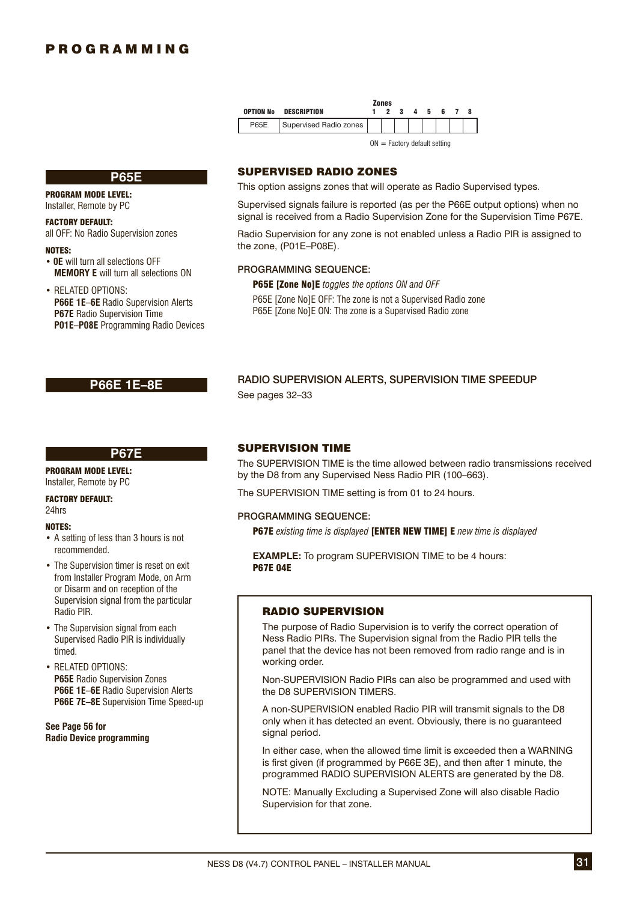|             |                        | <b>Zones</b>                   |  |             |  |
|-------------|------------------------|--------------------------------|--|-------------|--|
| OPTION No   | DESCRIPTION            |                                |  | 2 3 4 5 6 7 |  |
| <b>P65E</b> | Supervised Radio zones |                                |  |             |  |
|             |                        | $ON = Factory$ default setting |  |             |  |

**P65E**

#### PROGRAM MODE LEVEL: Installer, Remote by PC

FACTORY DEFAULT:

# all OFF: No Radio Supervision zones

NOTES:

- **0E** will turn all selections OFF **MEMORY E** will turn all selections ON
- RELATED OPTIONS:  **P66E 1E–6E** Radio Supervision Alerts **P67E** Radio Supervision Time **P01E–P08E** Programming Radio Devices

### **P66E 1E–8E**

### **P67E**

PROGRAM MODE LEVEL: Installer, Remote by PC

## FACTORY DEFAULT:

24hrs

### NOTES:

- A setting of less than 3 hours is not recommended.
- The Supervision timer is reset on exit from Installer Program Mode, on Arm or Disarm and on reception of the Supervision signal from the particular Radio PIR.
- The Supervision signal from each Supervised Radio PIR is individually timed.
- RELATED OPTIONS:  **P65E** Radio Supervision Zones  **P66E 1E–6E** Radio Supervision Alerts  **P66E 7E–8E** Supervision Time Speed-up

**See Page 56 for Radio Device programming**

### SUPERVISED RADIO ZONES

This option assigns zones that will operate as Radio Supervised types.

Supervised signals failure is reported (as per the P66E output options) when no signal is received from a Radio Supervision Zone for the Supervision Time P67E.

Radio Supervision for any zone is not enabled unless a Radio PIR is assigned to the zone, (P01E–P08E).

### PROGRAMMING SEQUENCE:

P65E [Zone No]E *toggles the options ON and OFF* P65E [Zone No]E OFF: The zone is not a Supervised Radio zone P65E [Zone No]E ON: The zone is a Supervised Radio zone

### RADIO SUPERVISION ALERTS, SUPERVISION TIME SPEEDUP See pages 32–33

### SUPERVISION TIME

The SUPERVISION TIME is the time allowed between radio transmissions received by the D8 from any Supervised Ness Radio PIR (100–663).

The SUPERVISION TIME setting is from 01 to 24 hours.

### PROGRAMMING SEQUENCE:

P67E *existing time is displayed* [ENTER NEW TIME] E *new time is displayed*

**EXAMPLE:** To program SUPERVISION TIME to be 4 hours: P67E 04E

### RADIO SUPERVISION

The purpose of Radio Supervision is to verify the correct operation of Ness Radio PIRs. The Supervision signal from the Radio PIR tells the panel that the device has not been removed from radio range and is in working order.

Non-SUPERVISION Radio PIRs can also be programmed and used with the D8 SUPERVISION TIMERS.

A non-SUPERVISION enabled Radio PIR will transmit signals to the D8 only when it has detected an event. Obviously, there is no guaranteed signal period.

In either case, when the allowed time limit is exceeded then a WARNING is first given (if programmed by P66E 3E), and then after 1 minute, the programmed RADIO SUPERVISION ALERTS are generated by the D8.

NOTE: Manually Excluding a Supervised Zone will also disable Radio Supervision for that zone.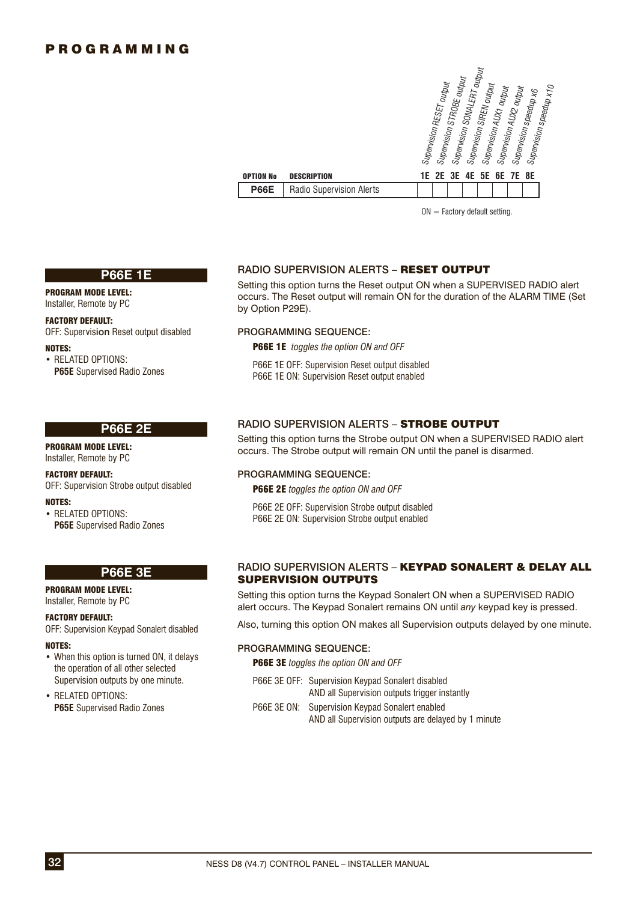| <b>OPTION No</b> | <b>DESCRIPTION</b>       | Supervision SONALERT output<br>Supervision STROBE output<br>Supervision RESET output<br>Supervision SIREN output<br>Supervision speedup x10<br>Supervision AUX2 output<br>Supervision AUX1 output<br>Supervision speedup x6<br>1E 2E 3E 4E 5E 6E 7E 8E |
|------------------|--------------------------|--------------------------------------------------------------------------------------------------------------------------------------------------------------------------------------------------------------------------------------------------------|
| <b>P66E</b>      | Radio Supervision Alerts |                                                                                                                                                                                                                                                        |

 $ON =$  Factory default setting.

### **P66E 1E**

PROGRAM MODE LEVEL: Installer, Remote by PC

#### FACTORY DEFAULT:

OFF: Supervision Reset output disabled

NOTES:

• RELATED OPTIONS:  **P65E** Supervised Radio Zones

### **P66E 2E**

PROGRAM MODE LEVEL: Installer, Remote by PC

### FACTORY DEFAULT:

OFF: Supervision Strobe output disabled

### NOTES:

• RELATED OPTIONS:  **P65E** Supervised Radio Zones

### **P66E 3E**

### PROGRAM MODE LEVEL:

Installer, Remote by PC

### FACTORY DEFAULT:

OFF: Supervision Keypad Sonalert disabled

#### NOTES:

• When this option is turned ON, it delays the operation of all other selected Supervision outputs by one minute.

• RELATED OPTIONS:  **P65E** Supervised Radio Zones

### RADIO SUPERVISION ALERTS – RESET OUTPUT

Setting this option turns the Reset output ON when a SUPERVISED RADIO alert occurs. The Reset output will remain ON for the duration of the ALARM TIME (Set by Option P29E).

#### PROGRAMMING SEQUENCE:

P66E 1E *toggles the option ON and OFF*

- P66E 1E OFF: Supervision Reset output disabled
- P66E 1E ON: Supervision Reset output enabled

### RADIO SUPERVISION ALERTS – STROBE OUTPUT

Setting this option turns the Strobe output ON when a SUPERVISED RADIO alert occurs. The Strobe output will remain ON until the panel is disarmed.

### PROGRAMMING SEQUENCE:

P66E 2E *toggles the option ON and OFF*

P66E 2E OFF: Supervision Strobe output disabled P66E 2E ON: Supervision Strobe output enabled

### RADIO SUPERVISION ALERTS - KEYPAD SONALERT & DELAY ALL **SUPERVISION OUTPUTS**

Setting this option turns the Keypad Sonalert ON when a SUPERVISED RADIO alert occurs. The Keypad Sonalert remains ON until *any* keypad key is pressed.

Also, turning this option ON makes all Supervision outputs delayed by one minute.

#### PROGRAMMING SEQUENCE:

P66E 3E *toggles the option ON and OFF*

P66E 3E OFF: Supervision Keypad Sonalert disabled AND all Supervision outputs trigger instantly P66E 3E ON: Supervision Keypad Sonalert enabled

AND all Supervision outputs are delayed by 1 minute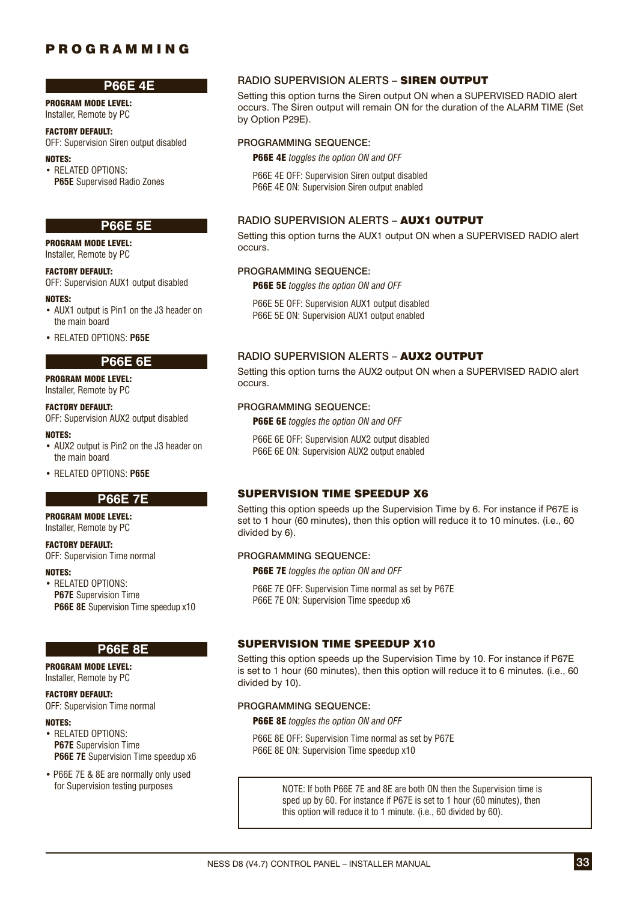### **P66E 4E**

PROGRAM MODE LEVEL: Installer, Remote by PC

### FACTORY DEFAULT:

OFF: Supervision Siren output disabled

### NOTES:

• RELATED OPTIONS:  **P65E** Supervised Radio Zones

### **P66E 5E**

PROGRAM MODE LEVEL: Installer, Remote by PC

### FACTORY DEFAULT:

OFF: Supervision AUX1 output disabled

#### NOTES:

- AUX1 output is Pin1 on the J3 header on the main board
- RELATED OPTIONS: **P65E**

### **P66E 6E**

PROGRAM MODE LEVEL: Installer, Remote by PC

### FACTORY DEFAULT:

OFF: Supervision AUX2 output disabled

#### NOTES:

- AUX2 output is Pin2 on the J3 header on the main board
- RELATED OPTIONS: **P65E**

### **P66E 7E**

# PROGRAM MODE LEVEL:

Installer, Remote by PC

# FACTORY DEFAULT:

OFF: Supervision Time normal

### NOTES:

• RELATED OPTIONS:  **P67E** Supervision Time **P66E 8E** Supervision Time speedup x10

### **P66E 8E**

PROGRAM MODE LEVEL: Installer, Remote by PC

### FACTORY DEFAULT:

OFF: Supervision Time normal

### NOTES:

- RELATED OPTIONS: **P67E** Supervision Time **P66E 7E** Supervision Time speedup x6
- P66E 7E & 8E are normally only used

### RADIO SUPERVISION ALERTS – SIREN OUTPUT

Setting this option turns the Siren output ON when a SUPERVISED RADIO alert occurs. The Siren output will remain ON for the duration of the ALARM TIME (Set by Option P29E).

### PROGRAMMING SEQUENCE:

P66E 4E *toggles the option ON and OFF*

P66E 4E OFF: Supervision Siren output disabled P66E 4E ON: Supervision Siren output enabled

### RADIO SUPERVISION ALERTS – AUX1 OUTPUT

Setting this option turns the AUX1 output ON when a SUPERVISED RADIO alert occurs.

### PROGRAMMING SEQUENCE:

P66E 5E *toggles the option ON and OFF*

P66E 5E OFF: Supervision AUX1 output disabled P66E 5E ON: Supervision AUX1 output enabled

### RADIO SUPERVISION ALERTS - AUX2 OUTPUT

Setting this option turns the AUX2 output ON when a SUPERVISED RADIO alert occurs.

### PROGRAMMING SEQUENCE:

P66E 6E *toggles the option ON and OFF*

P66E 6E OFF: Supervision AUX2 output disabled P66E 6E ON: Supervision AUX2 output enabled

### SUPERVISION TIME SPEEDUP X6

Setting this option speeds up the Supervision Time by 6. For instance if P67E is set to 1 hour (60 minutes), then this option will reduce it to 10 minutes. (i.e., 60 divided by 6).

### PROGRAMMING SEQUENCE:

P66E 7E *toggles the option ON and OFF*

P66E 7E OFF: Supervision Time normal as set by P67E P66E 7E ON: Supervision Time speedup x6

### SUPERVISION TIME SPEEDUP X10

Setting this option speeds up the Supervision Time by 10. For instance if P67E is set to 1 hour (60 minutes), then this option will reduce it to 6 minutes. (i.e., 60 divided by 10).

#### PROGRAMMING SEQUENCE:

P66E 8E *toggles the option ON and OFF*

P66E 8E OFF: Supervision Time normal as set by P67E P66E 8E ON: Supervision Time speedup x10

for Supervision testing purposes <br>NOTE: If both P66E 7E and 8E are both ON then the Supervision time is sped up by 60. For instance if P67E is set to 1 hour (60 minutes), then this option will reduce it to 1 minute. (i.e., 60 divided by 60).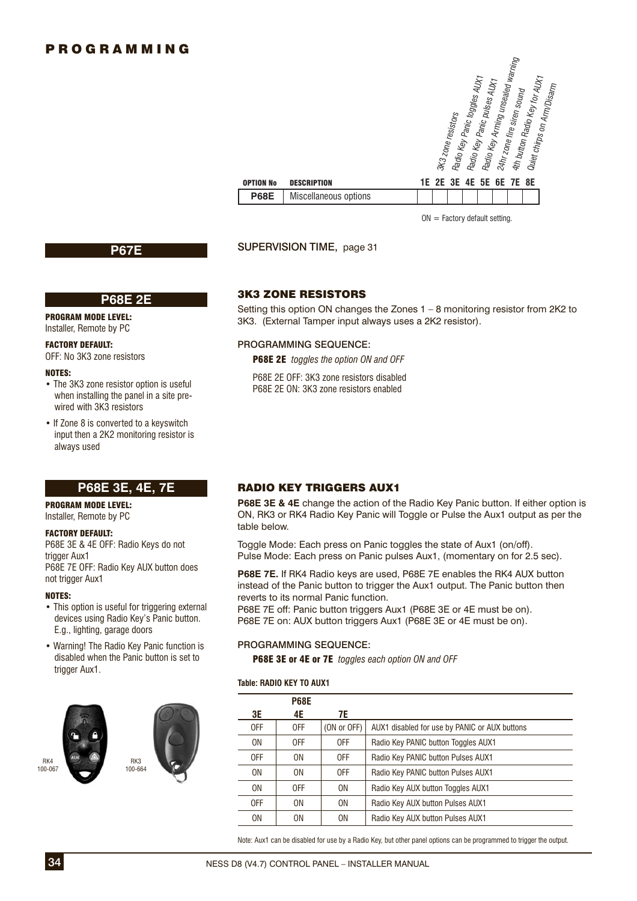| <b>TION No</b> | <b>DESCRIPTION</b>    | Radio Key Arning unsealed warning<br>4th button Radio Key for AUX <sub>1</sub><br>Radio Key Panic toggles AUX <sub>1</sub><br>Radio Key Panic pulses AUX <sub>1</sub><br>Quiet chirps on Arm/Disarm<br>24hr zone fire siren sound<br>3K3 zone resistors<br><b>1E 2E 3E 4E 5E 6E 7E 8E</b> |
|----------------|-----------------------|-------------------------------------------------------------------------------------------------------------------------------------------------------------------------------------------------------------------------------------------------------------------------------------------|
| <b>P68E</b>    | Miscellaneous options |                                                                                                                                                                                                                                                                                           |
|                |                       |                                                                                                                                                                                                                                                                                           |

 $ON = Factory$  default setting.

**P67E** SUPERVISION TIME, page 31

OPTIO

#### **P68E 2E**

PROGRAM MODE LEVEL: Installer, Remote by PC

### FACTORY DEFAULT:

OFF: No 3K3 zone resistors

#### NOTES:

- The 3K3 zone resistor option is useful when installing the panel in a site prewired with 3K3 resistors
- If Zone 8 is converted to a keyswitch input then a 2K2 monitoring resistor is always used

### **P68E 3E, 4E, 7E**

### PROGRAM MODE LEVEL:

Installer, Remote by PC

#### FACTORY DEFAULT:

P68E 3E & 4E OFF: Radio Keys do not trigger Aux1 P68E 7E OFF: Radio Key AUX button does not trigger Aux1

#### NOTES:

- This option is useful for triggering external devices using Radio Key's Panic button. E.g., lighting, garage doors
- Warning! The Radio Key Panic function is disabled when the Panic button is set to trigger Aux1.



3K3 ZONE RESISTORS

Setting this option ON changes the Zones 1 – 8 monitoring resistor from 2K2 to 3K3. (External Tamper input always uses a 2K2 resistor).

#### PROGRAMMING SEQUENCE:

P68E 2E *toggles the option ON and OFF*

P68E 2E OFF: 3K3 zone resistors disabled P68E 2E ON: 3K3 zone resistors enabled

### RADIO KEY TRIGGERS AUX1

**P68E 3E & 4E** change the action of the Radio Key Panic button. If either option is ON, RK3 or RK4 Radio Key Panic will Toggle or Pulse the Aux1 output as per the table below.

Toggle Mode: Each press on Panic toggles the state of Aux1 (on/off). Pulse Mode: Each press on Panic pulses Aux1, (momentary on for 2.5 sec).

**P68E 7E.** If RK4 Radio keys are used, P68E 7E enables the RK4 AUX button instead of the Panic button to trigger the Aux1 output. The Panic button then reverts to its normal Panic function.

P68E 7E off: Panic button triggers Aux1 (P68E 3E or 4E must be on). P68E 7E on: AUX button triggers Aux1 (P68E 3E or 4E must be on).

#### PROGRAMMING SEQUENCE:

P68E 3E or 4E or 7E *toggles each option ON and OFF*

#### **Table: RADIO KEY TO AUX1**

|                | <b>P68E</b> |             |                                               |
|----------------|-------------|-------------|-----------------------------------------------|
| 3E             | 4E          | 7E          |                                               |
| 0FF            | 0FF         | (ON or OFF) | AUX1 disabled for use by PANIC or AUX buttons |
| 0 <sub>N</sub> | 0FF         | 0FF         | Radio Key PANIC button Toggles AUX1           |
| 0FF            | 0N          | 0FF         | Radio Key PANIC button Pulses AUX1            |
| 0 <sub>N</sub> | 0N          | 0FF         | Radio Key PANIC button Pulses AUX1            |
| 0N             | 0FF         | 0N          | Radio Key AUX button Toggles AUX1             |
| 0FF            | 0N          | 0N          | Radio Key AUX button Pulses AUX1              |
| 0N             | 0N          | 0N          | Radio Key AUX button Pulses AUX1              |

Note: Aux1 can be disabled for use by a Radio Key, but other panel options can be programmed to trigger the output.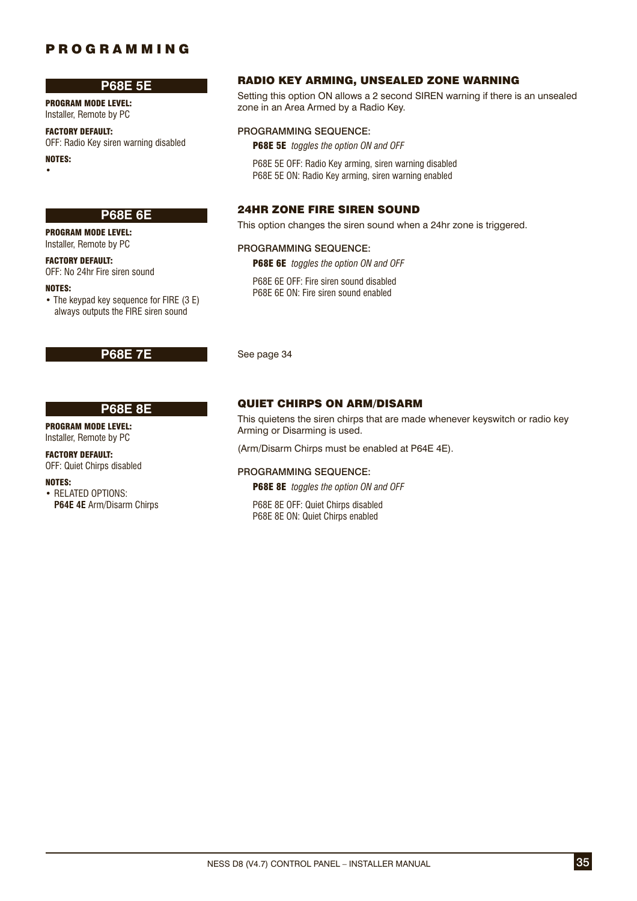### **P68E 5E**

PROGRAM MODE LEVEL: Installer, Remote by PC

### FACTORY DEFAULT:

OFF: Radio Key siren warning disabled

NOTES: •

### **P68E 6E**

PROGRAM MODE LEVEL: Installer, Remote by PC

FACTORY DEFAULT: OFF: No 24hr Fire siren sound

#### NOTES:

• The keypad key sequence for FIRE (3 E) always outputs the FIRE siren sound

#### **P68E 8E**

PROGRAM MODE LEVEL:

# Installer, Remote by PC

FACTORY DEFAULT: OFF: Quiet Chirps disabled

#### NOTES:

• RELATED OPTIONS: **P64E 4E** Arm/Disarm Chirps

### RADIO KEY ARMING, UNSEALED ZONE WARNING

Setting this option ON allows a 2 second SIREN warning if there is an unsealed zone in an Area Armed by a Radio Key.

#### PROGRAMMING SEQUENCE:

P68E 5E *toggles the option ON and OFF*

P68E 5E OFF: Radio Key arming, siren warning disabled P68E 5E ON: Radio Key arming, siren warning enabled

### 24HR ZONE FIRE SIREN SOUND

This option changes the siren sound when a 24hr zone is triggered.

#### PROGRAMMING SEQUENCE:

P68E 6E *toggles the option ON and OFF*

P68E 6E OFF: Fire siren sound disabled P68E 6E ON: Fire siren sound enabled

**P68E 7E** See page 34

### QUIET CHIRPS ON ARM/DISARM

This quietens the siren chirps that are made whenever keyswitch or radio key Arming or Disarming is used.

(Arm/Disarm Chirps must be enabled at P64E 4E).

#### PROGRAMMING SEQUENCE:

P68E 8E *toggles the option ON and OFF*

P68E 8E OFF: Quiet Chirps disabled P68E 8E ON: Quiet Chirps enabled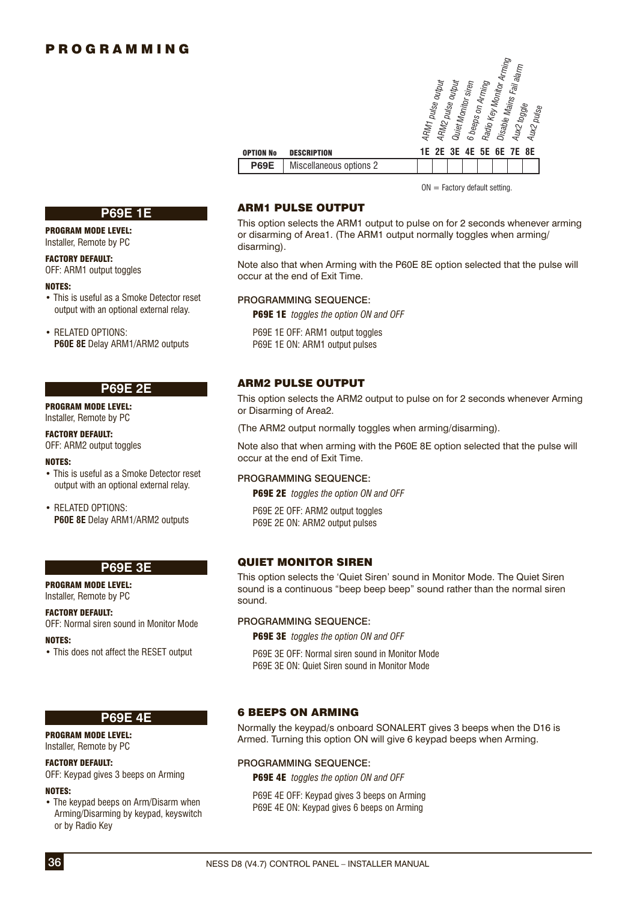

 $ON =$  Factory default setting.

### ARM1 PULSE OUTPUT

This option selects the ARM1 output to pulse on for 2 seconds whenever arming or disarming of Area1. (The ARM1 output normally toggles when arming/ disarming).

Note also that when Arming with the P60E 8E option selected that the pulse will occur at the end of Exit Time.

### PROGRAMMING SEQUENCE:

P69E 1E *toggles the option ON and OFF*

P69E 1E OFF: ARM1 output toggles P69E 1E ON: ARM1 output pulses

### ARM2 PULSE OUTPUT

This option selects the ARM2 output to pulse on for 2 seconds whenever Arming or Disarming of Area2.

(The ARM2 output normally toggles when arming/disarming).

Note also that when arming with the P60E 8E option selected that the pulse will occur at the end of Exit Time.

#### PROGRAMMING SEQUENCE:

P69E 2E *toggles the option ON and OFF*

P69F 2F OFF: ARM2 output toggles P69E 2E ON: ARM2 output pulses

### QUIET MONITOR SIREN

This option selects the 'Quiet Siren' sound in Monitor Mode. The Quiet Siren sound is a continuous "beep beep beep" sound rather than the normal siren sound.

#### PROGRAMMING SEQUENCE:

P69E 3E *toggles the option ON and OFF*

P69E 3E OFF: Normal siren sound in Monitor Mode P69E 3E ON: Quiet Siren sound in Monitor Mode

### 6 BEEPS ON ARMING

Normally the keypad/s onboard SONALERT gives 3 beeps when the D16 is Armed. Turning this option ON will give 6 keypad beeps when Arming.

#### PROGRAMMING SEQUENCE:

P69E 4E *toggles the option ON and OFF*

P69E 4E OFF: Keypad gives 3 beeps on Arming P69E 4E ON: Keypad gives 6 beeps on Arming

### **P69E 1E**

PROGRAM MODE LEVEL: Installer, Remote by PC

#### FACTORY DEFAULT:

OFF: ARM1 output toggles

#### NOTES:

• This is useful as a Smoke Detector reset output with an optional external relay.

• RELATED OPTIONS: **P60E 8E** Delay ARM1/ARM2 outputs

### **P69E 2E**

PROGRAM MODE LEVEL: Installer, Remote by PC

#### FACTORY DEFAULT:

OFF: ARM2 output toggles

#### NOTES:

• This is useful as a Smoke Detector reset output with an optional external relay.

• RELATED OPTIONS: **P60E 8E** Delay ARM1/ARM2 outputs

### **P69E 3E**

PROGRAM MODE LEVEL: Installer, Remote by PC

#### FACTORY DEFAULT:

OFF: Normal siren sound in Monitor Mode

#### NOTES:

• This does not affect the RESET output

## **P69E 4E**

PROGRAM MODE LEVEL: Installer, Remote by PC

#### FACTORY DEFAULT:

OFF: Keypad gives 3 beeps on Arming

#### NOTES:

• The keypad beeps on Arm/Disarm when Arming/Disarming by keypad, keyswitch or by Radio Key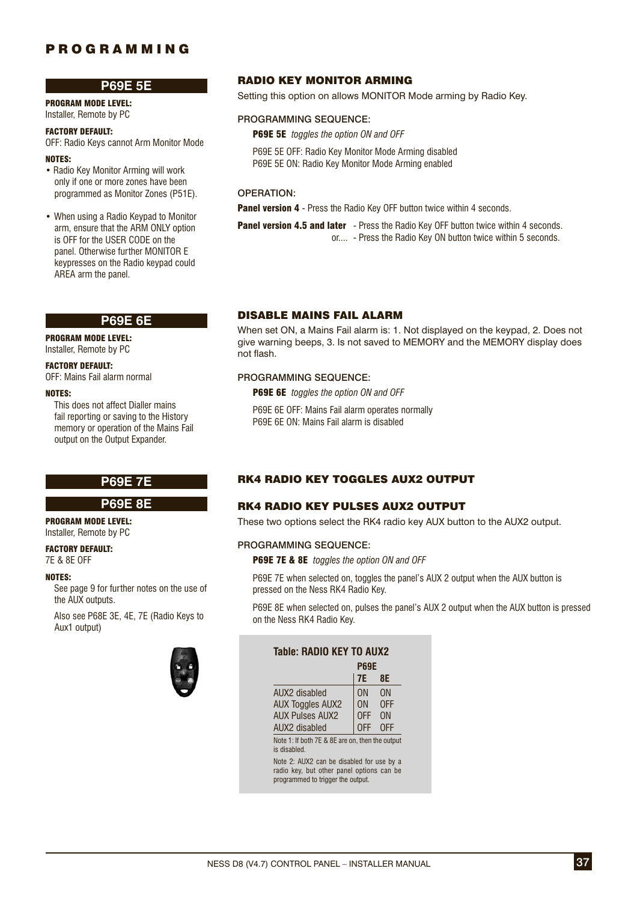### **P69E 5E**

PROGRAM MODE LEVEL: Installer, Remote by PC

#### FACTORY DEFAULT:

OFF: Radio Keys cannot Arm Monitor Mode

#### NOTES:

• Radio Key Monitor Arming will work only if one or more zones have been programmed as Monitor Zones (P51E).

• When using a Radio Keypad to Monitor arm, ensure that the ARM ONLY option is OFF for the USER CODE on the panel. Otherwise further MONITOR E keypresses on the Radio keypad could AREA arm the panel.

### **P69E 6E**

PROGRAM MODE LEVEL:

Installer, Remote by PC

### FACTORY DEFAULT:

OFF: Mains Fail alarm normal

#### NOTES:

 This does not affect Dialler mains fail reporting or saving to the History memory or operation of the Mains Fail output on the Output Expander.

#### **P69E 8E**

PROGRAM MODE LEVEL:

Installer, Remote by PC FACTORY DEFAULT:

7E & 8E OFF

#### NOTES:

 See page 9 for further notes on the use of the AUX outputs.

 Also see P68E 3E, 4E, 7E (Radio Keys to Aux1 output)



### RADIO KEY MONITOR ARMING

Setting this option on allows MONITOR Mode arming by Radio Key.

### PROGRAMMING SEQUENCE:

P69E 5E *toggles the option ON and OFF*

P69E 5E OFF: Radio Key Monitor Mode Arming disabled P69E 5E ON: Radio Key Monitor Mode Arming enabled

### OPERATION:

Panel version 4 - Press the Radio Key OFF button twice within 4 seconds.

Panel version 4.5 and later - Press the Radio Key OFF button twice within 4 seconds. or.... - Press the Radio Key ON button twice within 5 seconds.

### DISABLE MAINS FAIL ALARM

When set ON, a Mains Fail alarm is: 1. Not displayed on the keypad, 2. Does not give warning beeps, 3. Is not saved to MEMORY and the MEMORY display does not flash.

### PROGRAMMING SEQUENCE:

P69E 6E *toggles the option ON and OFF*

P69E 6E OFF: Mains Fail alarm operates normally P69E 6E ON: Mains Fail alarm is disabled

### **P69E 7E RK4 RADIO KEY TOGGLES AUX2 OUTPUT**

### RK4 RADIO KEY PULSES AUX2 OUTPUT

These two options select the RK4 radio key AUX button to the AUX2 output.

### PROGRAMMING SEQUENCE:

P69E 7E & 8E *toggles the option ON and OFF*

P69E 7E when selected on, toggles the panel's AUX 2 output when the AUX button is pressed on the Ness RK4 Radio Key.

P69E 8E when selected on, pulses the panel's AUX 2 output when the AUX button is pressed on the Ness RK4 Radio Key.

### **Table: RADIO KEY TO AUX2**

|                                                                | <b>P69E</b>    |     |
|----------------------------------------------------------------|----------------|-----|
|                                                                | <b>7E</b>      | 8E  |
| AUX2 disabled                                                  | ΩN             | ΩN  |
| <b>AUX Toggles AUX2</b>                                        | 0 <sub>N</sub> | 0FF |
| <b>AUX Pulses AUX2</b>                                         | 0FF            | ΩN  |
| AUX2 disabled                                                  | <b>OFF</b>     | 0FF |
| Note 1: If both 7E & 8E are on, then the output<br>is disabled |                |     |

Note 2: AUX2 can be disabled for use by a radio key, but other panel options can be programmed to trigger the output.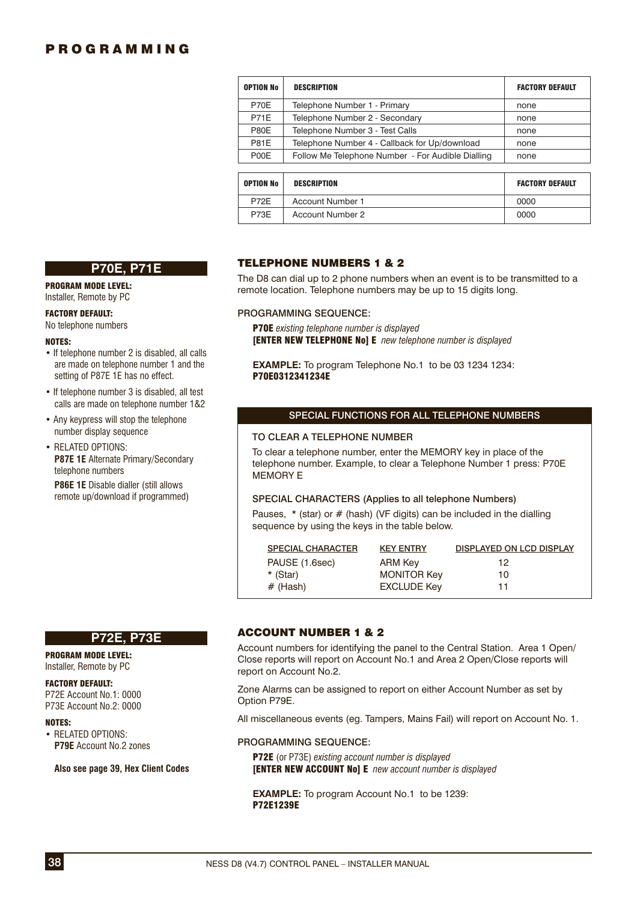| <b>OPTION No</b>  | <b>DESCRIPTION</b>                                | <b>FACTORY DEFAULT</b> |
|-------------------|---------------------------------------------------|------------------------|
| P70E              | Telephone Number 1 - Primary                      | none                   |
| <b>P71E</b>       | Telephone Number 2 - Secondary                    | none                   |
| <b>P80E</b>       | Telephone Number 3 - Test Calls                   | none                   |
| <b>P81E</b>       | Telephone Number 4 - Callback for Up/download     | none                   |
| P <sub>0</sub> OE | Follow Me Telephone Number - For Audible Dialling | none                   |
|                   |                                                   |                        |
| <b>OPTION No</b>  | <b>DESCRIPTION</b>                                | <b>FACTORY DEFAULT</b> |

| <b>OPTION No</b> | DESCRIPTION      | <b>FACTORY DEFAULT</b> |
|------------------|------------------|------------------------|
| P72F             | Account Number 1 | 0000                   |
| P73E             | Account Number 2 | 0000                   |

#### **P70E, P71E**

PROGRAM MODE LEVEL: Installer, Remote by PC

#### FACTORY DEFAULT:

No telephone numbers

#### NOTES:

- If telephone number 2 is disabled, all calls are made on telephone number 1 and the setting of P87E 1E has no effect.
- If telephone number 3 is disabled, all test calls are made on telephone number 1&2
- Any keypress will stop the telephone number display sequence
- RELATED OPTIONS: **P87E 1E** Alternate Primary/Secondary telephone numbers

**P86E 1E** Disable dialler (still allows remote up/download if programmed)

### **P72E, P73E**

PROGRAM MODE LEVEL: Installer, Remote by PC

#### FACTORY DEFAULT:

P72E Account No.1: 0000 P73E Account No.2: 0000

#### NOTES:

• RELATED OPTIONS: **P79E** Account No.2 zones

**Also see page 39, Hex Client Codes**

### TELEPHONE NUMBERS 1 & 2

The D8 can dial up to 2 phone numbers when an event is to be transmitted to a remote location. Telephone numbers may be up to 15 digits long.

#### PROGRAMMING SEQUENCE:

P70E *existing telephone number is displayed* [ENTER NEW TELEPHONE No] E *new telephone number is displayed*

**EXAMPLE:** To program Telephone No.1 to be 03 1234 1234: P70E0312341234E

#### SPECIAL FUNCTIONS FOR ALL TELEPHONE NUMBERS

#### TO CLEAR A TELEPHONE NUMBER

To clear a telephone number, enter the MEMORY key in place of the telephone number. Example, to clear a Telephone Number 1 press: P70E MEMORY E

### SPECIAL CHARACTERS (Applies to all telephone Numbers)

Pauses,  $*$  (star) or  $#$  (hash) (VF digits) can be included in the dialling sequence by using the keys in the table below.

| <b>SPECIAL CHARACTER</b> | <b>KEY ENTRY</b>   | <b>DISPLAYED ON LCD DISPLAY</b> |
|--------------------------|--------------------|---------------------------------|
| PAUSE (1.6sec)           | ARM Key            | 12                              |
| * (Star)                 | <b>MONITOR Key</b> | 10                              |
| $#$ (Hash)               | <b>EXCLUDE Key</b> | 11                              |
|                          |                    |                                 |

### ACCOUNT NUMBER 1 & 2

Account numbers for identifying the panel to the Central Station. Area 1 Open/ Close reports will report on Account No.1 and Area 2 Open/Close reports will report on Account No.2.

Zone Alarms can be assigned to report on either Account Number as set by Option P79E.

All miscellaneous events (eg. Tampers, Mains Fail) will report on Account No. 1.

#### PROGRAMMING SEQUENCE:

P72E (or P73E) *existing account number is displayed* [ENTER NEW ACCOUNT No] E *new account number is displayed*

**EXAMPLE:** To program Account No.1 to be 1239: P72E1239E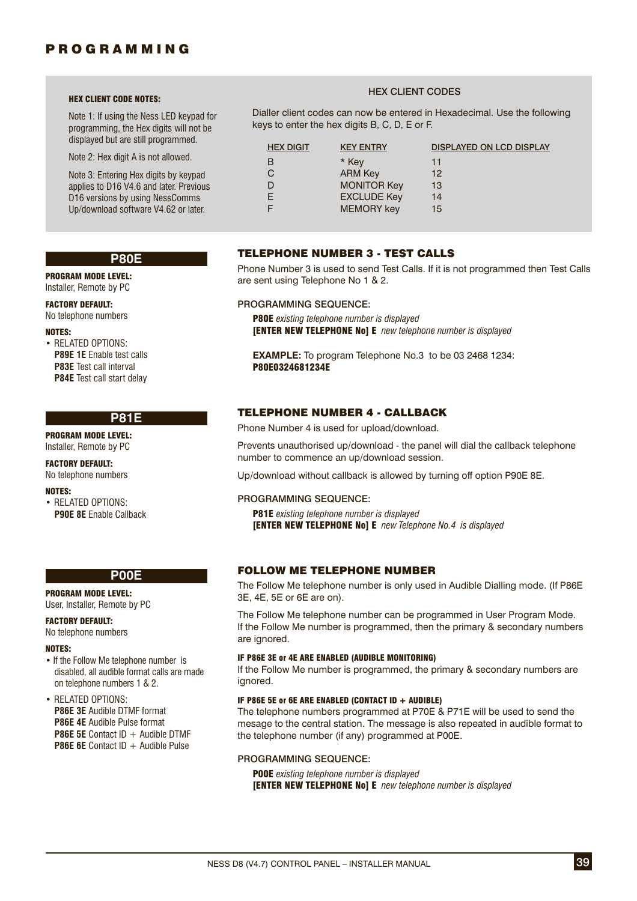#### HEX CLIENT CODE NOTES:

Note 1: If using the Ness LED keypad for programming, the Hex digits will not be displayed but are still programmed.

Note 2: Hex digit A is not allowed.

Note 3: Entering Hex digits by keypad applies to D16 V4.6 and later. Previous D16 versions by using NessComms Up/download software V4.62 or later.

### HEX CLIENT CODES

Dialler client codes can now be entered in Hexadecimal. Use the following keys to enter the hex digits B, C, D, E or F.

| <b>HEX DIGIT</b> | <b>KEY ENTRY</b>   | <b>DISPLAYED ON LCD DISPLAY</b> |
|------------------|--------------------|---------------------------------|
| в                | * Kev              | 11                              |
|                  | <b>ARM Kev</b>     | 12 <sup>2</sup>                 |
|                  | <b>MONITOR Key</b> | 13                              |
| F                | <b>EXCLUDE Key</b> | 14                              |
|                  | <b>MEMORY</b> key  | 15                              |

#### **P80E**

PROGRAM MODE LEVEL: Installer, Remote by PC

FACTORY DEFAULT: No telephone numbers

#### NOTES:

• RELATED OPTIONS: **P89E 1E** Enable test calls **P83E** Test call interval **P84E** Test call start delay

### **P81E**

PROGRAM MODE LEVEL: Installer, Remote by PC

FACTORY DEFAULT: No telephone numbers

#### NOTES:

• RELATED OPTIONS: **P90E 8E** Enable Callback

# **P00E**

PROGRAM MODE LEVEL: User, Installer, Remote by PC

#### FACTORY DEFAULT:

No telephone numbers

#### NOTES:

• If the Follow Me telephone number is disabled, all audible format calls are made on telephone numbers 1 & 2.

### • RELATED OPTIONS:

**P86E 3E** Audible DTMF format

**P86E 4E** Audible Pulse format

**P86E 5E** Contact ID + Audible DTMF **P86E 6E** Contact ID + Audible Pulse

### PROGRAMMING SEQUENCE:

P00E *existing telephone number is displayed* [ENTER NEW TELEPHONE No] E *new telephone number is displayed*

# TELEPHONE NUMBER 3 - TEST CALLS

Phone Number 3 is used to send Test Calls. If it is not programmed then Test Calls are sent using Telephone No 1 & 2.

### PROGRAMMING SEQUENCE:

P80E *existing telephone number is displayed* [ENTER NEW TELEPHONE No] E *new telephone number is displayed*

**EXAMPLE:** To program Telephone No.3 to be 03 2468 1234: P80E0324681234E

### TELEPHONE NUMBER 4 - CALLBACK

Phone Number 4 is used for upload/download.

Prevents unauthorised up/download - the panel will dial the callback telephone number to commence an up/download session.

Up/download without callback is allowed by turning off option P90E 8E.

#### PROGRAMMING SEQUENCE:

P81E *existing telephone number is displayed* [ENTER NEW TELEPHONE No] E *new Telephone No.4 is displayed*

### FOLLOW ME TELEPHONE NUMBER

The Follow Me telephone number is only used in Audible Dialling mode. (If P86E 3E, 4E, 5E or 6E are on).

The Follow Me telephone number can be programmed in User Program Mode. If the Follow Me number is programmed, then the primary & secondary numbers are ignored.

#### IF P86E 3E or 4E ARE ENABLED (AUDIBLE MONITORING)

If the Follow Me number is programmed, the primary & secondary numbers are ianored.

#### IF P86E 5E or 6E ARE ENABLED (CONTACT ID + AUDIBLE)

The telephone numbers programmed at P70E & P71E will be used to send the mesage to the central station. The message is also repeated in audible format to the telephone number (if any) programmed at P00E.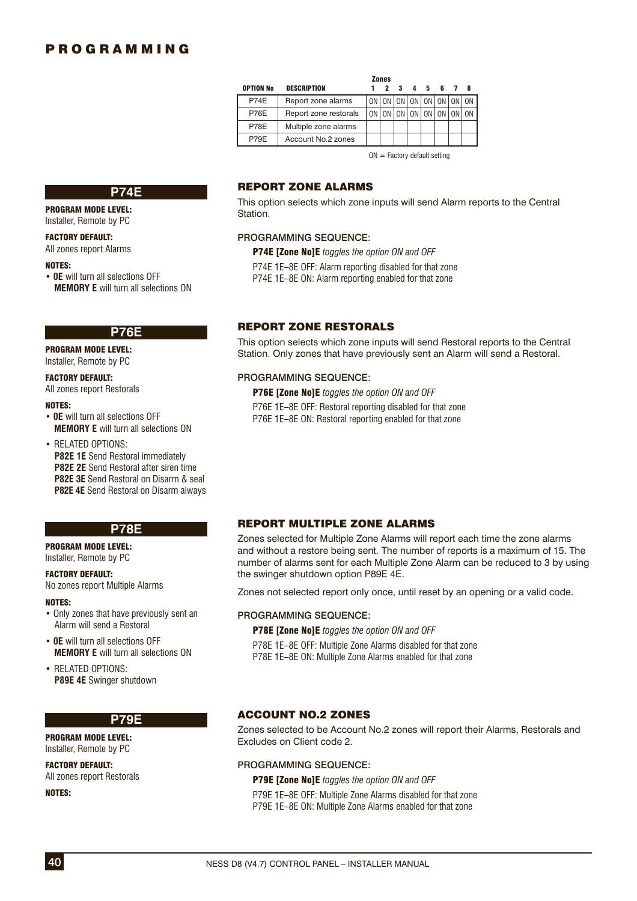|                  |                       | <b>Zones</b> |    |           |   |       |             |
|------------------|-----------------------|--------------|----|-----------|---|-------|-------------|
| <b>OPTION No</b> | <b>DESCRIPTION</b>    | 2            | -3 | Δ         | 5 | 6     |             |
| <b>P74E</b>      | Report zone alarms    |              |    | <b>ON</b> |   |       | ON ON ON ON |
| <b>P76E</b>      | Report zone restorals |              |    |           |   | ON ON |             |
| <b>P78E</b>      | Multiple zone alarms  |              |    |           |   |       |             |
| P79E             | Account No.2 zones    |              |    |           |   |       |             |
|                  |                       |              |    |           |   |       |             |

 $ON =$  Factory default setting

### **P74E**

PROGRAM MODE LEVEL:

#### Installer, Remote by PC

FACTORY DEFAULT:

All zones report Alarms

#### NOTES:

• **0E** will turn all selections OFF **MEMORY E** will turn all selections ON

#### **P76E**

PROGRAM MODE LEVEL: Installer, Remote by PC

### FACTORY DEFAULT:

All zones report Restorals

#### NOTES:

• **0E** will turn all selections OFF **MEMORY E** will turn all selections ON

• RELATED OPTIONS:

**P82E 1E** Send Restoral immediately

**P82E 2E** Send Restoral after siren time

**P82E 3E** Send Restoral on Disarm & seal

**P82E 4E** Send Restoral on Disarm always

### **P78E**

PROGRAM MODE LEVEL: Installer, Remote by PC

#### FACTORY DEFAULT:

No zones report Multiple Alarms

#### NOTES:

- Only zones that have previously sent an Alarm will send a Restoral
- **0E** will turn all selections OFF **MEMORY E** will turn all selections ON

• RELATED OPTIONS: **P89E 4E** Swinger shutdown

#### **P79E**

PROGRAM MODE LEVEL: Installer, Remote by PC

FACTORY DEFAULT: All zones report Restorals

NOTES:

### REPORT ZONE ALARMS

This option selects which zone inputs will send Alarm reports to the Central Station.

#### PROGRAMMING SEQUENCE:

P74E [Zone No]E *toggles the option ON and OFF*

P74E 1E–8E OFF: Alarm reporting disabled for that zone

P74E 1E–8E ON: Alarm reporting enabled for that zone

### REPORT ZONE RESTORALS

This option selects which zone inputs will send Restoral reports to the Central Station. Only zones that have previously sent an Alarm will send a Restoral.

#### PROGRAMMING SEQUENCE:

P76E [Zone No]E *toggles the option ON and OFF*

P76E 1E–8E OFF: Restoral reporting disabled for that zone P76E 1E–8E ON: Restoral reporting enabled for that zone

### REPORT MULTIPLE ZONE ALARMS

Zones selected for Multiple Zone Alarms will report each time the zone alarms and without a restore being sent. The number of reports is a maximum of 15. The number of alarms sent for each Multiple Zone Alarm can be reduced to 3 by using the swinger shutdown option P89E 4E.

Zones not selected report only once, until reset by an opening or a valid code.

#### PROGRAMMING SEQUENCE:

P78E [Zone No]E *toggles the option ON and OFF*

P78E 1E–8E OFF: Multiple Zone Alarms disabled for that zone P78E 1E–8E ON: Multiple Zone Alarms enabled for that zone

### ACCOUNT NO.2 ZONES

Zones selected to be Account No.2 zones will report their Alarms, Restorals and Excludes on Client code 2.

#### PROGRAMMING SEQUENCE:

P79E [Zone No]E *toggles the option ON and OFF* P79E 1E–8E OFF: Multiple Zone Alarms disabled for that zone

P79E 1E–8E ON: Multiple Zone Alarms enabled for that zone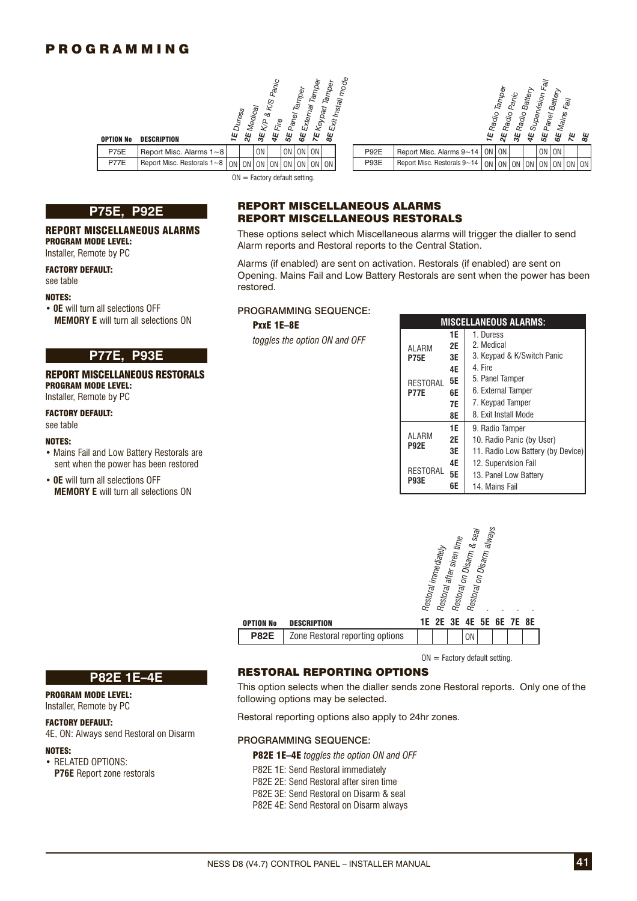



 $ON =$  Factory default setting.



OPTION No DESCRIPTION

#### REPORT MISCELLANEOUS ALARMS PROGRAM MODE LEVEL:

Installer, Remote by PC

FACTORY DEFAULT:

### see table

#### NOTES:

• **0E** will turn all selections OFF **MEMORY E** will turn all selections ON

#### REPORT MISCELLANEOUS RESTORALS PROGRAM MODE LEVEL: Installer, Remote by PC

#### FACTORY DEFAULT: see table

### NOTES:

- Mains Fail and Low Battery Restorals are sent when the power has been restored
- **0E** will turn all selections OFF **MEMORY E** will turn all selections ON

### REPORT MISCELLANEOUS ALARMS REPORT MISCELLANEOUS RESTORALS

These options select which Miscellaneous alarms will trigger the dialler to send Alarm reports and Restoral reports to the Central Station.

Alarms (if enabled) are sent on activation. Restorals (if enabled) are sent on Opening. Mains Fail and Low Battery Restorals are sent when the power has been restored.

### PROGRAMMING SEQUENCE:

### PxxE 1E–8E

| $\cdots$ an outboarding of $\cdots$<br>E will turn all selections ON                                                    | <b>FRUGRAMMING SEQUENCE.</b><br>PxxE 1E-8E | <b>MISCELLANEOUS ALARMS:</b>                           |                                                            |                                                                                                                                                       |  |
|-------------------------------------------------------------------------------------------------------------------------|--------------------------------------------|--------------------------------------------------------|------------------------------------------------------------|-------------------------------------------------------------------------------------------------------------------------------------------------------|--|
| <b>P77E, P93E</b><br><b>ISCELLANEOUS RESTORALS</b><br>IODE LEVEL:<br>note by PC<br><b>FAULT:</b>                        | toggles the option ON and OFF              | ALARM<br><b>P75E</b><br><b>RESTORAL</b><br><b>P77E</b> | 1E<br><b>2E</b><br>3E<br>4E<br><b>5E</b><br>6E<br>7E<br>8E | 1. Duress<br>2. Medical<br>3. Keypad & K/Switch Panic<br>4. Fire<br>5. Panel Tamper<br>6. External Tamper<br>7. Keypad Tamper<br>8. Exit Install Mode |  |
| and Low Battery Restorals are<br>n the power has been restored<br>n all selections OFF<br>E will turn all coloctions ON |                                            | <b>ALARM</b><br><b>P92E</b><br>RESTORAL<br><b>P93E</b> | 1E<br><b>2E</b><br>3E<br>4E<br><b>5E</b><br>6E             | 9. Radio Tamper<br>10. Radio Panic (by User)<br>11. Radio Low Battery (by Device)<br>12. Supervision Fail<br>13. Panel Low Battery<br>14. Mains Fail  |  |



 $ON = Factorv$  default setting.

### RESTORAL REPORTING OPTIONS

This option selects when the dialler sends zone Restoral reports. Only one of the following options may be selected.

Restoral reporting options also apply to 24hr zones.

#### PROGRAMMING SEQUENCE:

P82E 1E–4E *toggles the option ON and OFF*

- P82E 1E: Send Restoral immediately
- P82E 2E: Send Restoral after siren time
- P82E 3E: Send Restoral on Disarm & seal
- P82E 4E: Send Restoral on Disarm always

### **P82E 1E–4E**

#### PROGRAM MODE LEVEL: Installer, Remote by PC

### FACTORY DEFAULT:

4E, ON: Always send Restoral on Disarm

### NOTES:

• RELATED OPTIONS: **P76E** Report zone restorals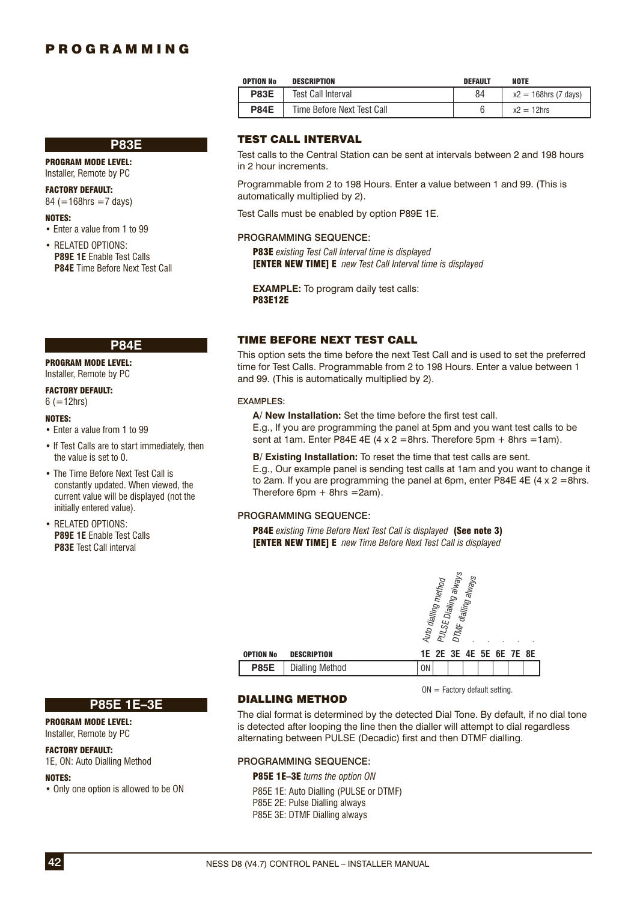|--|

PROGRAM MODE LEVEL:

Installer, Remote by PC

FACTORY DEFAULT:  $84$  (=168hrs =7 days)

#### NOTES:

- Enter a value from 1 to 99
- RELATED OPTIONS: **P89E 1E** Enable Test Calls **P84E** Time Before Next Test Call

### **P84E**

PROGRAM MODE LEVEL:

# Installer, Remote by PC

FACTORY DEFAULT:  $6 (=12$ hrs)

#### NOTES:

- Enter a value from 1 to 99
- If Test Calls are to start immediately, then the value is set to 0.
- The Time Before Next Test Call is constantly updated. When viewed, the current value will be displayed (not the initially entered value).
- RELATED OPTIONS: **P89E 1E** Enable Test Calls **P83E** Test Call interval

### TEST CALL INTERVAL

Test Call Interval

Time Before Next Test Call

**P83E P84E**

Test calls to the Central Station can be sent at intervals between 2 and 198 hours in 2 hour increments.

 $84$ 6  $x2 = 168$ hrs (7 days)  $x2 = 12$ hrs

Programmable from 2 to 198 Hours. Enter a value between 1 and 99. (This is automatically multiplied by 2).

OPTION No DESCRIPTION DEFAULT NOTE

Test Calls must be enabled by option P89E 1E.

#### PROGRAMMING SEQUENCE:

P83E *existing Test Call Interval time is displayed* [ENTER NEW TIME] E *new Test Call Interval time is displayed*

**EXAMPLE:** To program daily test calls: P83E12E

### TIME BEFORE NEXT TEST CALL

This option sets the time before the next Test Call and is used to set the preferred time for Test Calls. Programmable from 2 to 198 Hours. Enter a value between 1 and 99. (This is automatically multiplied by 2).

#### EXAMPLES:

A/ New Installation: Set the time before the first test call. E.g., If you are programming the panel at 5pm and you want test calls to be sent at 1am. Enter P84E 4E  $(4 \times 2 = 8$ hrs. Therefore 5pm + 8hrs = 1am).

**B/ Existing Installation:** To reset the time that test calls are sent. E.g., Our example panel is sending test calls at 1am and you want to change it to 2am. If you are programming the panel at 6pm, enter P84E 4E  $(4 \times 2 = 8$ hrs. Therefore  $6pm + 8$ hrs = 2am).

#### PROGRAMMING SEQUENCE:

P84E *existing Time Before Next Test Call is displayed* (See note 3) [ENTER NEW TIME] E *new Time Before Next Test Call is displayed*

| <b>OPTION No</b><br><b>DESCRIPTION</b> | .<br>Dialling alway<br>dialling always<br>Auto dialling method<br>PULSE<br><b>DTMF</b><br>1E 2E 3E 4E 5E 6E 7E 8E |
|----------------------------------------|-------------------------------------------------------------------------------------------------------------------|
| <b>Dialling Method</b><br><b>P85E</b>  | ΟN                                                                                                                |

 $ON =$  Factory default setting.

 $\frac{8}{5}$ 

### **P85E 1E–3E**

#### PROGRAM MODE LEVEL: Installer, Remote by PC

FACTORY DEFAULT: 1E, ON: Auto Dialling Method

### NOTES:

• Only one option is allowed to be ON

### DIALLING METHOD

The dial format is determined by the detected Dial Tone. By default, if no dial tone is detected after looping the line then the dialler will attempt to dial regardless alternating between PULSE (Decadic) first and then DTMF dialling.

#### PROGRAMMING SEQUENCE:

P85E 1E–3E *turns the option ON* P85E 1E: Auto Dialling (PULSE or DTMF) P85E 2E: Pulse Dialling always P85E 3E: DTMF Dialling always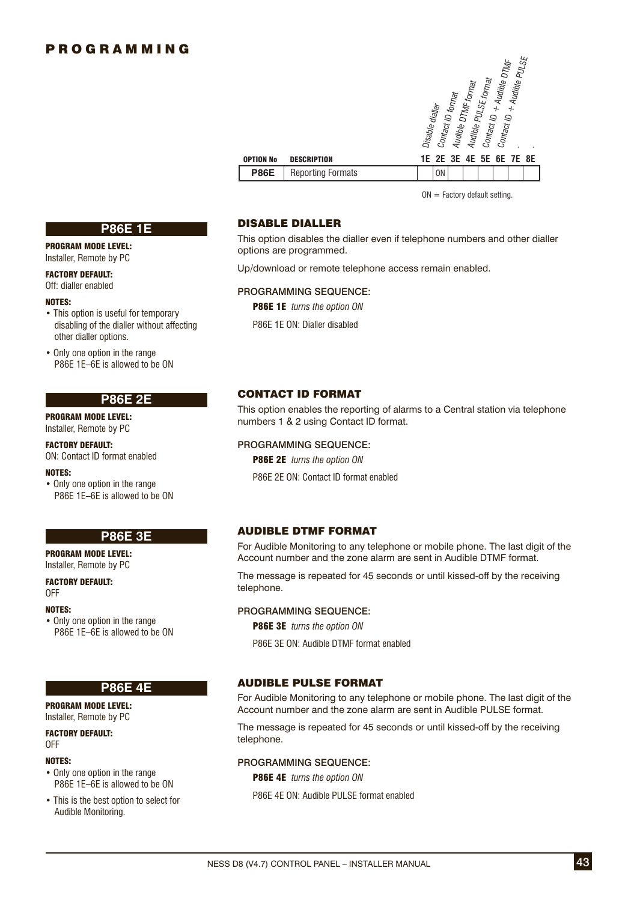|                  |                          | + Audible PULSE<br>Audible DTMF<br>Audible PULSE format<br>Audible DTMF format<br>Contact ID format<br>Disable dialler<br>$\overline{\phantom{a}}$<br>Contact ID<br>Contact ID |
|------------------|--------------------------|--------------------------------------------------------------------------------------------------------------------------------------------------------------------------------|
| <b>OPTION No</b> | <b>DESCRIPTION</b>       | 1E 2E 3E 4E 5E 6E 7E 8E                                                                                                                                                        |
| <b>P86E</b>      | <b>Reporting Formats</b> | 0 <sub>N</sub>                                                                                                                                                                 |
|                  |                          |                                                                                                                                                                                |

 $ON =$  Factory default setting.

### **P86E 1E**

#### PROGRAM MODE LEVEL: Installer, Remote by PC

FACTORY DEFAULT: Off: dialler enabled

#### NOTES:

• This option is useful for temporary disabling of the dialler without affecting other dialler options.

• Only one option in the range P86E 1E–6E is allowed to be ON

### **P86E 2E**

PROGRAM MODE LEVEL: Installer, Remote by PC

FACTORY DEFAULT: ON: Contact ID format enabled

#### NOTES:

• Only one option in the range P86E 1E–6E is allowed to be ON

### **P86E 3E**

PROGRAM MODE LEVEL: Installer, Remote by PC

FACTORY DEFAULT: OFF

#### NOTES:

• Only one option in the range P86E 1E–6E is allowed to be ON

### **P86E 4E**

PROGRAM MODE LEVEL: Installer, Remote by PC

FACTORY DEFAULT: OFF

#### NOTES:

- Only one option in the range P86E 1E–6E is allowed to be ON
- This is the best option to select for Audible Monitoring.

### DISABLE DIALLER

This option disables the dialler even if telephone numbers and other dialler options are programmed.

Up/download or remote telephone access remain enabled.

#### PROGRAMMING SEQUENCE:

P86E 1E *turns the option ON*

P86E 1E ON: Dialler disabled

### CONTACT ID FORMAT

This option enables the reporting of alarms to a Central station via telephone numbers 1 & 2 using Contact ID format.

### PROGRAMMING SEQUENCE:

P86E 2E *turns the option ON*

P86E 2E ON: Contact ID format enabled

### AUDIBLE DTMF FORMAT

For Audible Monitoring to any telephone or mobile phone. The last digit of the Account number and the zone alarm are sent in Audible DTMF format.

The message is repeated for 45 seconds or until kissed-off by the receiving telephone.

### PROGRAMMING SEQUENCE:

P86E 3E *turns the option ON*

P86E 3E ON: Audible DTMF format enabled

### AUDIBLE PULSE FORMAT

For Audible Monitoring to any telephone or mobile phone. The last digit of the Account number and the zone alarm are sent in Audible PULSE format.

The message is repeated for 45 seconds or until kissed-off by the receiving telephone.

#### PROGRAMMING SEQUENCE:

P86E 4E *turns the option ON*

P86E 4E ON: Audible PULSE format enabled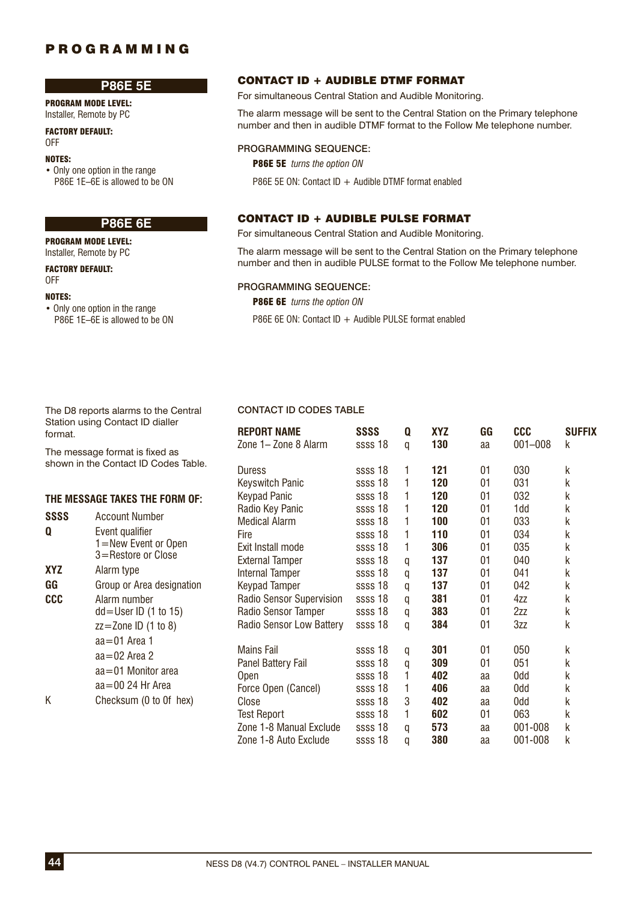### **P86E 5E**

PROGRAM MODE LEVEL: Installer, Remote by PC

FACTORY DEFAULT: OFF

#### NOTES:

• Only one option in the range P86E 1E–6E is allowed to be ON

# **P86E 6E**

PROGRAM MODE LEVEL: Installer, Remote by PC

#### FACTORY DEFAULT: OFF

#### NOTES:

• Only one option in the range P86E 1E–6E is allowed to be ON

### CONTACT ID + AUDIBLE DTMF FORMAT

For simultaneous Central Station and Audible Monitoring.

The alarm message will be sent to the Central Station on the Primary telephone number and then in audible DTMF format to the Follow Me telephone number.

#### PROGRAMMING SEQUENCE:

P86E 5E *turns the option ON*

P86E 5E ON: Contact ID  $+$  Audible DTMF format enabled

### CONTACT ID + AUDIBLE PULSE FORMAT

For simultaneous Central Station and Audible Monitoring.

The alarm message will be sent to the Central Station on the Primary telephone number and then in audible PULSE format to the Follow Me telephone number.

**REPORT NAME SSSS Q XYZ GG CCC SUFFIX**  Zone 1– Zone 8 Alarm ssss 18 q **130** aa 001–008 k

Duress ssss 18 1 **121** 01 030 k Keyswitch Panic ssss 18 1 **120** 01 031 k Keypad Panic ssss 18 1 **120** 01 032 k

Zone 1-8 Auto Exclude ssss 18 q **380** aa 001-008 k

### PROGRAMMING SEQUENCE:

P86E 6E *turns the option ON*

P86E 6E ON: Contact ID + Audible PULSE format enabled

#### The D8 reports alarms to the Central **CONTACT ID CODES TABLE** Station using Contact ID dialler format.

The message format is fixed as shown in the Contact ID Codes Table.

### **THE MESSAGE TAKES THE FORM OF:**

|            |                           | Radio Key Panic          | ssss 18 |   | 120 | 01 | 1dd     | k |
|------------|---------------------------|--------------------------|---------|---|-----|----|---------|---|
| SSSS       | <b>Account Number</b>     | <b>Medical Alarm</b>     | ssss 18 |   | 100 | 01 | 033     | k |
| Q          | Event qualifier           | <b>Fire</b>              | ssss 18 |   | 110 | 01 | 034     | k |
|            | I = New Event or Open     | Exit Install mode        | ssss 18 |   | 306 | 01 | 035     | k |
|            | 3=Restore or Close        | <b>External Tamper</b>   | ssss 18 | q | 137 | 01 | 040     | k |
| <b>XYZ</b> | Alarm type                | <b>Internal Tamper</b>   | ssss 18 | q | 137 | 01 | 041     | k |
| GG         | Group or Area designation | <b>Keypad Tamper</b>     | ssss 18 | q | 137 | 01 | 042     | k |
| <b>CCC</b> | Alarm number              | Radio Sensor Supervision | ssss 18 | q | 381 | 01 | 4zz     | k |
|            | $dd = User ID$ (1 to 15)  | Radio Sensor Tamper      | ssss 18 | q | 383 | 01 | 2zz     | k |
|            | $zz =$ Zone ID $(1 to 8)$ | Radio Sensor Low Battery | ssss 18 | q | 384 | 01 | 3zz     | k |
|            | $aa = 01$ Area 1          |                          |         |   |     |    |         |   |
|            | $aa = 02$ Area 2          | Mains Fail               | ssss 18 | q | 301 | 01 | 050     | k |
|            | $aa = 01$ Monitor area    | Panel Battery Fail       | ssss 18 | q | 309 | 01 | 051     | k |
|            |                           | <b>Open</b>              | ssss 18 |   | 402 | aa | 0dd     | k |
|            | $aa = 0024$ Hr Area       | Force Open (Cancel)      | ssss 18 |   | 406 | aa | 0dd     | k |
| Κ          | Checksum (0 to 0f hex)    | Close                    | ssss 18 | 3 | 402 | aa | 0dd     | k |
|            |                           | <b>Test Report</b>       | ssss 18 |   | 602 | 01 | 063     | k |
|            |                           | Zone 1-8 Manual Exclude  | ssss 18 | a | 573 | aa | 001-008 | k |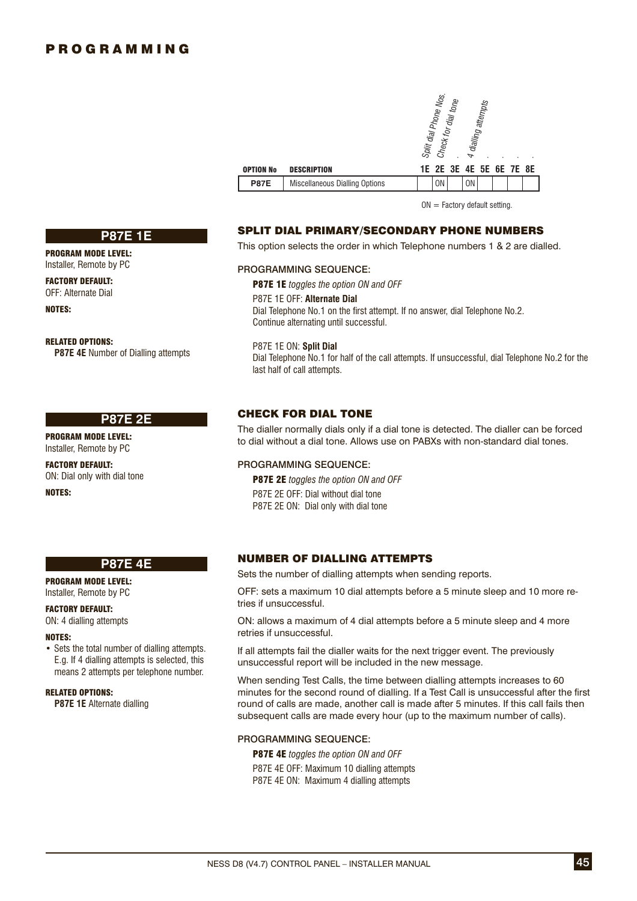**P87E 1E**

**P87E 4E** Number of Dialling attempts

**P87E 2E**

PROGRAM MODE LEVEL: Installer, Remote by PC FACTORY DEFAULT: OFF: Alternate Dial

RELATED OPTIONS:

PROGRAM MODE LEVEL: Installer, Remote by PC FACTORY DEFAULT: ON: Dial only with dial tone

NOTES:

|                  |                                       |  | Split dial Phone Nos. | Check for dial tone | 4 dialling     | attempts                |  |  |
|------------------|---------------------------------------|--|-----------------------|---------------------|----------------|-------------------------|--|--|
| <b>OPTION No</b> | <b>DESCRIPTION</b>                    |  |                       |                     |                | 1E 2E 3E 4E 5E 6E 7E 8E |  |  |
| <b>P87E</b>      | <b>Miscellaneous Dialling Options</b> |  | <b>ON</b>             |                     | 0 <sub>N</sub> |                         |  |  |

 $ON = Factory$  default setting.

### SPLIT DIAL PRIMARY/SECONDARY PHONE NUMBERS

This option selects the order in which Telephone numbers 1 & 2 are dialled.

#### PROGRAMMING SEQUENCE:

P87E 1E *toggles the option ON and OFF* P87E 1E OFF: **Alternate Dial** Dial Telephone No.1 on the first attempt. If no answer, dial Telephone No.2. Continue alternating until successful.

P87E 1E ON: **Split Dial** Dial Telephone No.1 for half of the call attempts. If unsuccessful, dial Telephone No.2 for the last half of call attempts.

### CHECK FOR DIAL TONE

The dialler normally dials only if a dial tone is detected. The dialler can be forced to dial without a dial tone. Allows use on PABXs with non-standard dial tones.

### PROGRAMMING SEQUENCE:

P87E 2E *toggles the option ON and OFF* P87E 2E OFF: Dial without dial tone P87E 2E ON: Dial only with dial tone

**P87E 4E** PROGRAM MODE LEVEL:

Installer, Remote by PC

### FACTORY DEFAULT:

ON: 4 dialling attempts

#### NOTES:

NOTES:

• Sets the total number of dialling attempts. E.g. If 4 dialling attempts is selected, this means 2 attempts per telephone number.

#### RELATED OPTIONS:

**P87E 1E** Alternate dialling

### NUMBER OF DIALLING ATTEMPTS

Sets the number of dialling attempts when sending reports.

OFF: sets a maximum 10 dial attempts before a 5 minute sleep and 10 more retries if unsuccessful.

ON: allows a maximum of 4 dial attempts before a 5 minute sleep and 4 more retries if unsuccessful.

If all attempts fail the dialler waits for the next trigger event. The previously unsuccessful report will be included in the new message.

When sending Test Calls, the time between dialling attempts increases to 60 minutes for the second round of dialling. If a Test Call is unsuccessful after the first round of calls are made, another call is made after 5 minutes. If this call fails then subsequent calls are made every hour (up to the maximum number of calls).

#### PROGRAMMING SEQUENCE:

P87E 4E *toggles the option ON and OFF*

P87E 4E OFF: Maximum 10 dialling attempts P87E 4E ON: Maximum 4 dialling attempts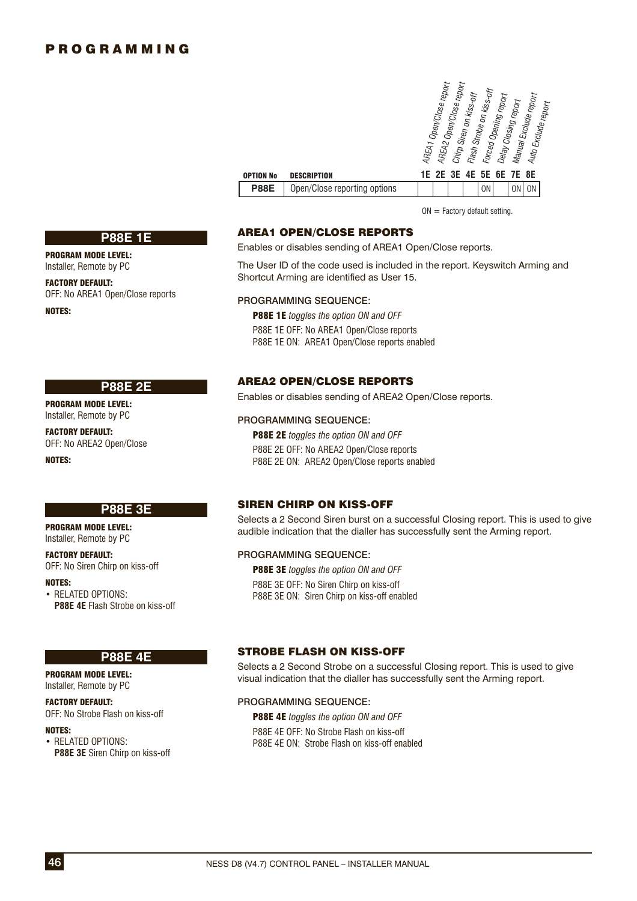| <b>OPTION No</b> | <b>DESCRIPTION</b>           | AREA1 Open/Close report<br>AREA2 Open/Close report<br>Flash Strobe on kiss-off<br>Chirp Siren on kiss-off<br>Manual Exclude report<br>Forced Opening report<br>Delay Closing report<br>Auto Exclude report<br>3E<br>4E<br>2E<br>5E 6E 7E 8E<br>1Е |
|------------------|------------------------------|---------------------------------------------------------------------------------------------------------------------------------------------------------------------------------------------------------------------------------------------------|
| <b>P88E</b>      | Open/Close reporting options | <b>ON</b><br><b>ON</b><br>0 <sub>N</sub>                                                                                                                                                                                                          |
|                  |                              |                                                                                                                                                                                                                                                   |

 $ON =$  Factory default setting.

### AREA1 OPEN/CLOSE REPORTS

Enables or disables sending of AREA1 Open/Close reports.

The User ID of the code used is included in the report. Keyswitch Arming and Shortcut Arming are identified as User 15.

#### PROGRAMMING SEQUENCE:

P88E 1E *toggles the option ON and OFF* P88E 1E OFF: No AREA1 Open/Close reports P88E 1E ON: AREA1 Open/Close reports enabled

### AREA2 OPEN/CLOSE REPORTS

Enables or disables sending of AREA2 Open/Close reports.

#### PROGRAMMING SEQUENCE:

P88E 2E *toggles the option ON and OFF* P88E 2E OFF: No AREA2 Open/Close reports P88E 2E ON: AREA2 Open/Close reports enabled

### SIREN CHIRP ON KISS-OFF

Selects a 2 Second Siren burst on a successful Closing report. This is used to give audible indication that the dialler has successfully sent the Arming report.

### PROGRAMMING SEQUENCE:

P88E 3E *toggles the option ON and OFF* P88E 3E OFF: No Siren Chirp on kiss-off P88E 3E ON: Siren Chirp on kiss-off enabled

#### STROBE FLASH ON KISS-OFF

Selects a 2 Second Strobe on a successful Closing report. This is used to give visual indication that the dialler has successfully sent the Arming report.

#### PROGRAMMING SEQUENCE:

P88E 4E *toggles the option ON and OFF* P88E 4E OFF: No Strobe Flash on kiss-off P88E 4E ON: Strobe Flash on kiss-off enabled

### **P88E 1E**

PROGRAM MODE LEVEL: Installer, Remote by PC

FACTORY DEFAULT: OFF: No AREA1 Open/Close reports

NOTES:

### **P88E 2E**

PROGRAM MODE LEVEL: Installer, Remote by PC

FACTORY DEFAULT: OFF: No AREA2 Open/Close

NOTES:

### **P88E 3E**

PROGRAM MODE LEVEL: Installer, Remote by PC

#### FACTORY DEFAULT:

OFF: No Siren Chirp on kiss-off

NOTES:

• RELATED OPTIONS: **P88E 4E** Flash Strobe on kiss-off

#### **P88E 4E**

PROGRAM MODE LEVEL: Installer, Remote by PC

#### FACTORY DEFAULT:

OFF: No Strobe Flash on kiss-off

#### NOTES:

• RELATED OPTIONS: **P88E 3E** Siren Chirp on kiss-off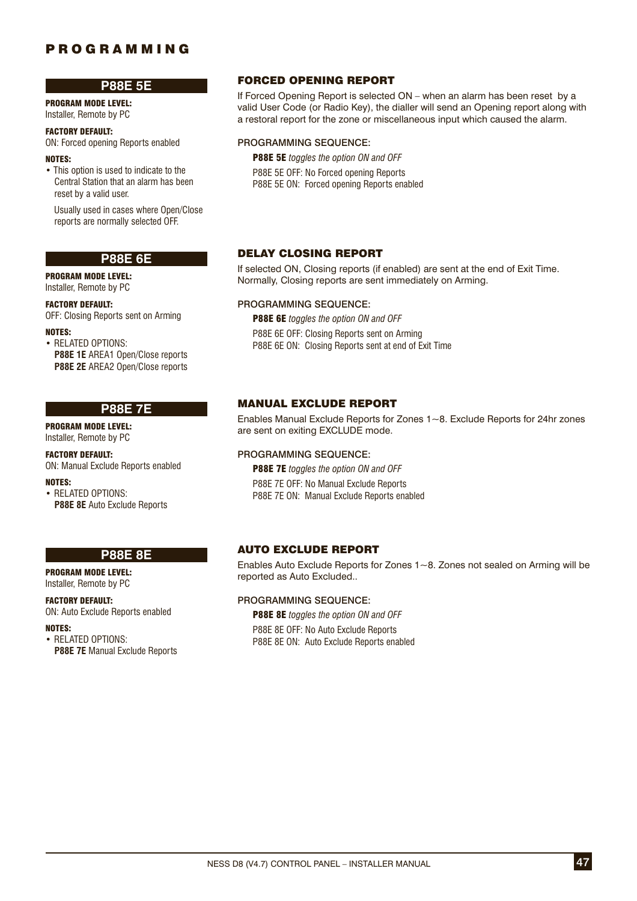### **P88E 5E**

PROGRAM MODE LEVEL: Installer, Remote by PC

#### FACTORY DEFAULT:

ON: Forced opening Reports enabled

### NOTES:

• This option is used to indicate to the Central Station that an alarm has been reset by a valid user.

 Usually used in cases where Open/Close reports are normally selected OFF.

### **P88E 6E**

PROGRAM MODE LEVEL:

Installer, Remote by PC

# FACTORY DEFAULT:

OFF: Closing Reports sent on Arming

NOTES:

• RELATED OPTIONS: **P88E 1E** AREA1 Open/Close reports **P88E 2E AREA2 Open/Close reports** 

### **P88E 7E**

PROGRAM MODE LEVEL: Installer, Remote by PC

#### FACTORY DEFAULT: ON: Manual Exclude Reports enabled

NOTES:

• RELATED OPTIONS: **P88E 8E** Auto Exclude Reports

### **P88E 8E**

PROGRAM MODE LEVEL: Installer, Remote by PC

FACTORY DEFAULT: ON: Auto Exclude Reports enabled

NOTES:

• RELATED OPTIONS: **P88E 7E** Manual Exclude Reports

### FORCED OPENING REPORT

If Forced Opening Report is selected ON – when an alarm has been reset by a valid User Code (or Radio Key), the dialler will send an Opening report along with a restoral report for the zone or miscellaneous input which caused the alarm.

### PROGRAMMING SEQUENCE:

P88E 5E *toggles the option ON and OFF* P88E 5E OFF: No Forced opening Reports P88E 5E ON: Forced opening Reports enabled

### DELAY CLOSING REPORT

If selected ON, Closing reports (if enabled) are sent at the end of Exit Time. Normally, Closing reports are sent immediately on Arming.

### PROGRAMMING SEQUENCE:

P88E 6E *toggles the option ON and OFF* P88E 6E OFF: Closing Reports sent on Arming P88E 6E ON: Closing Reports sent at end of Exit Time

### MANUAL EXCLUDE REPORT

Enables Manual Exclude Reports for Zones 1~8. Exclude Reports for 24hr zones are sent on exiting EXCLUDE mode.

### PROGRAMMING SEQUENCE:

P88E 7E *toggles the option ON and OFF* P88E 7E OFF: No Manual Exclude Reports P88E 7E ON: Manual Exclude Reports enabled

# AUTO EXCLUDE REPORT

Enables Auto Exclude Reports for Zones 1~8. Zones not sealed on Arming will be reported as Auto Excluded..

### PROGRAMMING SEQUENCE:

P88E 8E *toggles the option ON and OFF*

P88E 8E OFF: No Auto Exclude Reports P88E 8E ON: Auto Exclude Reports enabled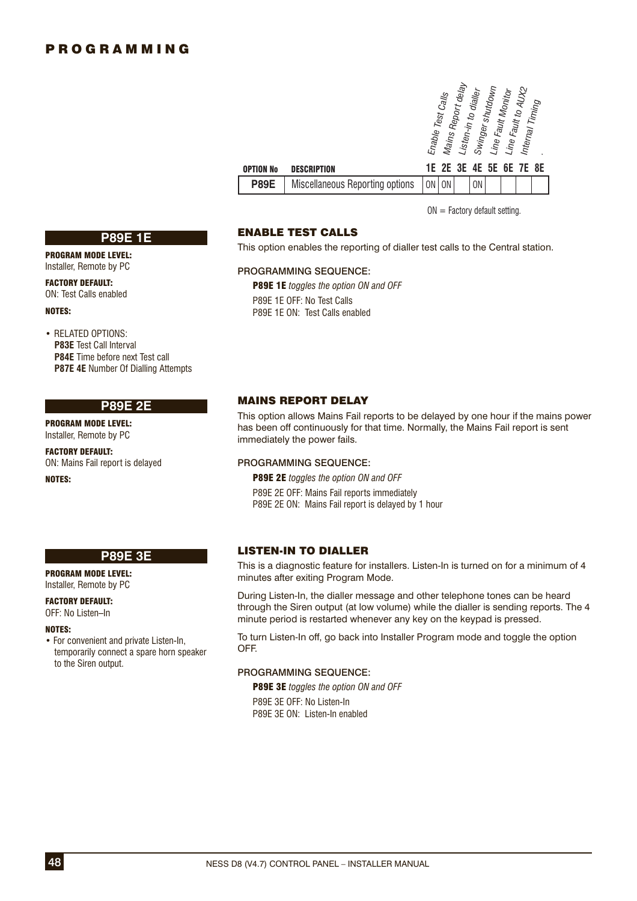|             |                                 | Enable Test Calls |    | Mains Report delay<br>Listen-in to dialler |    | Swinger shutdown<br>Line Fault Monitor | Line Fault to AUX2      | Internal Timing |  |
|-------------|---------------------------------|-------------------|----|--------------------------------------------|----|----------------------------------------|-------------------------|-----------------|--|
| OPTION No   | <b>DESCRIPTION</b>              |                   |    |                                            |    |                                        | 1E 2E 3E 4E 5E 6E 7E 8E |                 |  |
| <b>P89E</b> | Miscellaneous Reporting options | 0N                | 0N |                                            | 0N |                                        |                         |                 |  |

 $ON = Factory$  default setting.

### ENABLE TEST CALLS

This option enables the reporting of dialler test calls to the Central station.

#### PROGRAMMING SEQUENCE:

P89E 1E *toggles the option ON and OFF* P89E 1E OFF: No Test Calls P89E 1E ON: Test Calls enabled

### MAINS REPORT DELAY

This option allows Mains Fail reports to be delayed by one hour if the mains power has been off continuously for that time. Normally, the Mains Fail report is sent immediately the power fails.

### PROGRAMMING SEQUENCE:

P89E 2E *toggles the option ON and OFF* P89E 2E OFF: Mains Fail reports immediately P89E 2E ON: Mains Fail report is delayed by 1 hour

#### **P89E 3E**

PROGRAM MODE LEVEL: Installer, Remote by PC

FACTORY DEFAULT: OFF: No Listen–In

#### NOTES:

• For convenient and private Listen-In, temporarily connect a spare horn speaker to the Siren output.

#### LISTEN-IN TO DIALLER

This is a diagnostic feature for installers. Listen-In is turned on for a minimum of 4 minutes after exiting Program Mode.

During Listen-In, the dialler message and other telephone tones can be heard through the Siren output (at low volume) while the dialler is sending reports. The 4 minute period is restarted whenever any key on the keypad is pressed.

To turn Listen-In off, go back into Installer Program mode and toggle the option OFF.

### PROGRAMMING SEQUENCE:

P89E 3E *toggles the option ON and OFF* P89E 3E OFF: No Listen-In P89E 3E ON: Listen-In enabled

**P89E 1E**

PROGRAM MODE LEVEL: Installer, Remote by PC

FACTORY DEFAULT: ON: Test Calls enabled

#### NOTES:

• RELATED OPTIONS: **P83E** Test Call Interval **P84E** Time before next Test call **P87E 4E** Number Of Dialling Attempts

### **P89E 2E**

PROGRAM MODE LEVEL: Installer, Remote by PC

FACTORY DEFAULT: ON: Mains Fail report is delayed

NOTES: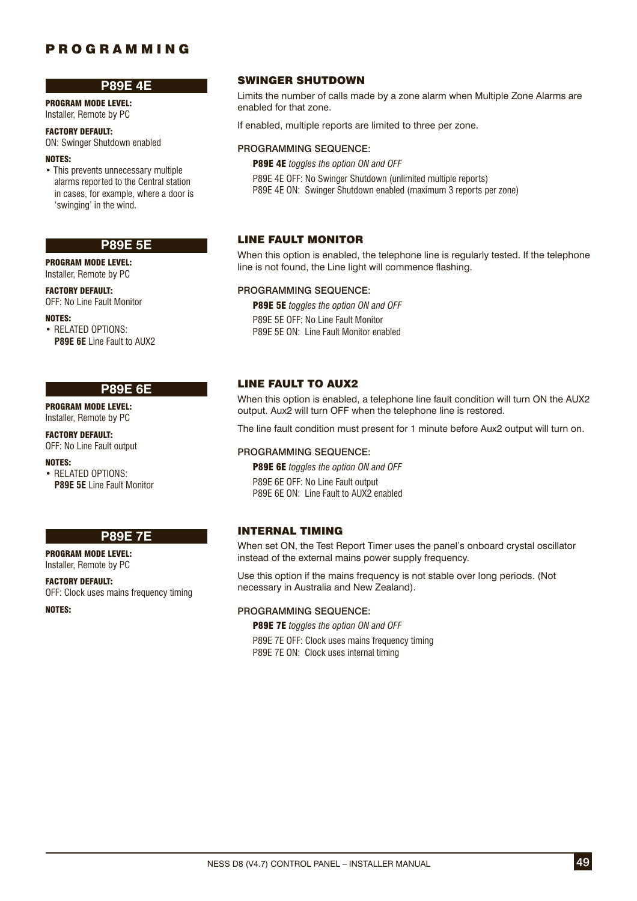### **P89E 4E**

PROGRAM MODE LEVEL: Installer, Remote by PC

### FACTORY DEFAULT:

ON: Swinger Shutdown enabled

### NOTES:

• This prevents unnecessary multiple alarms reported to the Central station in cases, for example, where a door is 'swinging' in the wind.

### **P89E 5E**

PROGRAM MODE LEVEL: Installer, Remote by PC

FACTORY DEFAULT: OFF: No Line Fault Monitor

NOTES:

• RELATED OPTIONS: **P89E 6E** Line Fault to AUX2

### **P89E 6E**

PROGRAM MODE LEVEL: Installer, Remote by PC

FACTORY DEFAULT: OFF: No Line Fault output

#### NOTES:

• RELATED OPTIONS: **P89E 5E** Line Fault Monitor

### **P89E 7E**

PROGRAM MODE LEVEL: Installer, Remote by PC

FACTORY DEFAULT: OFF: Clock uses mains frequency timing

NOTES:

### SWINGER SHUTDOWN

Limits the number of calls made by a zone alarm when Multiple Zone Alarms are enabled for that zone.

If enabled, multiple reports are limited to three per zone.

### PROGRAMMING SEQUENCE:

P89E 4E *toggles the option ON and OFF*

P89E 4E OFF: No Swinger Shutdown (unlimited multiple reports)

P89E 4E ON: Swinger Shutdown enabled (maximum 3 reports per zone)

### LINE FAULT MONITOR

When this option is enabled, the telephone line is regularly tested. If the telephone line is not found, the Line light will commence flashing.

### PROGRAMMING SEQUENCE:

P89E 5E *toggles the option ON and OFF* P89E 5E OFF: No Line Fault Monitor P89E 5E ON: Line Fault Monitor enabled

### LINE FAULT TO AUX2

When this option is enabled, a telephone line fault condition will turn ON the AUX2 output. Aux2 will turn OFF when the telephone line is restored.

The line fault condition must present for 1 minute before Aux2 output will turn on.

### PROGRAMMING SEQUENCE:

P89E 6E *toggles the option ON and OFF* P89E 6E OFF: No Line Fault output P89E 6E ON: Line Fault to AUX2 enabled

### INTERNAL TIMING

When set ON, the Test Report Timer uses the panel's onboard crystal oscillator instead of the external mains power supply frequency.

Use this option if the mains frequency is not stable over long periods. (Not necessary in Australia and New Zealand).

### PROGRAMMING SEQUENCE:

P89E 7E *toggles the option ON and OFF*

P89E 7E OFF: Clock uses mains frequency timing P89E 7E ON: Clock uses internal timing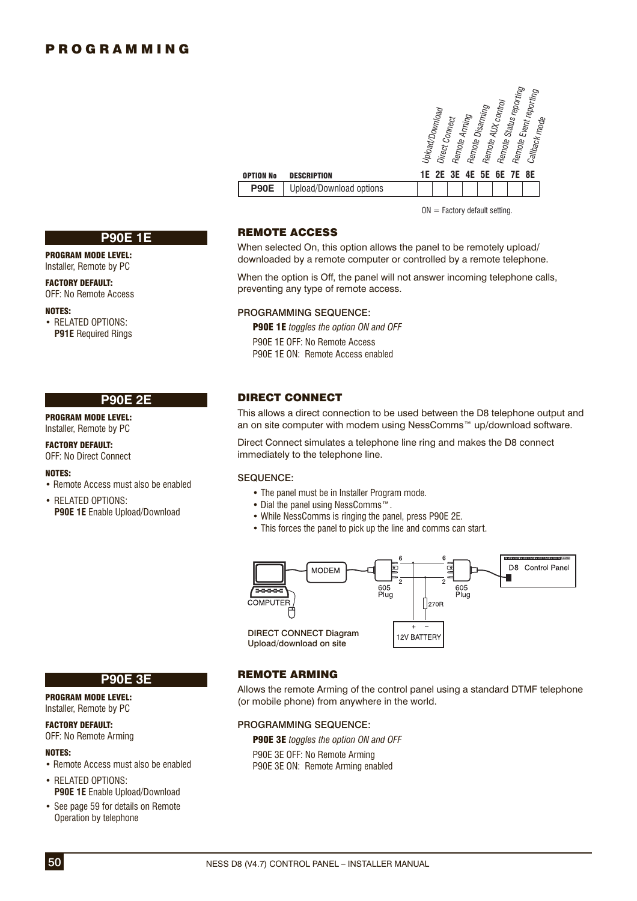|                         | Remote Status reporting<br>Remote Event reporting<br>Remote AUX control<br>Remote Disarming<br>Upload/Download<br>Remote Arming<br>Direct Connect<br>Callback mode |
|-------------------------|--------------------------------------------------------------------------------------------------------------------------------------------------------------------|
| <b>DESCRIPTION</b>      | 2E 3E 4E<br>5E 6E 7E 8E<br>1E.                                                                                                                                     |
| Upload/Download options |                                                                                                                                                                    |

 $ON = Factory$  default setting.

### REMOTE ACCESS

OPTION No **P90E** 

When selected On, this option allows the panel to be remotely upload/ downloaded by a remote computer or controlled by a remote telephone.

When the option is Off, the panel will not answer incoming telephone calls, preventing any type of remote access.

#### PROGRAMMING SEQUENCE:

P90E 1E *toggles the option ON and OFF* P90E 1E OFF: No Remote Access P90E 1E ON: Remote Access enabled

### DIRECT CONNECT

This allows a direct connection to be used between the D8 telephone output and an on site computer with modem using NessComms™ up/download software.

Direct Connect simulates a telephone line ring and makes the D8 connect immediately to the telephone line.

#### SEQUENCE:

- The panel must be in Installer Program mode.
- Dial the panel using NessComms™.
- While NessComms is ringing the panel, press P90E 2E.
- This forces the panel to pick up the line and comms can start.



### REMOTE ARMING

Allows the remote Arming of the control panel using a standard DTMF telephone (or mobile phone) from anywhere in the world.

### PROGRAMMING SEQUENCE:

P90E 3E *toggles the option ON and OFF* P90E 3E OFF: No Remote Arming P90E 3E ON: Remote Arming enabled

### **P90E 1E**

PROGRAM MODE LEVEL: Installer, Remote by PC

FACTORY DEFAULT: OFF: No Remote Access

#### NOTES:

• RELATED OPTIONS: **P91E** Required Rings

#### **P90E 2E**

PROGRAM MODE LEVEL: Installer, Remote by PC

FACTORY DEFAULT: OFF: No Direct Connect

#### NOTES:

• Remote Access must also be enabled

• RELATED OPTIONS: **P90E 1E** Enable Upload/Download

# **P90E 3E**

#### PROGRAM MODE LEVEL: Installer, Remote by PC

### FACTORY DEFAULT:

OFF: No Remote Arming

### NOTES:

- Remote Access must also be enabled
- RELATED OPTIONS: **P90E 1E** Enable Upload/Download
- See page 59 for details on Remote Operation by telephone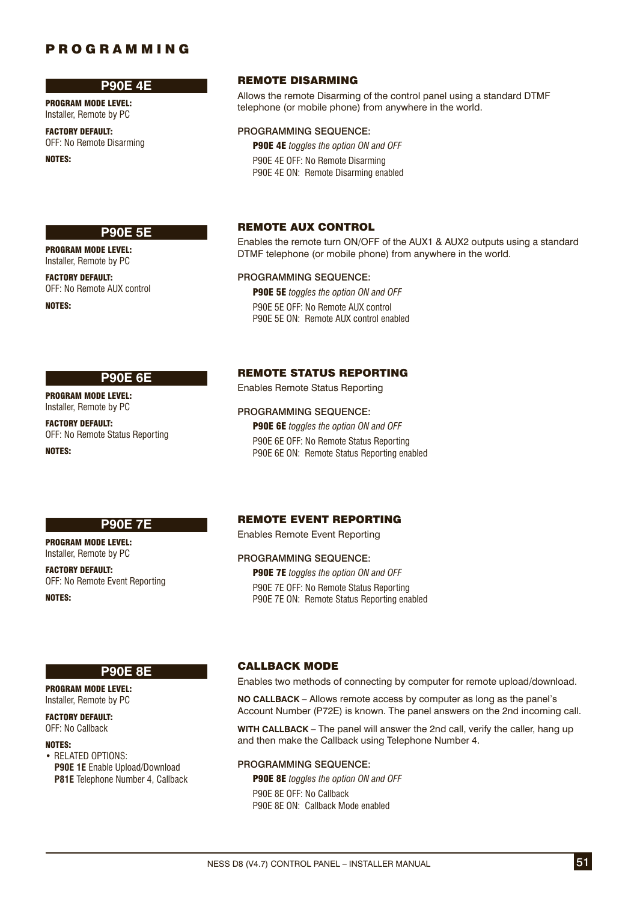### **P90E 4E**

PROGRAM MODE LEVEL: Installer, Remote by PC

FACTORY DEFAULT: OFF: No Remote Disarming

NOTES:

### **P90E 5E**

PROGRAM MODE LEVEL: Installer, Remote by PC

FACTORY DEFAULT: OFF: No Remote AUX control

NOTES:

### REMOTE DISARMING

Allows the remote Disarming of the control panel using a standard DTMF telephone (or mobile phone) from anywhere in the world.

### PROGRAMMING SEQUENCE:

P90E 4E *toggles the option ON and OFF*

P90E 4E OFF: No Remote Disarming P90E 4E ON: Remote Disarming enabled

### REMOTE AUX CONTROL

Enables the remote turn ON/OFF of the AUX1 & AUX2 outputs using a standard DTMF telephone (or mobile phone) from anywhere in the world.

### PROGRAMMING SEQUENCE:

P90E 5E *toggles the option ON and OFF* P90E 5E OFF: No Remote AUX control P90E 5E ON: Remote AUX control enabled

# REMOTE STATUS REPORTING

PROGRAM MODE LEVEL: Installer, Remote by PC

### FACTORY DEFAULT: OFF: No Remote Status Reporting

NOTES:

# **P90E 6E**

**P90E 7E**

PROGRAM MODE LEVEL: Installer, Remote by PC FACTORY DEFAULT:

OFF: No Remote Event Reporting

NOTES:

### REMOTE EVENT REPORTING

Enables Remote Status Reporting

P90E 6E *toggles the option ON and OFF* P90E 6E OFF: No Remote Status Reporting P90E 6E ON: Remote Status Reporting enabled

PROGRAMMING SEQUENCE:

Enables Remote Event Reporting

### PROGRAMMING SEQUENCE:

P90E 7E *toggles the option ON and OFF* P90E 7E OFF: No Remote Status Reporting P90E 7E ON: Remote Status Reporting enabled

# **P90E 8E**

PROGRAM MODE LEVEL: Installer, Remote by PC

FACTORY DEFAULT: OFF: No Callback

#### NOTES:

• RELATED OPTIONS: **P90E 1E** Enable Upload/Download **P81E** Telephone Number 4, Callback

### CALLBACK MODE

Enables two methods of connecting by computer for remote upload/download.

**NO CALLBACK** – Allows remote access by computer as long as the panel's Account Number (P72E) is known. The panel answers on the 2nd incoming call.

**WITH CALLBACK** – The panel will answer the 2nd call, verify the caller, hang up and then make the Callback using Telephone Number 4.

#### PROGRAMMING SEQUENCE:

P90E 8E *toggles the option ON and OFF* P90E 8E OFF: No Callback P90E 8E ON: Callback Mode enabled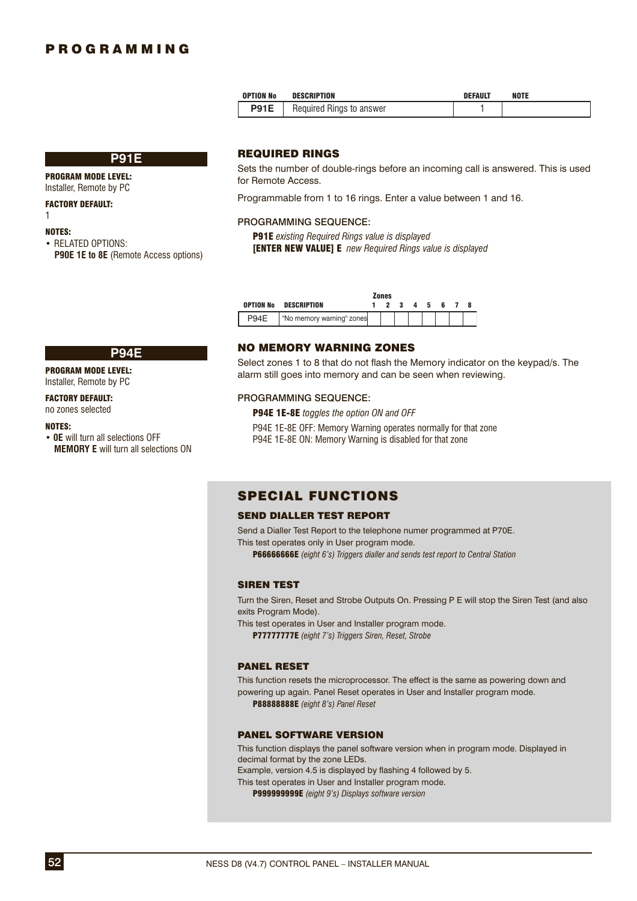| <b>OPTION No</b> | <b>DESCRIPTION</b>       | <b>DEFAULT</b> | <b>NOTE</b> |
|------------------|--------------------------|----------------|-------------|
| <b>P91E</b>      | Required Rings to answer |                |             |

#### **P91E**

PROGRAM MODE LEVEL: Installer, Remote by PC

#### FACTORY DEFAULT:

1

#### NOTES:

• RELATED OPTIONS: **P90E 1E to 8E** (Remote Access options)

**P94E**

### REQUIRED RINGS

Sets the number of double-rings before an incoming call is answered. This is used for Remote Access.

Programmable from 1 to 16 rings. Enter a value between 1 and 16.

#### PROGRAMMING SEQUENCE:

P91E *existing Required Rings value is displayed* [ENTER NEW VALUE] E *new Required Rings value is displayed*

|                  |                           | Zones |     |              |     |    |  |
|------------------|---------------------------|-------|-----|--------------|-----|----|--|
| <b>OPTION No</b> | <b>DESCRIPTION</b>        |       | - 3 | $\mathbf{a}$ | - 5 | 6. |  |
|                  | "No memory warning" zones |       |     |              |     |    |  |

### NO MEMORY WARNING ZONES

Select zones 1 to 8 that do not flash the Memory indicator on the keypad/s. The alarm still goes into memory and can be seen when reviewing.

#### PROGRAMMING SEQUENCE:

P94E 1E-8E *toggles the option ON and OFF*

P94E 1E-8E OFF: Memory Warning operates normally for that zone P94E 1E-8E ON: Memory Warning is disabled for that zone

## SPECIAL FUNCTIONS

### SEND DIALLER TEST REPORT

Send a Dialler Test Report to the telephone numer programmed at P70E. This test operates only in User program mode.

P66666666E *(eight 6's) Triggers dialler and sends test report to Central Station*

#### SIREN TEST

Turn the Siren, Reset and Strobe Outputs On. Pressing P E will stop the Siren Test (and also exits Program Mode).

This test operates in User and Installer program mode. P77777777E *(eight 7's) Triggers Siren, Reset, Strobe*

#### PANEL RESET

This function resets the microprocessor. The effect is the same as powering down and powering up again. Panel Reset operates in User and Installer program mode. P88888888E *(eight 8's) Panel Reset*

### PANEL SOFTWARE VERSION

This function displays the panel software version when in program mode. Displayed in decimal format by the zone LEDs. Example, version 4.5 is displayed by flashing 4 followed by 5. This test operates in User and Installer program mode.

P999999999E *(eight 9's) Displays software version*

PROGRAM MODE LEVEL: Installer, Remote by PC

### FACTORY DEFAULT:

### no zones selected

#### NOTES:

• **0E** will turn all selections OFF **MEMORY E** will turn all selections ON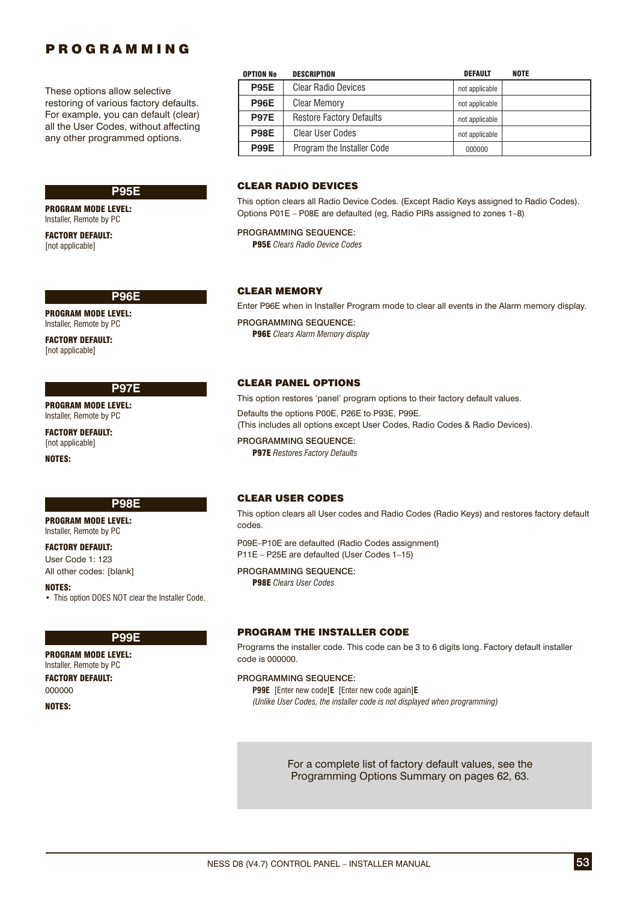These options allow selective restoring of various factory defaults. For example, you can default (clear) all the User Codes, without affecting any other programmed options.

### **P95E**

PROGRAM MODE LEVEL: Installer, Remote by PC

FACTORY DEFAULT: [not applicable]

#### **P96E**

PROGRAM MODE LEVEL: Installer, Remote by PC

FACTORY DEFAULT: [not applicable]

### **P97E**

PROGRAM MODE LEVEL: Installer, Remote by PC

FACTORY DEFAULT: [not applicable] NOTES:

### **P98E**

PROGRAM MODE LEVEL: Installer, Remote by PC

FACTORY DEFAULT: User Code 1: 123 All other codes: [blank]

NOTES:

• This option DOES NOT clear the Installer Code.

# **P99E**

PROGRAM MODE LEVEL: Installer, Remote by PC FACTORY DEFAULT: 000000

NOTES:

| <b>OPTION No</b> | <b>DESCRIPTION</b>              | <b>DEFAULT</b> | <b>NOTE</b> |
|------------------|---------------------------------|----------------|-------------|
| <b>P95E</b>      | <b>Clear Radio Devices</b>      | not applicable |             |
| <b>P96E</b>      | <b>Clear Memory</b>             | not applicable |             |
| <b>P97E</b>      | <b>Restore Factory Defaults</b> | not applicable |             |
| <b>P98E</b>      | <b>Clear User Codes</b>         | not applicable |             |
| <b>P99E</b>      | Program the Installer Code      | 000000         |             |

### CLEAR RADIO DEVICES

This option clears all Radio Device Codes. (Except Radio Keys assigned to Radio Codes). Options P01E – P08E are defaulted (eg, Radio PIRs assigned to zones 1–8)

#### PROGRAMMING SEOUENCE:

P95E *Clears Radio Device Codes*

### CLEAR MEMORY

Enter P96E when in Installer Program mode to clear all events in the Alarm memory display.

PROGRAMMING SEQUENCE: P96E *Clears Alarm Memory display*

#### CLEAR PANEL OPTIONS

This option restores 'panel' program options to their factory default values. Defaults the options P00E, P26E to P93E, P99E. (This includes all options except User Codes, Radio Codes & Radio Devices). PROGRAMMING SEQUENCE:

P97E *Restores Factory Defaults*

### CLEAR USER CODES

This option clears all User codes and Radio Codes (Radio Keys) and restores factory default codes.

P09E–P10E are defaulted (Radio Codes assignment) P11E – P25E are defaulted (User Codes 1–15)

### PROGRAMMING SEQUENCE:

P98E *Clears User Codes*

### PROGRAM THE INSTALLER CODE

Programs the installer code. This code can be 3 to 6 digits long. Factory default installer code is 000000.

#### PROGRAMMING SEQUENCE:

**P99E** [Enter new code]**E** [Enter new code again]**E** *(Unlike User Codes, the installer code is not displayed when programming)*

> For a complete list of factory default values, see the Programming Options Summary on pages 62, 63.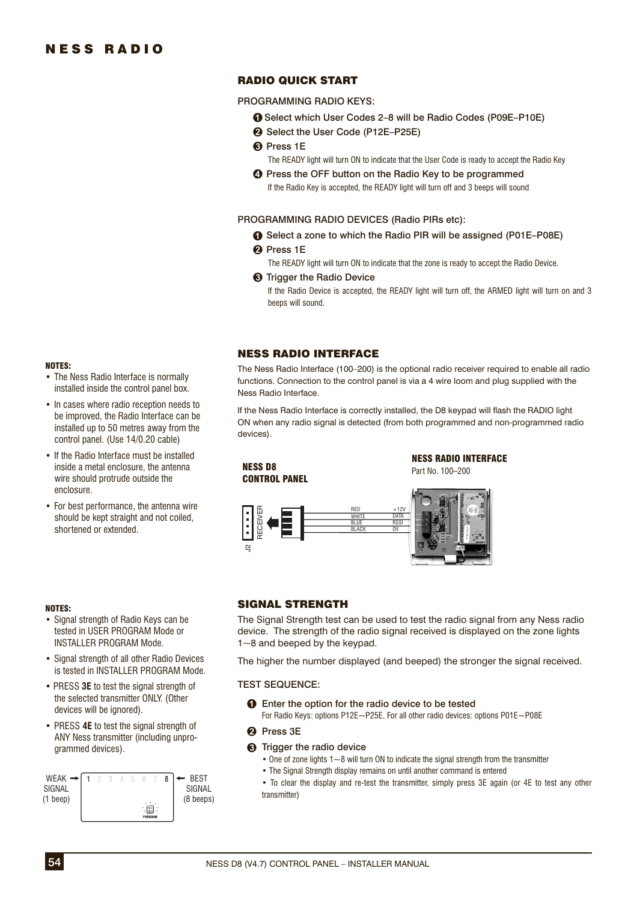### RADIO QUICK START

PROGRAMMING RADIO KEYS:

- **■** Select which User Codes 2-8 will be Radio Codes (P09E-P10E)
- Select the User Code (P12E–P25E)
- **8** Press 1E
	- The READY light will turn ON to indicate that the User Code is ready to accept the Radio Key
- $\Omega$  Press the OFF button on the Radio Key to be programmed If the Radio Key is accepted, the READY light will turn off and 3 beeps will sound

PROGRAMMING RADIO DEVICES (Radio PIRs etc):

- **●** Select a zone to which the Radio PIR will be assigned (P01E–P08E)
- **Pa** Press 1E

The READY light will turn ON to indicate that the zone is ready to accept the Radio Device.

**6** Trigger the Radio Device If the Radio Device is accepted, the READY light will turn off, the ARMED light will turn on and 3 beeps will sound.

### NESS RADIO INTERFACE

The Ness Radio Interface (100–200) is the optional radio receiver required to enable all radio functions. Connection to the control panel is via a 4 wire loom and plug supplied with the Ness Radio Interface.

If the Ness Radio Interface is correctly installed, the D8 keypad will flash the RADIO light ON when any radio signal is detected (from both programmed and non-programmed radio devices).



# NOTES:

enclosure.

NOTES:

• Signal strength of Radio Keys can be tested in USER PROGRAM Mode or INSTALLER PROGRAM Mode.

• For best performance, the antenna wire should be kept straight and not coiled,

shortened or extended.

• The Ness Radio Interface is normally installed inside the control panel box. • In cases where radio reception needs to be improved, the Radio Interface can be installed up to 50 metres away from the control panel. (Use 14/0.20 cable) • If the Radio Interface must be installed inside a metal enclosure, the antenna wire should protrude outside the

- Signal strength of all other Radio Devices is tested in INSTALLER PROGRAM Mode.
- PRESS **3E** to test the signal strength of the selected transmitter ONLY. (Other devices will be ignored).
- PRESS **4E** to test the signal strength of ANY Ness transmitter (including unprogrammed devices).



### SIGNAL STRENGTH

The Signal Strength test can be used to test the radio signal from any Ness radio device. The strength of the radio signal received is displayed on the zone lights 1~8 and beeped by the keypad.

The higher the number displayed (and beeped) the stronger the signal received.

### TEST SEQUENCE:

- **O** Enter the option for the radio device to be tested For Radio Keys: options P12E~P25E. For all other radio devices: options P01E~P08E
- <sup>2</sup> Press 3E
- **6** Trigger the radio device
	- One of zone lights  $1~-8$  will turn ON to indicate the signal strength from the transmitter
	- The Signal Strength display remains on until another command is entered
	- To clear the display and re-test the transmitter, simply press 3E again (or 4E to test any other transmitter)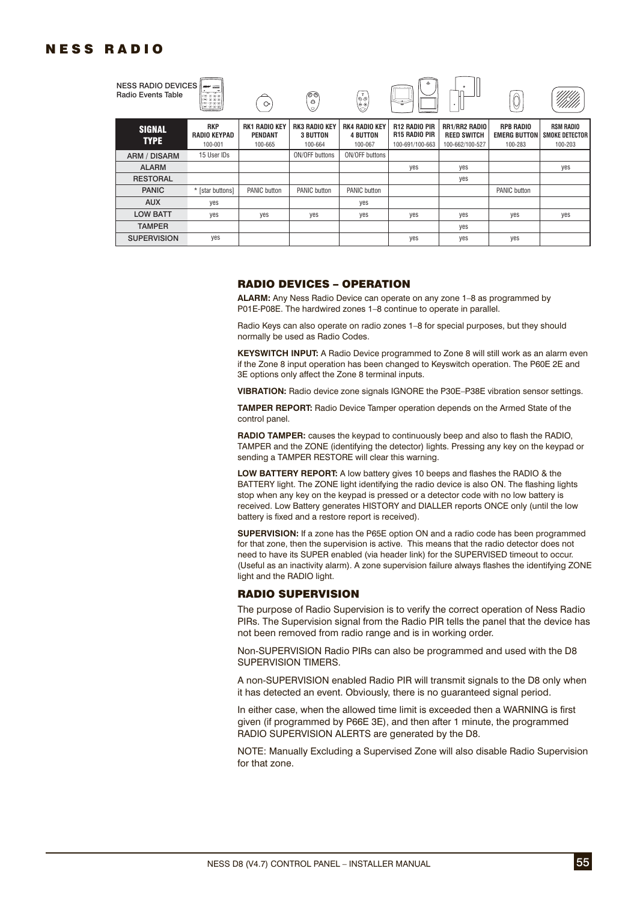# NESS RADIO

| NESS RADIO DEVICES $\ $ mass <u>have</u><br><b>Radio Events Table</b> | $-000$<br>$= 0.05$<br>$=0.00$<br>$-0.00$     | 0.                                                | ⊚⊚<br>$\ominus$<br>ίÓ,                             | $\ddot{\mathbf{e}}$                                | ے<br>. .<br>₩                                                   | ٠<br>۰                                                        | い                                                  |                                                        |
|-----------------------------------------------------------------------|----------------------------------------------|---------------------------------------------------|----------------------------------------------------|----------------------------------------------------|-----------------------------------------------------------------|---------------------------------------------------------------|----------------------------------------------------|--------------------------------------------------------|
| <b>SIGNAL</b><br><b>TYPE</b>                                          | <b>RKP</b><br><b>RADIO KEYPAD</b><br>100-001 | <b>RK1 RADIO KEY</b><br><b>PENDANT</b><br>100-665 | <b>RK3 RADIO KEY</b><br><b>3 BUTTON</b><br>100-664 | <b>RK4 RADIO KEY</b><br><b>4 BUTTON</b><br>100-067 | <b>R12 RADIO PIR</b><br><b>R15 RADIO PIR</b><br>100-691/100-663 | <b>RR1/RR2 RADIO</b><br><b>REED SWITCH</b><br>100-662/100-527 | <b>RPB RADIO</b><br><b>EMERG BUTTON</b><br>100-283 | <b>RSM RADIO</b><br><b>SMOKE DETECTOR I</b><br>100-203 |
| <b>ARM / DISARM</b>                                                   | 15 User IDs                                  |                                                   | ON/OFF buttons                                     | ON/OFF buttons                                     |                                                                 |                                                               |                                                    |                                                        |
| <b>ALARM</b>                                                          |                                              |                                                   |                                                    |                                                    | yes                                                             | yes                                                           |                                                    | yes                                                    |
| <b>RESTORAL</b>                                                       |                                              |                                                   |                                                    |                                                    |                                                                 | yes                                                           |                                                    |                                                        |
| <b>PANIC</b>                                                          | * [star buttons]                             | PANIC button                                      | <b>PANIC button</b>                                | PANIC button                                       |                                                                 |                                                               | PANIC button                                       |                                                        |
| <b>AUX</b>                                                            | yes                                          |                                                   |                                                    | yes                                                |                                                                 |                                                               |                                                    |                                                        |
| <b>LOW BATT</b>                                                       | yes                                          | yes                                               | yes                                                | yes                                                | yes                                                             | yes                                                           | yes                                                | yes                                                    |
| <b>TAMPER</b>                                                         |                                              |                                                   |                                                    |                                                    |                                                                 | yes                                                           |                                                    |                                                        |
| <b>SUPERVISION</b>                                                    | yes                                          |                                                   |                                                    |                                                    | yes                                                             | yes                                                           | yes                                                |                                                        |

#### RADIO DEVICES – OPERATION

**ALARM:** Any Ness Radio Device can operate on any zone 1–8 as programmed by P01E-P08E. The hardwired zones 1–8 continue to operate in parallel.

Radio Keys can also operate on radio zones 1–8 for special purposes, but they should normally be used as Radio Codes.

**KEYSWITCH INPUT:** A Radio Device programmed to Zone 8 will still work as an alarm even if the Zone 8 input operation has been changed to Keyswitch operation. The P60E 2E and 3E options only affect the Zone 8 terminal inputs.

**VIBRATION:** Radio device zone signals IGNORE the P30E–P38E vibration sensor settings.

**TAMPER REPORT:** Radio Device Tamper operation depends on the Armed State of the control panel.

**RADIO TAMPER:** causes the keypad to continuously beep and also to flash the RADIO, TAMPER and the ZONE (identifying the detector) lights. Pressing any key on the keypad or sending a TAMPER RESTORE will clear this warning.

**LOW BATTERY REPORT:** A low battery gives 10 beeps and flashes the RADIO & the BATTERY light. The ZONE light identifying the radio device is also ON. The flashing lights stop when any key on the keypad is pressed or a detector code with no low battery is received. Low Battery generates HISTORY and DIALLER reports ONCE only (until the low battery is fixed and a restore report is received).

**SUPERVISION:** If a zone has the P65E option ON and a radio code has been programmed for that zone, then the supervision is active. This means that the radio detector does not need to have its SUPER enabled (via header link) for the SUPERVISED timeout to occur. (Useful as an inactivity alarm). A zone supervision failure always flashes the identifying ZONE light and the RADIO light.

### RADIO SUPERVISION

The purpose of Radio Supervision is to verify the correct operation of Ness Radio PIRs. The Supervision signal from the Radio PIR tells the panel that the device has not been removed from radio range and is in working order.

Non-SUPERVISION Radio PIRs can also be programmed and used with the D8 SUPERVISION TIMERS.

A non-SUPERVISION enabled Radio PIR will transmit signals to the D8 only when it has detected an event. Obviously, there is no guaranteed signal period.

In either case, when the allowed time limit is exceeded then a WARNING is first given (if programmed by P66E 3E), and then after 1 minute, the programmed RADIO SUPERVISION ALERTS are generated by the D8.

NOTE: Manually Excluding a Supervised Zone will also disable Radio Supervision for that zone.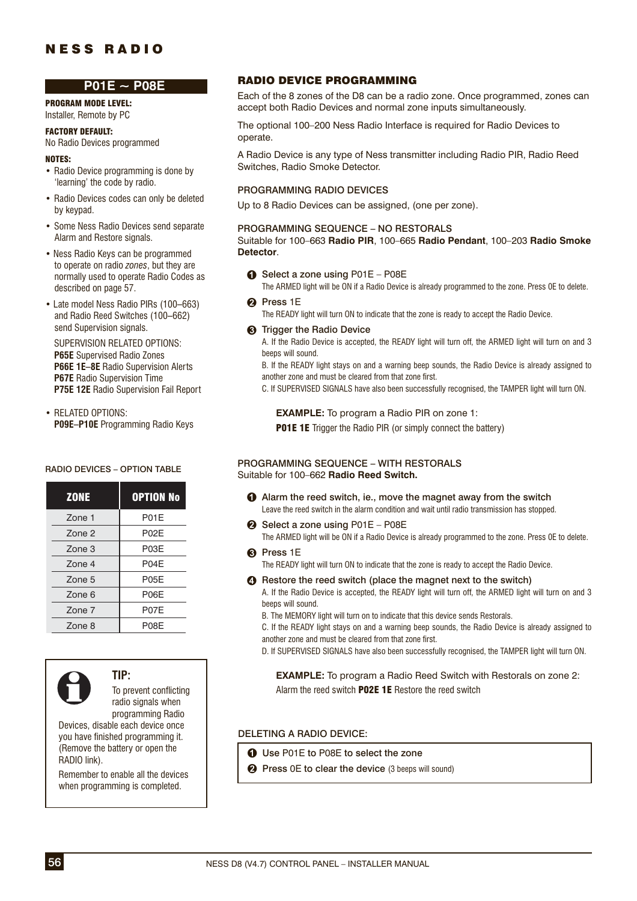# NESS RADIO

### **P01E ~ P08E**

PROGRAM MODE LEVEL: Installer, Remote by PC

# FACTORY DEFAULT:

No Radio Devices programmed NOTES:

- Radio Device programming is done by 'learning' the code by radio.
- Radio Devices codes can only be deleted by keypad.
- Some Ness Radio Devices send separate Alarm and Restore signals.
- Ness Radio Keys can be programmed to operate on radio *zones*, but they are normally used to operate Radio Codes as described on page 57.
- Late model Ness Radio PIRs (100–663) and Radio Reed Switches (100–662) send Supervision signals.

 SUPERVISION RELATED OPTIONS: **P65E** Supervised Radio Zones **P66E 1E–8E** Radio Supervision Alerts **P67E** Radio Supervision Time  **P75E 12E** Radio Supervision Fail Report

• RELATED OPTIONS: **P09E–P10E** Programming Radio Keys

### RADIO DEVICES – OPTION TABLE

| <b>ZONE</b>       | <b>OPTION No</b> |
|-------------------|------------------|
| Zone 1            | P01E             |
| Zone <sub>2</sub> | P02E             |
| Zone 3            | P03E             |
| Zone <sub>4</sub> | P04E             |
| Zone 5            | P05E             |
| Zone 6            | P06E             |
| Zone 7            | P07E             |
| Zone 8            | P08E             |



**TIP:**

To prevent conflicting radio signals when programming Radio

Devices, disable each device once you have finished programming it. (Remove the battery or open the RADIO link).

Remember to enable all the devices when programming is completed.

### RADIO DEVICE PROGRAMMING

Each of the 8 zones of the D8 can be a radio zone. Once programmed, zones can accept both Radio Devices and normal zone inputs simultaneously.

The optional 100–200 Ness Radio Interface is required for Radio Devices to operate.

A Radio Device is any type of Ness transmitter including Radio PIR, Radio Reed Switches, Radio Smoke Detector.

### PROGRAMMING RADIO DEVICES

Up to 8 Radio Devices can be assigned, (one per zone).

### PROGRAMMING SEQUENCE – NO RESTORALS

Suitable for 100–663 **Radio PIR**, 100–665 **Radio Pendant**, 100–203 **Radio Smoke Detector**.

- **O** Select a zone using P01E P08E The ARMED light will be ON if a Radio Device is already programmed to the zone. Press 0E to delete.
- **Pa** Press 1E

The READY light will turn ON to indicate that the zone is ready to accept the Radio Device.

**6** Trigger the Radio Device

A. If the Radio Device is accepted, the READY light will turn off, the ARMED light will turn on and 3 beeps will sound.

B. If the READY light stays on and a warning beep sounds, the Radio Device is already assigned to another zone and must be cleared from that zone first.

C. If SUPERVISED SIGNALS have also been successfully recognised, the TAMPER light will turn ON.

 **EXAMPLE:** To program a Radio PIR on zone 1:

**P01E 1E** Trigger the Radio PIR (or simply connect the battery)

#### PROGRAMMING SEQUENCE – WITH RESTORALS Suitable for 100–662 **Radio Reed Switch.**

- Alarm the reed switch, ie., move the magnet away from the switch Leave the reed switch in the alarm condition and wait until radio transmission has stopped.
- Select a zone using P01E P08E The ARMED light will be ON if a Radio Device is already programmed to the zone. Press 0E to delete.
- **A** Press 1E

The READY light will turn ON to indicate that the zone is ready to accept the Radio Device.

**e** Restore the reed switch (place the magnet next to the switch)

A. If the Radio Device is accepted, the READY light will turn off, the ARMED light will turn on and 3 beeps will sound.

B. The MEMORY light will turn on to indicate that this device sends Restorals.

C. If the READY light stays on and a warning beep sounds, the Radio Device is already assigned to another zone and must be cleared from that zone first.

D. If SUPERVISED SIGNALS have also been successfully recognised, the TAMPER light will turn ON.

 **EXAMPLE:** To program a Radio Reed Switch with Restorals on zone 2: Alarm the reed switch **P02E 1E** Restore the reed switch

### DELETING A RADIO DEVICE:

- **O** Use P01E to P08E to select the zone
- **2** Press 0E to clear the device (3 beeps will sound)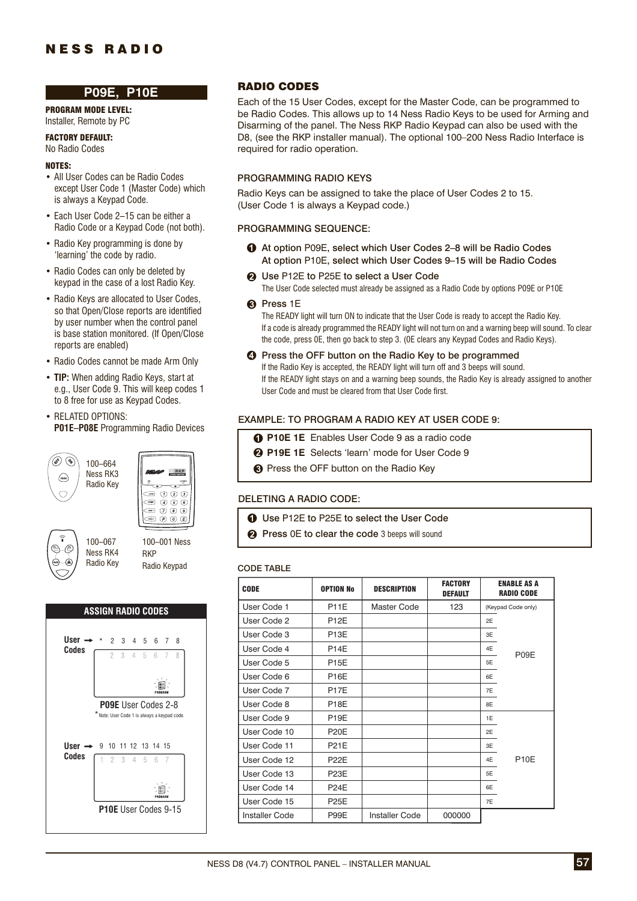# NESS RADIO

### **P09E, P10E**

PROGRAM MODE LEVEL: Installer, Remote by PC

FACTORY DEFAULT:

### No Radio Codes

### NOTES:

- All User Codes can be Radio Codes except User Code 1 (Master Code) which is always a Keypad Code.
- Each User Code 2–15 can be either a Radio Code or a Keypad Code (not both).
- Radio Key programming is done by 'learning' the code by radio.
- Radio Codes can only be deleted by keypad in the case of a lost Radio Key.
- Radio Keys are allocated to User Codes, so that Open/Close reports are identified by user number when the control panel is base station monitored. (If Open/Close reports are enabled)
- Radio Codes cannot be made Arm Only
- **TIP:** When adding Radio Keys, start at e.g., User Code 9. This will keep codes 1 to 8 free for use as Keypad Codes.
- RELATED OPTIONS: **P01E–P08E** Programming Radio Devices

(\$) (4 100–664 Ness RK3  $\binom{P}{P}$ Radio Key





100–067 Ness RK4 Radio Key 100–001 Ness RKP Radio Keypad



### RADIO CODES

Each of the 15 User Codes, except for the Master Code, can be programmed to be Radio Codes. This allows up to 14 Ness Radio Keys to be used for Arming and Disarming of the panel. The Ness RKP Radio Keypad can also be used with the D8, (see the RKP installer manual). The optional 100–200 Ness Radio Interface is required for radio operation.

#### PROGRAMMING RADIO KEYS

Radio Keys can be assigned to take the place of User Codes 2 to 15. (User Code 1 is always a Keypad code.)

#### PROGRAMMING SEQUENCE:

- At option P09E, select which User Codes 2–8 will be Radio Codes At option P10E, select which User Codes 9–15 will be Radio Codes
- **2** Use P12E to P25E to select a User Code The User Code selected must already be assigned as a Radio Code by options P09E or P10E

#### **A** Press 1E

The READY light will turn ON to indicate that the User Code is ready to accept the Radio Key. If a code is already programmed the READY light will not turn on and a warning beep will sound. To clear the code, press 0E, then go back to step 3. (0E clears any Keypad Codes and Radio Keys).

**<sup>4</sup>** Press the OFF button on the Radio Key to be programmed If the Radio Key is accepted, the READY light will turn off and 3 beeps will sound. If the READY light stays on and a warning beep sounds, the Radio Key is already assigned to another User Code and must be cleared from that User Code first.

#### EXAMPLE: TO PROGRAM A RADIO KEY AT USER CODE 9:

- **P10E 1E** Enables User Code 9 as a radio code
- **P19E 1E** Selects 'learn' mode for User Code 9
- **8** Press the OFF button on the Radio Key

#### DELETING A RADIO CODE:

- **1** Use P12E to P25E to select the User Code
- **2** Press 0E to clear the code 3 beeps will sound

#### CODE TABLE

| <b>CODE</b>           | <b>OPTION No</b>  | <b>DESCRIPTION</b>    | <b>FACTORY</b><br><b>DEFAULT</b> | <b>ENABLE AS A</b><br><b>RADIO CODE</b> |                    |  |
|-----------------------|-------------------|-----------------------|----------------------------------|-----------------------------------------|--------------------|--|
| User Code 1           | <b>P11E</b>       | Master Code           | 123                              |                                         | (Keypad Code only) |  |
| User Code 2           | <b>P12E</b>       |                       |                                  | 2E                                      |                    |  |
| User Code 3           | P <sub>13</sub> E |                       |                                  | 3E                                      |                    |  |
| User Code 4           | <b>P14E</b>       |                       |                                  | 4E                                      | P <sub>09</sub> E  |  |
| User Code 5           | <b>P15E</b>       |                       |                                  | 5E                                      |                    |  |
| User Code 6           | <b>P16E</b>       |                       |                                  | 6E                                      |                    |  |
| User Code 7           | P <sub>17</sub> F |                       |                                  | 7E                                      |                    |  |
| User Code 8           | <b>P18E</b>       |                       |                                  | 8E                                      |                    |  |
| User Code 9           | <b>P19E</b>       |                       |                                  | 1E                                      |                    |  |
| User Code 10          | <b>P20E</b>       |                       |                                  | 2E                                      |                    |  |
| User Code 11          | <b>P21E</b>       |                       |                                  | 3E                                      |                    |  |
| User Code 12          | <b>P22E</b>       |                       |                                  | 4E                                      | <b>P10E</b>        |  |
| User Code 13          | <b>P23E</b>       |                       |                                  | 5E                                      |                    |  |
| User Code 14          | <b>P24E</b>       |                       |                                  | 6E                                      |                    |  |
| User Code 15          | <b>P25E</b>       |                       |                                  | 7E                                      |                    |  |
| <b>Installer Code</b> | P99E              | <b>Installer Code</b> | 000000                           |                                         |                    |  |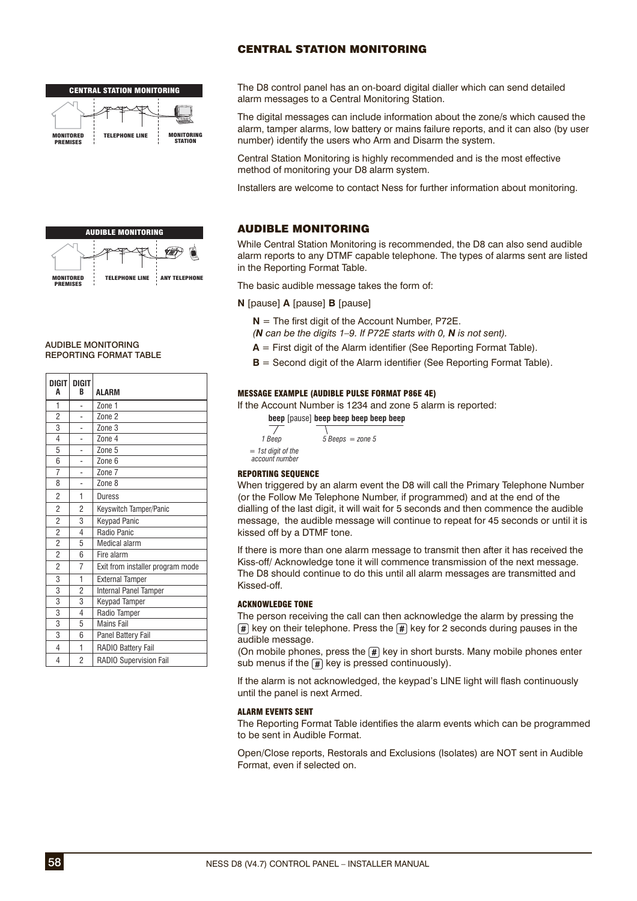### CENTRAL STATION MONITORING





#### AUDIBLE MONITORING REPORTING FORMAT TABLE

| DIGIT<br>A              | DIGIT<br>R     | ALARM                            |
|-------------------------|----------------|----------------------------------|
| 1                       |                | Zone 1                           |
| $\overline{2}$          |                | Zone 2                           |
| 3                       |                | Zone 3                           |
| $\overline{4}$          |                | Zone 4                           |
| 5                       |                | Zone 5                           |
| 6                       |                | Zone 6                           |
| $\overline{7}$          |                | Zone 7                           |
| 8                       |                | Zone 8                           |
| $\overline{c}$          | 1              | Duress                           |
| $\overline{2}$          | 2              | Keyswitch Tamper/Panic           |
| $\overline{\mathbf{c}}$ | 3              | <b>Keypad Panic</b>              |
| $\overline{2}$          | 4              | Radio Panic                      |
| $\overline{2}$          | 5              | <b>Medical alarm</b>             |
| $\overline{2}$          | 6              | Fire alarm                       |
| $\overline{2}$          | 7              | Exit from installer program mode |
| 3                       | 1              | <b>External Tamper</b>           |
| 3                       | $\overline{2}$ | <b>Internal Panel Tamper</b>     |
| $\overline{3}$          | 3              | Keypad Tamper                    |
| 3                       | 4              | Radio Tamper                     |
| 3                       | 5              | <b>Mains Fail</b>                |
| 3                       | 6              | Panel Battery Fail               |
| 4                       | $\mathbf{1}$   | RADIO Battery Fail               |
| $\overline{4}$          | $\overline{2}$ | RADIO Supervision Fail           |

The D8 control panel has an on-board digital dialler which can send detailed alarm messages to a Central Monitoring Station.

The digital messages can include information about the zone/s which caused the alarm, tamper alarms, low battery or mains failure reports, and it can also (by user number) identify the users who Arm and Disarm the system.

Central Station Monitoring is highly recommended and is the most effective method of monitoring your D8 alarm system.

Installers are welcome to contact Ness for further information about monitoring.

### AUDIBLE MONITORING

While Central Station Monitoring is recommended, the D8 can also send audible alarm reports to any DTMF capable telephone. The types of alarms sent are listed in the Reporting Format Table.

The basic audible message takes the form of:

**N** [pause] **A** [pause] **B** [pause]

- $N =$  The first digit of the Account Number, P72E.
- *(N can be the digits 1–9. If P72E starts with 0, N is not sent).*
- $A =$  First digit of the Alarm identifier (See Reporting Format Table).
- **Second digit of the Alarm identifier (See Reporting Format Table).**

#### MESSAGE EXAMPLE (AUDIBLE PULSE FORMAT P86E 4E)

If the Account Number is 1234 and zone 5 alarm is reported:

**beep** [pause] **beep beep beep beep** 

| 1 Beep                               | $5 Beeps = zone 5$ |
|--------------------------------------|--------------------|
| = 1st digit of the<br>account number |                    |

#### REPORTING SEQUENCE

When triggered by an alarm event the D8 will call the Primary Telephone Number (or the Follow Me Telephone Number, if programmed) and at the end of the dialling of the last digit, it will wait for 5 seconds and then commence the audible message, the audible message will continue to repeat for 45 seconds or until it is kissed off by a DTMF tone.

If there is more than one alarm message to transmit then after it has received the Kiss-off/ Acknowledge tone it will commence transmission of the next message. The D8 should continue to do this until all alarm messages are transmitted and Kissed-off.

### ACKNOWLEDGE TONE

The person receiving the call can then acknowledge the alarm by pressing the  $\sqrt{\frac{4}{\pi}}$  key on their telephone. Press the  $\sqrt{\frac{4}{\pi}}$  key for 2 seconds during pauses in the audible message.

(On mobile phones, press the  $\mathbb{H}$  key in short bursts. Many mobile phones enter sub menus if the  $\boxed{\#}$  key is pressed continuously).

If the alarm is not acknowledged, the keypad's LINE light will flash continuously until the panel is next Armed.

#### ALARM EVENTS SENT

The Reporting Format Table identifies the alarm events which can be programmed to be sent in Audible Format.

Open/Close reports, Restorals and Exclusions (Isolates) are NOT sent in Audible Format, even if selected on.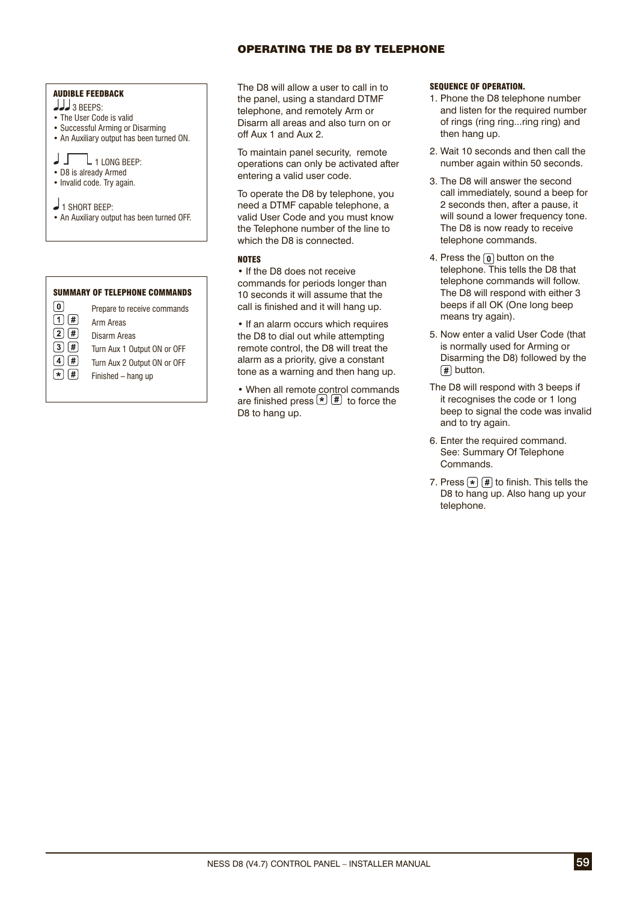### OPERATING THE D8 BY TELEPHONE

### AUDIBLE FEEDBACK

- 3 BEEPS:
- The User Code is valid
- Successful Arming or Disarming
- An Auxiliary output has been turned ON.

### $\sqrt{1 + \frac{1}{1}}$  LONG BEEP:

- D8 is already Armed
- Invalid code. Try again.

1 SHORT BEEP:

• An Auxiliary output has been turned OFF.

#### SUMMARY OF TELEPHONE COMMANDS



The D8 will allow a user to call in to the panel, using a standard DTMF telephone, and remotely Arm or Disarm all areas and also turn on or off Aux 1 and Aux 2.

To maintain panel security, remote operations can only be activated after entering a valid user code.

To operate the D8 by telephone, you need a DTMF capable telephone, a valid User Code and you must know the Telephone number of the line to which the D8 is connected.

### NOTES

• If the D8 does not receive commands for periods longer than 10 seconds it will assume that the call is finished and it will hang up.

• If an alarm occurs which requires the D8 to dial out while attempting remote control, the D8 will treat the alarm as a priority, give a constant tone as a warning and then hang up.

• When all remote control commands are finished press  $\left( \frac{1}{2} \right)$  fo force the D8 to hang up.

#### SEQUENCE OF OPERATION.

- 1. Phone the D8 telephone number and listen for the required number of rings (ring ring...ring ring) and then hang up.
- 2. Wait 10 seconds and then call the number again within 50 seconds.
- 3. The D8 will answer the second call immediately, sound a beep for 2 seconds then, after a pause, it will sound a lower frequency tone. The D8 is now ready to receive telephone commands.
- 4. Press the  $\boxed{0}$  button on the telephone. This tells the D8 that telephone commands will follow. The D8 will respond with either 3 beeps if all OK (One long beep means try again).
- 5. Now enter a valid User Code (that is normally used for Arming or Disarming the D8) followed by the  $\sqrt{\#}$  button.
- The D8 will respond with 3 beeps if it recognises the code or 1 long beep to signal the code was invalid and to try again.
- 6. Enter the required command. See: Summary Of Telephone Commands.
- 7. Press  $\left[\ast\right]$   $\left[\frac{1}{2}\right]$  to finish. This tells the D8 to hang up. Also hang up your telephone.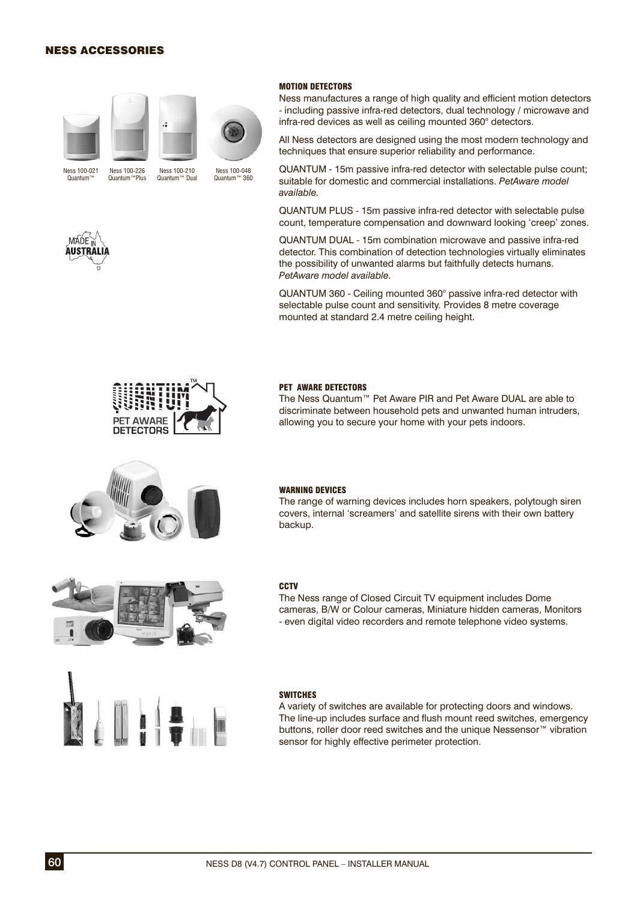### NESS ACCESSORIES





Ness 100-226



Ness 100-021 Quantum™ Quantum™Plus

Ness 100-210 Quantum™ Dual

Ness 100-048 Quantum™ 360



Ness manufactures a range of high quality and efficient motion detectors - including passive infra-red detectors, dual technology / microwave and infra-red devices as well as ceiling mounted 360° detectors.

All Ness detectors are designed using the most modern technology and techniques that ensure superior reliability and performance.

QUANTUM - 15m passive infra-red detector with selectable pulse count; suitable for domestic and commercial installations. *PetAware model available.*

QUANTUM PLUS - 15m passive infra-red detector with selectable pulse count, temperature compensation and downward looking 'creep' zones.

QUANTUM DUAL - 15m combination microwave and passive infra-red detector. This combination of detection technologies virtually eliminates the possibility of unwanted alarms but faithfully detects humans. *PetAware model available.*

QUANTUM 360 - Ceiling mounted 360° passive infra-red detector with selectable pulse count and sensitivity. Provides 8 metre coverage mounted at standard 2.4 metre ceiling height.



#### PET AWARE DETECTORS

The Ness Quantum™ Pet Aware PIR and Pet Aware DUAL are able to discriminate between household pets and unwanted human intruders, allowing you to secure your home with your pets indoors.



#### WARNING DEVICES

The range of warning devices includes horn speakers, polytough siren covers, internal 'screamers' and satellite sirens with their own battery backup.



#### **CCTV**

The Ness range of Closed Circuit TV equipment includes Dome cameras, B/W or Colour cameras, Miniature hidden cameras, Monitors - even digital video recorders and remote telephone video systems.



#### **SWITCHES**

A variety of switches are available for protecting doors and windows. The line-up includes surface and flush mount reed switches, emergency buttons, roller door reed switches and the unique Nessensor™ vibration sensor for highly effective perimeter protection.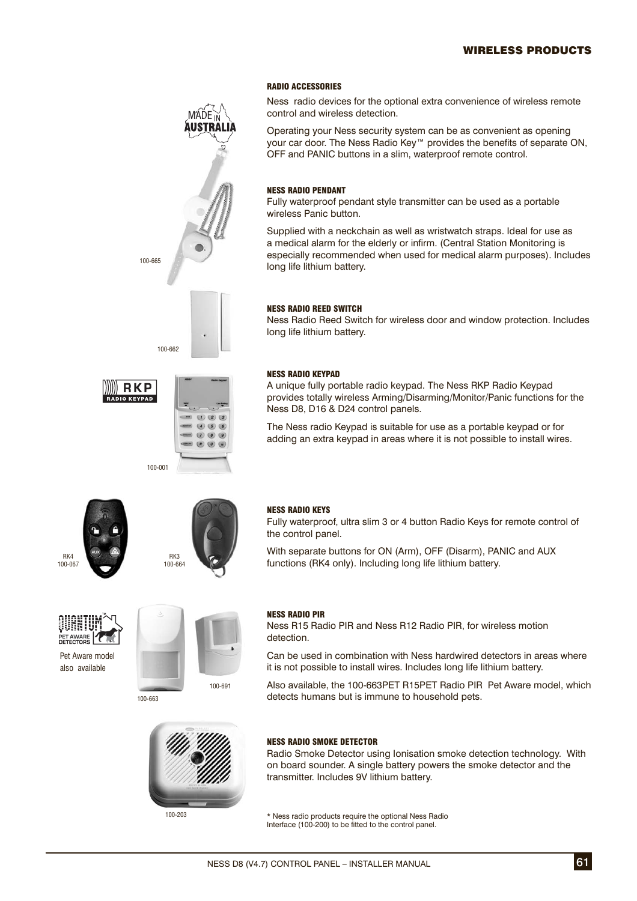### WIRELESS PRODUCTS

#### RADIO ACCESSORIES

Ness radio devices for the optional extra convenience of wireless remote control and wireless detection.

Operating your Ness security system can be as convenient as opening your car door. The Ness Radio Key™ provides the benefits of separate ON, OFF and PANIC buttons in a slim, waterproof remote control.

#### NESS RADIO PENDANT

Fully waterproof pendant style transmitter can be used as a portable wireless Panic button.

Supplied with a neckchain as well as wristwatch straps. Ideal for use as a medical alarm for the elderly or infirm. (Central Station Monitoring is especially recommended when used for medical alarm purposes). Includes long life lithium battery.

#### NESS RADIO REED SWITCH

Ness Radio Reed Switch for wireless door and window protection. Includes long life lithium battery.

#### NESS RADIO KEYPAD

A unique fully portable radio keypad. The Ness RKP Radio Keypad provides totally wireless Arming/Disarming/Monitor/Panic functions for the Ness D8, D16 & D24 control panels.

The Ness radio Keypad is suitable for use as a portable keypad or for adding an extra keypad in areas where it is not possible to install wires.





 $(1)$  (2) (3)  $(4)(5)(6)$  $(7)(8)(9)$  $\bullet$   $\bullet$   $\bullet$ 

#### NESS RADIO KEYS

Fully waterproof, ultra slim 3 or 4 button Radio Keys for remote control of the control panel.

With separate buttons for ON (Arm), OFF (Disarm), PANIC and AUX functions (RK4 only). Including long life lithium battery.







100-663

100-665

100-662

100-001

**RKP IO KEYPAD** 





### NESS RADIO PIR

Ness R15 Radio PIR and Ness R12 Radio PIR, for wireless motion detection.

Can be used in combination with Ness hardwired detectors in areas where it is not possible to install wires. Includes long life lithium battery.

Also available, the 100-663PET R15PET Radio PIR Pet Aware model, which detects humans but is immune to household pets.

### NESS RADIO SMOKE DETECTOR

Radio Smoke Detector using Ionisation smoke detection technology. With on board sounder. A single battery powers the smoke detector and the transmitter. Includes 9V lithium battery.

\* Ness radio products require the optional Ness Radio Interface (100-200) to be fitted to the control panel.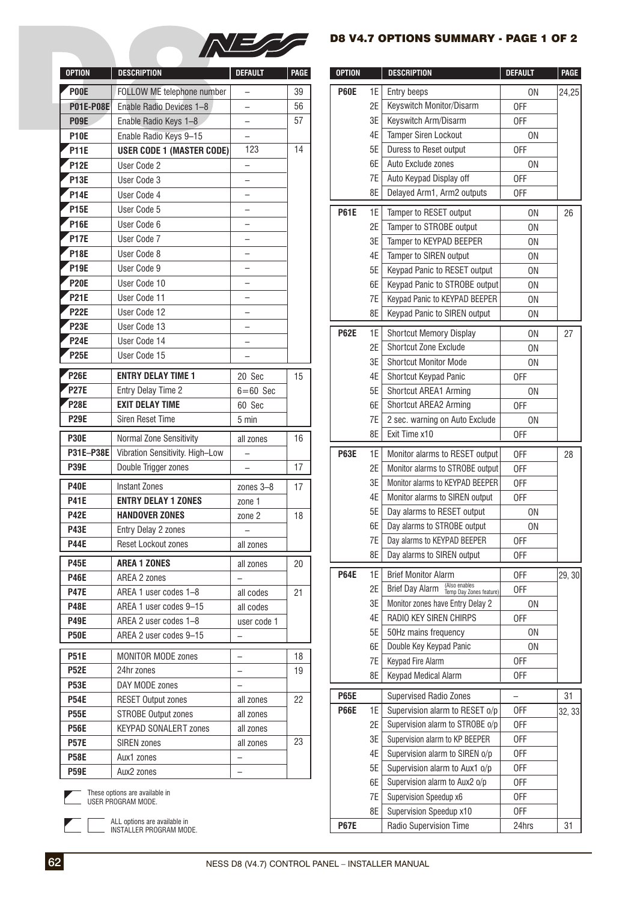

### D8 V4.7 OPTIONS SUMMARY - PAGE 1 OF 2

| <b>OPTION</b>              | <b>DESCRIPTION</b>               | <b>DEFAULT</b>           | <b>PAGE</b> | <b>OPTION</b> |          | <b>DESCRIPTION</b>                                     |
|----------------------------|----------------------------------|--------------------------|-------------|---------------|----------|--------------------------------------------------------|
| <b>POOE</b>                | FOLLOW ME telephone number       | <sup>-</sup>             | 39          | <b>P60E</b>   | 1E       | Entry beeps                                            |
| <b>P01E-P08E</b>           | Enable Radio Devices 1-8         | $\overline{\phantom{0}}$ | 56          |               | 2E       | Keyswitch Monitor/Disar                                |
| <b>P09E</b>                | Enable Radio Keys 1-8            |                          | 57          |               | 3E       | Keyswitch Arm/Disarm                                   |
| <b>P10E</b>                | Enable Radio Keys 9-15           | —                        |             |               | 4E       | Tamper Siren Lockout                                   |
| P <sub>11E</sub>           | <b>USER CODE 1 (MASTER CODE)</b> | 123                      | 14          |               | 5E       | Duress to Reset output                                 |
| <b>P12E</b>                | User Code 2                      | $\overline{\phantom{0}}$ |             |               | 6E       | Auto Exclude zones                                     |
| <b>P13E</b>                | User Code 3                      | -                        |             |               | 7E       | Auto Keypad Display off                                |
| <b>P14E</b>                | User Code 4                      | —                        |             |               | 8E       | Delayed Arm1, Arm2 ou                                  |
| <b>P15E</b>                | User Code 5                      | $\overline{\phantom{0}}$ |             | <b>P61E</b>   | 1E       | Tamper to RESET output                                 |
| P <sub>16E</sub>           | User Code 6                      |                          |             |               | 2E       | Tamper to STROBE outp                                  |
| <b>P17E</b>                | User Code 7                      | —                        |             |               | 3E       | Tamper to KEYPAD BEEF                                  |
| P18E                       | User Code 8                      | $\overline{\phantom{0}}$ |             |               | 4E       | Tamper to SIREN output                                 |
| <b>P19E</b>                | User Code 9                      |                          |             |               | 5E       | Keypad Panic to RESET                                  |
| <b>P20E</b>                | User Code 10                     | —                        |             |               | 6E       | Keypad Panic to STROB                                  |
| <b>P21E</b>                | User Code 11                     | —                        |             |               | 7E       | Keypad Panic to KEYPAD                                 |
| <b>P22E</b>                | User Code 12                     |                          |             |               | 8E       | Keypad Panic to SIREN o                                |
| P <sub>23E</sub>           | User Code 13                     | —                        |             | <b>P62E</b>   | 1E       | <b>Shortcut Memory Displa</b>                          |
| <b>P24E</b>                | User Code 14                     | —                        |             |               | 2E       | Shortcut Zone Exclude                                  |
| <b>P25E</b>                | User Code 15                     | $\overline{\phantom{0}}$ |             |               | 3E       | <b>Shortcut Monitor Mode</b>                           |
| P26E                       | <b>ENTRY DELAY TIME 1</b>        | 20 Sec                   | 15          |               | 4E       | Shortcut Keypad Panic                                  |
| P <sub>27E</sub>           | Entry Delay Time 2               | $6 = 60$ Sec             |             |               | 5E       | Shortcut AREA1 Arming                                  |
| <b>P28E</b>                | <b>EXIT DELAY TIME</b>           | 60 Sec                   |             |               | 6E       | Shortcut AREA2 Arming                                  |
| <b>P29E</b>                | Siren Reset Time                 | 5 min                    |             |               | 7E       | 2 sec. warning on Auto I                               |
| <b>P30E</b>                | Normal Zone Sensitivity          | all zones                | 16          |               | 8E       | Exit Time x10                                          |
| P31E-P38E                  | Vibration Sensitivity. High-Low  | —                        |             | <b>P63E</b>   | 1E       | Monitor alarms to RESE                                 |
| <b>P39E</b>                | Double Trigger zones             |                          | 17          |               | 2E       | Monitor alarms to STROB                                |
|                            | <b>Instant Zones</b>             |                          |             |               | 3E       | Monitor alarms to KEYPAD                               |
| <b>P40E</b><br><b>P41E</b> | <b>ENTRY DELAY 1 ZONES</b>       | zones 3-8<br>zone 1      | 17          |               | 4E       | Monitor alarms to SIREN                                |
| <b>P42E</b>                | <b>HANDOVER ZONES</b>            | zone 2                   | 18          |               | 5E       | Day alarms to RESET ou                                 |
| <b>P43E</b>                | Entry Delay 2 zones              |                          |             |               | 6E       | Day alarms to STROBE or                                |
| <b>P44E</b>                | Reset Lockout zones              | all zones                |             |               | 7E       | Day alarms to KEYPAD BEI                               |
|                            |                                  |                          |             |               | 8E       | Day alarms to SIREN out                                |
| <b>P45E</b>                | <b>AREA 1 ZONES</b>              | all zones                | 20          | <b>P64E</b>   | 1E       | <b>Brief Monitor Alarm</b>                             |
| <b>P46E</b>                | AREA 2 zones                     |                          |             |               | 2E       | (Also enable<br>Temp Day Z<br>Brief Day Alarm          |
| <b>P47E</b>                | AREA 1 user codes 1-8            | all codes                | 21          |               | 3E       | Monitor zones have Entry I                             |
| <b>P48E</b>                | AREA 1 user codes 9-15           | all codes                |             |               | 4E       | RADIO KEY SIREN CHIRF                                  |
| <b>P49E</b>                | AREA 2 user codes 1-8            | user code 1              |             |               | 5E       | 50Hz mains frequency                                   |
| <b>P50E</b>                | AREA 2 user codes 9-15           | $\overline{\phantom{0}}$ |             |               | 6E       | Double Key Keypad Panic                                |
| <b>P51E</b>                | <b>MONITOR MODE zones</b>        |                          | 18          |               | 7E       | Keypad Fire Alarm                                      |
| <b>P52E</b>                | 24hr zones                       |                          | 19          |               | 8E       | Keypad Medical Alarm                                   |
| <b>P53E</b>                | DAY MODE zones                   |                          |             |               |          |                                                        |
| <b>P54E</b>                | <b>RESET Output zones</b>        | all zones                | 22          | <b>P65E</b>   |          | Supervised Radio Zones                                 |
| <b>P55E</b>                | <b>STROBE Output zones</b>       | all zones                |             | <b>P66E</b>   | 1E       | Supervision alarm to RE                                |
| <b>P56E</b>                | <b>KEYPAD SONALERT zones</b>     | all zones                |             |               | 2E<br>3E | Supervision alarm to STR<br>Supervision alarm to KP BI |
| <b>P57E</b>                | <b>SIREN zones</b>               | all zones                | 23          |               | 4E       | Supervision alarm to SIR                               |
| <b>P58E</b>                | Aux1 zones                       |                          |             |               | 5E       | Supervision alarm to Au                                |
| <b>P59E</b>                | Aux2 zones                       |                          |             |               | 6E       | Supervision alarm to Aux!                              |

| <b>OPTION</b>                        | <b>DESCRIPTION</b>                                      | <b>DEFAULT</b>                        | <b>PAGE</b> | <b>OPTION</b> |                                   | <b>DESCRIPTION</b>                                          | <b>DEFAULT</b>           | <b>PAGE</b> |
|--------------------------------------|---------------------------------------------------------|---------------------------------------|-------------|---------------|-----------------------------------|-------------------------------------------------------------|--------------------------|-------------|
| <b>POOE</b>                          | FOLLOW ME telephone number                              | $\overline{\phantom{0}}$              | 39          | <b>P60E</b>   | 1E                                | Entry beeps                                                 | <b>ON</b>                | 24,25       |
| <b>P01E-P08E</b>                     | Enable Radio Devices 1-8                                |                                       | 56          |               | 2E                                | Keyswitch Monitor/Disarm                                    | <b>OFF</b>               |             |
| <b>P09E</b>                          | Enable Radio Keys 1-8                                   | $\overline{\phantom{0}}$              | 57          |               | 3E                                | Keyswitch Arm/Disarm                                        | 0FF                      |             |
| <b>P10E</b>                          | Enable Radio Keys 9-15                                  |                                       |             |               | <b>Tamper Siren Lockout</b><br>4E |                                                             | <b>ON</b>                |             |
| P11E                                 | <b>USER CODE 1 (MASTER CODE)</b>                        | 123                                   | 14          |               | 5E                                | Duress to Reset output                                      | OFF                      |             |
| <b>P12E</b>                          | User Code 2                                             | $\overline{\phantom{0}}$              |             |               | 6E                                | Auto Exclude zones                                          | <b>ON</b>                |             |
| <b>P13E</b>                          | User Code 3                                             | —                                     |             |               | 7E                                | Auto Keypad Display off                                     | <b>OFF</b>               |             |
| <b>P14E</b>                          | User Code 4                                             | —                                     |             |               | 8E                                | Delayed Arm1, Arm2 outputs                                  | 0FF                      |             |
| <b>P15E</b>                          | User Code 5                                             | $\overline{\phantom{0}}$              |             | <b>P61E</b>   | 1E                                | Tamper to RESET output                                      | <b>ON</b>                | 26          |
| <b>P16E</b>                          | User Code 6                                             | —                                     |             |               | 2E                                | Tamper to STROBE output                                     | 0N                       |             |
| <b>P17E</b>                          | User Code 7                                             | $\overline{\phantom{0}}$              |             |               | 3E                                | Tamper to KEYPAD BEEPER                                     | <b>ON</b>                |             |
| <b>P18E</b>                          | User Code 8                                             | $\overline{\phantom{0}}$              |             |               | 4E                                | Tamper to SIREN output                                      | 0N                       |             |
| <b>P19E</b>                          | User Code 9                                             | $\overline{\phantom{0}}$              |             |               | 5E                                | Keypad Panic to RESET output                                | 0N                       |             |
| <b>P20E</b>                          | User Code 10                                            | —                                     |             |               | 6E                                | Keypad Panic to STROBE output                               | <b>ON</b>                |             |
| P <sub>21E</sub>                     | User Code 11                                            | —                                     |             |               | 7E                                | Keypad Panic to KEYPAD BEEPER                               | <b>ON</b>                |             |
| <b>P22E</b>                          | User Code 12                                            | $\overline{\phantom{0}}$              |             |               | 8E                                | Keypad Panic to SIREN output                                | <b>ON</b>                |             |
| <b>P23E</b>                          | User Code 13                                            | $\overline{\phantom{0}}$              |             |               |                                   |                                                             |                          |             |
| <b>P24E</b>                          | User Code 14                                            | $\overline{\phantom{0}}$              |             | <b>P62E</b>   | 1E                                | <b>Shortcut Memory Display</b>                              | <b>ON</b>                | 27          |
| <b>P25E</b>                          | User Code 15                                            | $\overline{\phantom{0}}$              |             |               | 2E                                | <b>Shortcut Zone Exclude</b>                                | 0N                       |             |
|                                      |                                                         |                                       |             |               | 3E                                | <b>Shortcut Monitor Mode</b>                                | <b>ON</b>                |             |
| P <sub>26E</sub><br>P <sub>27E</sub> | <b>ENTRY DELAY TIME 1</b>                               | 20 Sec                                | 15          |               | 4E                                | Shortcut Keypad Panic                                       | <b>OFF</b>               |             |
|                                      | Entry Delay Time 2                                      | $6=60$ Sec                            |             |               | 5E                                | Shortcut AREA1 Arming                                       | <b>ON</b>                |             |
| P <sub>28E</sub>                     | <b>EXIT DELAY TIME</b>                                  | 60 Sec                                |             |               | 6E                                | Shortcut AREA2 Arming                                       | <b>OFF</b>               |             |
| <b>P29E</b>                          | Siren Reset Time                                        | 5 min                                 |             |               | 7E                                | 2 sec. warning on Auto Exclude                              | <b>ON</b>                |             |
| <b>P30E</b>                          | Normal Zone Sensitivity                                 | all zones                             | 16          |               | 8E                                | Exit Time x10                                               | <b>OFF</b>               |             |
| P31E-P38E                            | Vibration Sensitivity. High-Low                         | $\overline{\phantom{0}}$              |             | <b>P63E</b>   | 1E                                | Monitor alarms to RESET output                              | 0FF                      | 28          |
| P39E                                 | Double Trigger zones                                    |                                       | 17          |               | 2E                                | Monitor alarms to STROBE output                             | 0FF                      |             |
| <b>P40E</b>                          | <b>Instant Zones</b>                                    | zones 3-8                             | 17          |               | 3E                                | Monitor alarms to KEYPAD BEEPER                             | OFF                      |             |
| <b>P41E</b>                          | <b>ENTRY DELAY 1 ZONES</b>                              | zone 1                                |             |               | 4E                                | Monitor alarms to SIREN output                              | <b>OFF</b>               |             |
| <b>P42E</b>                          | <b>HANDOVER ZONES</b>                                   | zone 2                                | 18          |               | 5E                                | Day alarms to RESET output                                  | <b>ON</b>                |             |
| <b>P43E</b>                          | Entry Delay 2 zones                                     |                                       |             |               | 6E                                | Day alarms to STROBE output                                 | <b>ON</b>                |             |
| <b>P44E</b>                          | Reset Lockout zones                                     | all zones                             |             |               | 7E                                | Day alarms to KEYPAD BEEPER                                 | <b>OFF</b>               |             |
| <b>P45E</b>                          | <b>AREA 1 ZONES</b>                                     | all zones                             | 20          |               | 8E                                | Day alarms to SIREN output                                  | 0FF                      |             |
| <b>P46E</b>                          | AREA 2 zones                                            |                                       |             | <b>P64E</b>   | 1E                                | <b>Brief Monitor Alarm</b>                                  | 0FF                      | 29, 30      |
| <b>P47E</b>                          | AREA 1 user codes 1-8                                   | all codes                             | 21          |               | 2E                                | (Also enables<br>Temp Day Zones feature)<br>Brief Day Alarm | 0FF                      |             |
| <b>P48E</b>                          | AREA 1 user codes 9-15                                  | all codes                             |             |               | 3E                                | Monitor zones have Entry Delay 2                            | 0N                       |             |
| <b>P49E</b>                          | AREA 2 user codes 1-8                                   | user code 1                           |             |               | 4E                                | RADIO KEY SIREN CHIRPS                                      | 0FF                      |             |
| <b>P50E</b>                          | AREA 2 user codes 9-15                                  | $\qquad \qquad -$                     |             |               | 5E                                | 50Hz mains frequency                                        | <b>ON</b>                |             |
| <b>P51E</b>                          | MONITOR MODE zones                                      |                                       |             |               | 6E                                | Double Key Keypad Panic                                     | <b>ON</b>                |             |
| <b>P52E</b>                          | 24hr zones                                              | $\qquad \qquad -$                     | 18<br>19    |               | 7E                                | Keypad Fire Alarm                                           | 0FF                      |             |
| <b>P53E</b>                          | DAY MODE zones                                          | —                                     |             |               | 8E                                | Keypad Medical Alarm                                        | 0FF                      |             |
| <b>P54E</b>                          | <b>RESET Output zones</b>                               | $\overline{\phantom{0}}$<br>all zones | 22          | <b>P65E</b>   |                                   | Supervised Radio Zones                                      | $\overline{\phantom{0}}$ | 31          |
| <b>P55E</b>                          | <b>STROBE Output zones</b>                              | all zones                             |             | <b>P66E</b>   | 1E                                | Supervision alarm to RESET o/p                              | 0FF                      | 32, 33      |
| <b>P56E</b>                          | <b>KEYPAD SONALERT zones</b>                            | all zones                             |             |               | 2E                                | Supervision alarm to STROBE o/p                             | 0FF                      |             |
| <b>P57E</b>                          | SIREN zones                                             | all zones                             | 23          |               | 3E                                | Supervision alarm to KP BEEPER                              | 0FF                      |             |
| <b>P58E</b>                          | Aux1 zones                                              | $\qquad \qquad -$                     |             |               | 4E                                | Supervision alarm to SIREN o/p                              | 0FF                      |             |
| <b>P59E</b>                          | Aux2 zones                                              | -                                     |             |               | 5E                                | Supervision alarm to Aux1 o/p                               | 0FF                      |             |
|                                      |                                                         |                                       |             |               | 6E                                | Supervision alarm to Aux2 o/p                               | 0FF                      |             |
|                                      | These options are available in<br>USER PROGRAM MODE.    |                                       |             |               | 7E                                | Supervision Speedup x6                                      | 0FF                      |             |
|                                      |                                                         |                                       |             |               | 8E                                | Supervision Speedup x10                                     | 0FF                      |             |
|                                      | ALL options are available in<br>INSTALLER PROGRAM MODE. |                                       |             | <b>P67E</b>   |                                   | Radio Supervision Time                                      | 24hrs                    | 31          |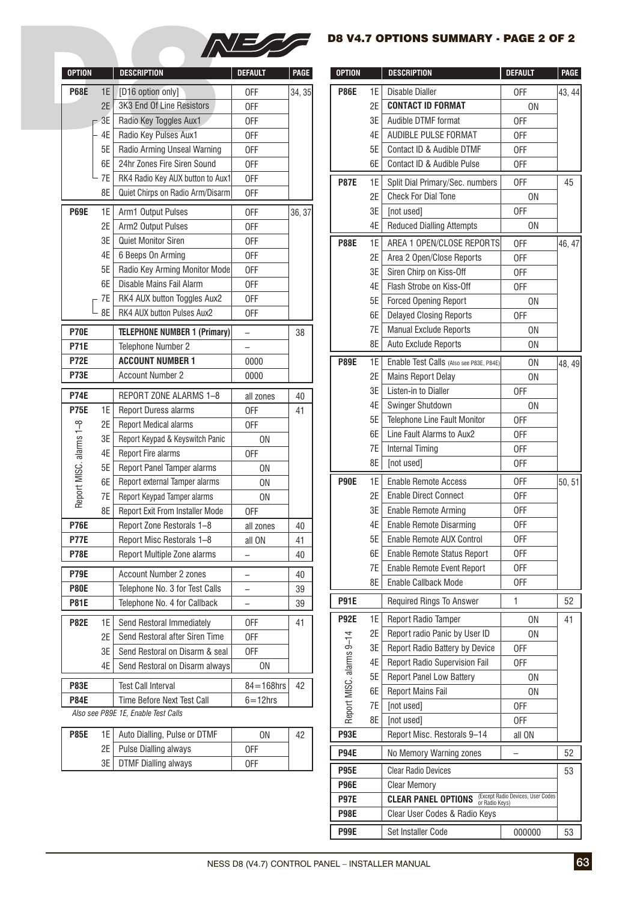

# D8 V4.7 OPTIONS SUMMARY - PAGE 2 OF 2

| <b>OPTION</b>           |    | <b>DESCRIPTION</b>                  | <b>DEFAULT</b>           | PAGE   | <b>OPTION</b>            |                        | <b>DESCRIPTION</b>            |
|-------------------------|----|-------------------------------------|--------------------------|--------|--------------------------|------------------------|-------------------------------|
| <b>P68E</b>             | 1E | [D16 option only]                   | 0FF                      | 34, 35 | <b>P86E</b>              | 1E                     | <b>Disable Dialler</b>        |
|                         | 2E | 3K3 End Of Line Resistors           | 0FF                      |        |                          | 2E                     | <b>CONTACT ID FORMAT</b>      |
|                         | 3E | Radio Key Toggles Aux1              | 0FF                      |        |                          | 3E                     | Audible DTMF format           |
|                         | 4E | Radio Key Pulses Aux1               | 0FF                      |        |                          | 4E                     | AUDIBLE PULSE FORM            |
| 5E                      |    | Radio Arming Unseal Warning         | 0FF                      |        |                          | 5E                     | Contact ID & Audible D        |
|                         | 6E | 24hr Zones Fire Siren Sound         | 0FF                      |        |                          | 6E                     | Contact ID & Audible P        |
|                         | 7E | RK4 Radio Key AUX button to Aux1    | 0FF                      |        | <b>P87E</b>              | 1E                     | Split Dial Primary/Sec.       |
|                         | 8E | Quiet Chirps on Radio Arm/Disarm    | 0FF                      |        |                          | 2E                     | <b>Check For Dial Tone</b>    |
| <b>P69E</b>             | 1E | Arm1 Output Pulses                  | 0FF                      | 36, 37 |                          | 3E                     | [not used]                    |
|                         | 2E | Arm2 Output Pulses                  | 0FF                      |        |                          | 4E                     | <b>Reduced Dialling Attem</b> |
|                         | 3E | Quiet Monitor Siren                 | 0FF                      |        | <b>P88E</b>              | 1E                     | AREA 1 OPEN/CLOSE             |
|                         | 4E | 6 Beeps On Arming                   | 0FF                      |        |                          | 2E                     | Area 2 Open/Close Rep         |
|                         | 5E | Radio Key Arming Monitor Mode       | 0FF                      |        |                          | 3E                     | Siren Chirp on Kiss-Off       |
|                         | 6E | Disable Mains Fail Alarm            | 0FF                      |        | 4E                       | Flash Strobe on Kiss-O |                               |
|                         | 7E | RK4 AUX button Toggles Aux2         | 0FF                      |        |                          | 5E                     | Forced Opening Report         |
|                         | 8E | RK4 AUX button Pulses Aux2          | 0FF                      |        |                          | 6E                     | <b>Delayed Closing Repor</b>  |
| <b>P70E</b>             |    | <b>TELEPHONE NUMBER 1 (Primary)</b> |                          | 38     |                          | 7E                     | Manual Exclude Report         |
| <b>P71E</b>             |    | Telephone Number 2                  |                          |        |                          | 8E                     | Auto Exclude Reports          |
| <b>P72E</b>             |    | <b>ACCOUNT NUMBER 1</b>             | 0000                     |        | <b>P89E</b>              | 1E                     | Enable Test Calls (Also se    |
| <b>P73E</b>             |    | <b>Account Number 2</b>             | 0000                     |        |                          | 2E                     | <b>Mains Report Delay</b>     |
| <b>P74E</b>             |    | REPORT ZONE ALARMS 1-8              | all zones                | 40     |                          | 3E                     | Listen-in to Dialler          |
| <b>P75E</b>             | 1E | <b>Report Duress alarms</b>         | 0FF                      | 41     |                          | 4E                     | Swinger Shutdown              |
|                         | 2E | <b>Report Medical alarms</b>        | 0FF                      |        |                          | 5E                     | Telephone Line Fault M        |
|                         | 3E | Report Keypad & Keyswitch Panic     | 0N                       |        |                          | 6E                     | Line Fault Alarms to Au       |
|                         | 4E | Report Fire alarms                  | 0FF                      |        |                          | 7E                     | <b>Internal Timing</b>        |
|                         | 5E | Report Panel Tamper alarms          | 0N                       |        |                          | 8E                     | [not used]                    |
| Report MISC. alarms 1-8 | 6E | Report external Tamper alarms       | 0N                       |        | <b>P90E</b>              | 1E                     | <b>Enable Remote Access</b>   |
|                         | 7E | Report Keypad Tamper alarms         | 0N                       |        |                          | 2E                     | <b>Enable Direct Connect</b>  |
|                         | 8E | Report Exit From Installer Mode     | 0FF                      |        |                          | 3E                     | Enable Remote Arming          |
| <b>P76E</b>             |    | Report Zone Restorals 1-8           | all zones                | 40     |                          | 4E                     | Enable Remote Disarm          |
| <b>P77E</b>             |    | Report Misc Restorals 1-8           | all ON                   | 41     |                          | 5E                     | Enable Remote AUX Co          |
| <b>P78E</b>             |    | Report Multiple Zone alarms         | —                        | 40     |                          | 6E                     | Enable Remote Status          |
| <b>P79E</b>             |    | Account Number 2 zones              | $\overline{\phantom{0}}$ | 40     |                          | 7E                     | Enable Remote Event F         |
| <b>P80E</b>             |    | Telephone No. 3 for Test Calls      |                          | 39     |                          | 8E                     | Enable Callback Mode          |
| <b>P81E</b>             |    | Telephone No. 4 for Callback        |                          | 39     | <b>P91E</b>              |                        | Required Rings To Ans         |
| <b>P82E</b>             | 1E | Send Restoral Immediately           | 0FF                      | 41     | <b>P92E</b>              | 1E                     | Report Radio Tamper           |
|                         | 2E | Send Restoral after Siren Time      | 0FF                      |        |                          | 2E                     | Report radio Panic by         |
|                         | 3E | Send Restoral on Disarm & seal      | 0FF                      |        |                          | 3E                     | Report Radio Battery b        |
|                         | 4E | Send Restoral on Disarm always      | 0N                       |        |                          | 4E                     | Report Radio Supervis         |
| <b>P83E</b>             |    | <b>Test Call Interval</b>           | $84 = 168$ hrs           | 42     |                          | 5E                     | Report Panel Low Batto        |
| <b>P84E</b>             |    | Time Before Next Test Call          | $6 = 12$ hrs             |        |                          | 6E                     | Report Mains Fail             |
|                         |    | Also see P89E 1E, Enable Test Calls |                          |        | Report MISC. alarms 9-14 | 7E                     | [not used]                    |
|                         |    |                                     |                          |        |                          | 8E                     | [not used]                    |
|                         |    |                                     |                          |        |                          |                        |                               |

| <b>P85E</b> | 1E   Auto Dialling, Pulse or DTMF | ΟN  | 42 |
|-------------|-----------------------------------|-----|----|
|             | 2E   Pulse Dialling always        | 0FF |    |
|             | 3E   DTMF Dialling always         | 0FF |    |

| <b>OPTION</b>              |       | <b>DESCRIPTION</b>                                                | <b>DEFAULT</b>           | <b>PAGE</b> | <b>OPTION</b>            |          | <b>DESCRIPTION</b>                                        | <b>DEFAULT</b>                    | <b>PAGE</b> |
|----------------------------|-------|-------------------------------------------------------------------|--------------------------|-------------|--------------------------|----------|-----------------------------------------------------------|-----------------------------------|-------------|
| <b>P68E</b>                | 1E    | [D16 option only]                                                 | 0FF                      | 34, 35      | <b>P86E</b>              | 1E       | Disable Dialler                                           | <b>OFF</b>                        | 43, 44      |
|                            | 2E    | 3K3 End Of Line Resistors                                         | 0FF                      |             |                          | 2E       | <b>CONTACT ID FORMAT</b>                                  | <b>ON</b>                         |             |
|                            | $-3E$ | Radio Key Toggles Aux1                                            | <b>OFF</b>               |             |                          | 3E       | Audible DTMF format                                       | <b>OFF</b>                        |             |
|                            | 4E    | Radio Key Pulses Aux1                                             | <b>OFF</b>               |             |                          | 4E       | AUDIBLE PULSE FORMAT                                      | <b>OFF</b>                        |             |
|                            | 5E    | Radio Arming Unseal Warning                                       | <b>OFF</b>               |             |                          | 5E       | Contact ID & Audible DTMF                                 | <b>OFF</b>                        |             |
|                            | 6E    | 24hr Zones Fire Siren Sound                                       | <b>OFF</b>               |             |                          | 6E       | Contact ID & Audible Pulse                                | OFF                               |             |
|                            | 7E    | RK4 Radio Key AUX button to Aux1                                  | <b>OFF</b>               |             | <b>P87E</b>              | 1E       | Split Dial Primary/Sec. numbers                           | <b>OFF</b>                        | 45          |
|                            | 8E    | Quiet Chirps on Radio Arm/Disarm                                  | <b>OFF</b>               |             |                          | 2E       | <b>Check For Dial Tone</b>                                | <b>ON</b>                         |             |
| <b>P69E</b>                | 1E    | Arm1 Output Pulses                                                | <b>OFF</b>               | 36, 37      |                          | 3E       | [not used]                                                | <b>OFF</b>                        |             |
|                            | 2E    | Arm2 Output Pulses                                                | <b>OFF</b>               |             |                          | 4E       | <b>Reduced Dialling Attempts</b>                          | <b>ON</b>                         |             |
|                            | 3E    | Quiet Monitor Siren                                               | <b>OFF</b>               |             | <b>P88E</b>              | 1E       | AREA 1 OPEN/CLOSE REPORTS                                 | <b>OFF</b>                        | 46, 47      |
|                            | 4E    | 6 Beeps On Arming                                                 | <b>OFF</b>               |             |                          | 2E       | Area 2 Open/Close Reports                                 | <b>OFF</b>                        |             |
|                            | 5E    | Radio Key Arming Monitor Mode                                     | <b>OFF</b>               |             |                          | 3E       | Siren Chirp on Kiss-Off                                   | <b>OFF</b>                        |             |
|                            | 6E    | Disable Mains Fail Alarm                                          | <b>OFF</b>               |             |                          | 4E       | Flash Strobe on Kiss-Off                                  | <b>OFF</b>                        |             |
|                            | 7E    | RK4 AUX button Toggles Aux2                                       | <b>OFF</b>               |             |                          | 5E       | <b>Forced Opening Report</b>                              | 0N                                |             |
|                            | 8E    | RK4 AUX button Pulses Aux2                                        | <b>OFF</b>               |             |                          | 6E       | <b>Delayed Closing Reports</b>                            | <b>OFF</b>                        |             |
|                            |       |                                                                   |                          |             |                          | 7E       | <b>Manual Exclude Reports</b>                             | <b>ON</b>                         |             |
| <b>P70E</b><br><b>P71E</b> |       | <b>TELEPHONE NUMBER 1 (Primary)</b><br>Telephone Number 2         | $\overline{\phantom{0}}$ | 38          |                          | 8E       | Auto Exclude Reports                                      | <b>ON</b>                         |             |
| <b>P72E</b>                |       | <b>ACCOUNT NUMBER 1</b>                                           | 0000                     |             |                          |          |                                                           |                                   |             |
| P73E                       |       | <b>Account Number 2</b>                                           |                          |             | <b>P89E</b>              | 1E       | Enable Test Calls (Also see P83E, P84E)                   | <b>ON</b>                         | 48, 49      |
|                            |       |                                                                   | 0000                     |             |                          | 2E       | <b>Mains Report Delay</b>                                 | <b>ON</b>                         |             |
| <b>P74E</b>                |       | REPORT ZONE ALARMS 1-8                                            | all zones                | 40          |                          | 3E       | Listen-in to Dialler                                      | <b>OFF</b>                        |             |
| <b>P75E</b>                | 1E    | Report Duress alarms                                              | <b>OFF</b>               | 41          |                          | 4E<br>5E | Swinger Shutdown                                          | <b>ON</b>                         |             |
|                            | 2E    | <b>Report Medical alarms</b>                                      | <b>OFF</b>               |             |                          | 6E       | Telephone Line Fault Monitor<br>Line Fault Alarms to Aux2 | <b>OFF</b><br><b>OFF</b>          |             |
|                            | 3E    | Report Keypad & Keyswitch Panic                                   | <b>ON</b>                |             |                          | 7E       | <b>Internal Timing</b>                                    | <b>OFF</b>                        |             |
|                            | 4E    | Report Fire alarms                                                | <b>OFF</b>               |             |                          | 8E       | [not used]                                                | 0FF                               |             |
| Report MISC. alarms 1-8    | 5E    | Report Panel Tamper alarms                                        | <b>ON</b>                |             |                          |          |                                                           |                                   |             |
|                            | 6E    | Report external Tamper alarms                                     | <b>ON</b>                |             | <b>P90E</b>              | 1E       | <b>Enable Remote Access</b>                               | <b>OFF</b>                        | 50, 51      |
|                            | 7E    | Report Keypad Tamper alarms                                       | <b>ON</b>                |             |                          | 2E       | <b>Enable Direct Connect</b>                              | <b>OFF</b>                        |             |
|                            | 8E    | Report Exit From Installer Mode                                   | 0FF                      |             |                          | 3E       | <b>Enable Remote Arming</b>                               | <b>OFF</b>                        |             |
| <b>P76E</b>                |       | Report Zone Restorals 1-8                                         | all zones                | 40          |                          | 4E       | <b>Enable Remote Disarming</b>                            | <b>OFF</b>                        |             |
| <b>P77E</b>                |       | Report Misc Restorals 1-8                                         | all ON                   | 41          |                          | 5E       | Enable Remote AUX Control                                 | <b>OFF</b>                        |             |
| <b>P78E</b>                |       | Report Multiple Zone alarms                                       | $\overline{\phantom{0}}$ | 40          |                          | 6E       | Enable Remote Status Report                               | 0FF                               |             |
| P79E                       |       | <b>Account Number 2 zones</b>                                     | $\overline{\phantom{0}}$ | 40          |                          | 7E       | <b>Enable Remote Event Report</b>                         | <b>OFF</b>                        |             |
| <b>P80E</b>                |       | Telephone No. 3 for Test Calls                                    | $\overline{\phantom{0}}$ | 39          |                          | 8E       | Enable Callback Mode                                      | <b>OFF</b>                        |             |
| <b>P81E</b>                |       | Telephone No. 4 for Callback                                      | $\overline{\phantom{0}}$ | 39          | <b>P91E</b>              |          | <b>Required Rings To Answer</b>                           | 1                                 | 52          |
| <b>P82E</b>                | 1E    | Send Restoral Immediately                                         | <b>OFF</b>               | 41          | <b>P92E</b>              | 1E       | Report Radio Tamper                                       | <b>ON</b>                         | 41          |
|                            | 2E    | Send Restoral after Siren Time                                    | 0FF                      |             |                          | 2E       | Report radio Panic by User ID                             | <b>ON</b>                         |             |
|                            | 3E    | Send Restoral on Disarm & seal                                    | <b>OFF</b>               |             |                          | 3E       | Report Radio Battery by Device                            | <b>OFF</b>                        |             |
|                            | 4E    | Send Restoral on Disarm always                                    | 0 <sub>N</sub>           |             |                          | 4E       | <b>Report Radio Supervision Fail</b>                      | 0FF                               |             |
|                            |       |                                                                   |                          |             | Report MISC. alarms 9-14 | 5E       | <b>Report Panel Low Battery</b>                           | <b>ON</b>                         |             |
| <b>P83E</b><br><b>P84E</b> |       | <b>Test Call Interval</b>                                         | $84 = 168$ hrs           | 42          |                          | 6E       | <b>Report Mains Fail</b>                                  | <b>ON</b>                         |             |
|                            |       | Time Before Next Test Call<br>Also see P89E 1E, Enable Test Calls | $6 = 12$ hrs             |             |                          | 7E       | [not used]                                                | <b>OFF</b>                        |             |
|                            |       |                                                                   |                          |             |                          | 8E       | [not used]                                                | 0FF                               |             |
| <b>P85E</b>                | 1E    | Auto Dialling, Pulse or DTMF                                      | ON                       | 42          | <b>P93E</b>              |          | Report Misc. Restorals 9-14                               | all ON                            |             |
|                            | 2E    | Pulse Dialling always                                             | 0FF                      |             | <b>P94E</b>              |          | No Memory Warning zones                                   | —                                 | 52          |
|                            | 3E    | <b>DTMF Dialling always</b>                                       | <b>OFF</b>               |             | <b>P95E</b>              |          | <b>Clear Radio Devices</b>                                |                                   | 53          |
|                            |       |                                                                   |                          |             | <b>P96E</b>              |          | <b>Clear Memory</b>                                       |                                   |             |
|                            |       |                                                                   |                          |             | <b>P97E</b>              |          | <b>CLEAR PANEL OPTIONS</b><br>or Radio Keys)              | (Except Radio Devices, User Codes |             |
|                            |       |                                                                   |                          |             | P98E                     |          | Clear User Codes & Radio Keys                             |                                   |             |
|                            |       |                                                                   |                          |             | <b>P99E</b>              |          | Set Installer Code                                        | 000000                            | 53          |
|                            |       |                                                                   |                          |             |                          |          |                                                           |                                   |             |